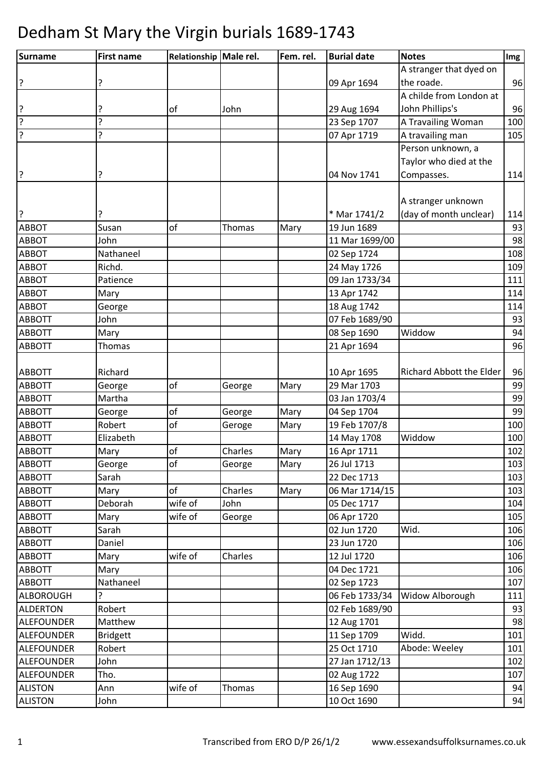| Surname           | <b>First name</b> | Relationship Male rel. |         | Fem. rel. | <b>Burial date</b> | <b>Notes</b>                    | Img |
|-------------------|-------------------|------------------------|---------|-----------|--------------------|---------------------------------|-----|
|                   |                   |                        |         |           |                    | A stranger that dyed on         |     |
| ?                 | ?                 |                        |         |           | 09 Apr 1694        | the roade.                      | 96  |
|                   |                   |                        |         |           |                    | A childe from London at         |     |
| ?                 | ?                 | of                     | John    |           | 29 Aug 1694        | John Phillips's                 | 96  |
| ?                 | ?                 |                        |         |           | 23 Sep 1707        | A Travailing Woman              | 100 |
| ?                 | ŗ                 |                        |         |           | 07 Apr 1719        | A travailing man                | 105 |
|                   |                   |                        |         |           |                    | Person unknown, a               |     |
|                   |                   |                        |         |           |                    | Taylor who died at the          |     |
| ?                 | ?                 |                        |         |           | 04 Nov 1741        | Compasses.                      | 114 |
|                   |                   |                        |         |           |                    |                                 |     |
|                   |                   |                        |         |           |                    | A stranger unknown              |     |
| l?                |                   |                        |         |           | * Mar 1741/2       | (day of month unclear)          | 114 |
| <b>ABBOT</b>      | Susan             | of                     | Thomas  | Mary      | 19 Jun 1689        |                                 | 93  |
| <b>ABBOT</b>      | John              |                        |         |           | 11 Mar 1699/00     |                                 | 98  |
| <b>ABBOT</b>      | Nathaneel         |                        |         |           | 02 Sep 1724        |                                 | 108 |
| <b>ABBOT</b>      | Richd.            |                        |         |           | 24 May 1726        |                                 | 109 |
| <b>ABBOT</b>      | Patience          |                        |         |           | 09 Jan 1733/34     |                                 | 111 |
| <b>ABBOT</b>      | Mary              |                        |         |           | 13 Apr 1742        |                                 | 114 |
| <b>ABBOT</b>      | George            |                        |         |           | 18 Aug 1742        |                                 | 114 |
| <b>ABBOTT</b>     | John              |                        |         |           | 07 Feb 1689/90     |                                 | 93  |
| <b>ABBOTT</b>     | Mary              |                        |         |           | 08 Sep 1690        | Widdow                          | 94  |
| <b>ABBOTT</b>     | Thomas            |                        |         |           | 21 Apr 1694        |                                 | 96  |
|                   |                   |                        |         |           |                    |                                 |     |
| <b>ABBOTT</b>     | Richard           |                        |         |           | 10 Apr 1695        | <b>Richard Abbott the Elder</b> | 96  |
| <b>ABBOTT</b>     | George            | of                     | George  | Mary      | 29 Mar 1703        |                                 | 99  |
| <b>ABBOTT</b>     | Martha            |                        |         |           | 03 Jan 1703/4      |                                 | 99  |
| <b>ABBOTT</b>     | George            | of                     | George  | Mary      | 04 Sep 1704        |                                 | 99  |
| <b>ABBOTT</b>     | Robert            | of                     | Geroge  | Mary      | 19 Feb 1707/8      |                                 | 100 |
| <b>ABBOTT</b>     | Elizabeth         |                        |         |           | 14 May 1708        | Widdow                          | 100 |
| <b>ABBOTT</b>     | Mary              | of                     | Charles | Mary      | 16 Apr 1711        |                                 | 102 |
| <b>ABBOTT</b>     | George            | <b>of</b>              | George  | Mary      | 26 Jul 1713        |                                 | 103 |
| <b>ABBOTT</b>     | Sarah             |                        |         |           | 22 Dec 1713        |                                 | 103 |
| <b>ABBOTT</b>     | Mary              | of                     | Charles | Mary      | 06 Mar 1714/15     |                                 | 103 |
| <b>ABBOTT</b>     | Deborah           | wife of                | John    |           | 05 Dec 1717        |                                 | 104 |
| <b>ABBOTT</b>     | Mary              | wife of                | George  |           | 06 Apr 1720        |                                 | 105 |
| <b>ABBOTT</b>     | Sarah             |                        |         |           | 02 Jun 1720        | Wid.                            | 106 |
| <b>ABBOTT</b>     | Daniel            |                        |         |           | 23 Jun 1720        |                                 | 106 |
| <b>ABBOTT</b>     | Mary              | wife of                | Charles |           | 12 Jul 1720        |                                 | 106 |
| <b>ABBOTT</b>     | Mary              |                        |         |           | 04 Dec 1721        |                                 | 106 |
| <b>ABBOTT</b>     | Nathaneel         |                        |         |           | 02 Sep 1723        |                                 | 107 |
| <b>ALBOROUGH</b>  | 5.                |                        |         |           | 06 Feb 1733/34     | Widow Alborough                 | 111 |
| <b>ALDERTON</b>   | Robert            |                        |         |           | 02 Feb 1689/90     |                                 | 93  |
| <b>ALEFOUNDER</b> | Matthew           |                        |         |           | 12 Aug 1701        |                                 | 98  |
| <b>ALEFOUNDER</b> | <b>Bridgett</b>   |                        |         |           | 11 Sep 1709        | Widd.                           | 101 |
| <b>ALEFOUNDER</b> | Robert            |                        |         |           | 25 Oct 1710        | Abode: Weeley                   | 101 |
| <b>ALEFOUNDER</b> | John              |                        |         |           | 27 Jan 1712/13     |                                 | 102 |
| <b>ALEFOUNDER</b> | Tho.              |                        |         |           | 02 Aug 1722        |                                 | 107 |
| <b>ALISTON</b>    | Ann               | wife of                | Thomas  |           | 16 Sep 1690        |                                 | 94  |
| <b>ALISTON</b>    | John              |                        |         |           | 10 Oct 1690        |                                 | 94  |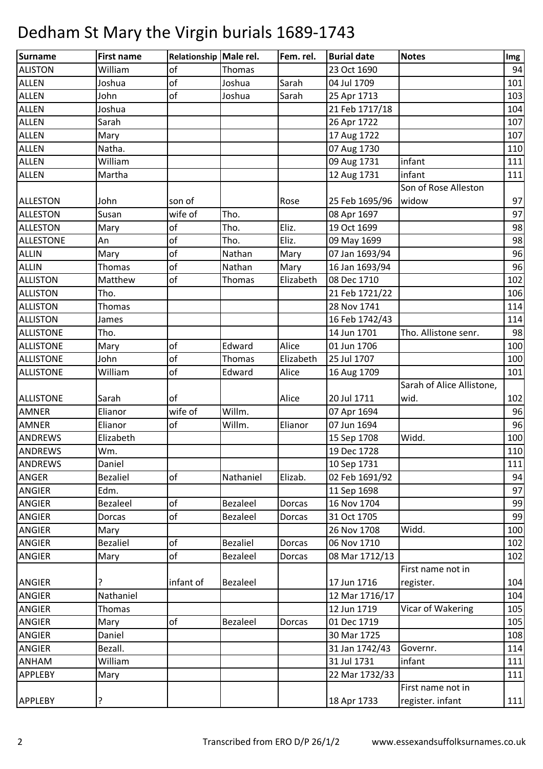| Surname          | <b>First name</b> | Relationship Male rel. |                 | Fem. rel. | <b>Burial date</b> | <b>Notes</b>              | Img |
|------------------|-------------------|------------------------|-----------------|-----------|--------------------|---------------------------|-----|
| <b>ALISTON</b>   | William           | of                     | Thomas          |           | 23 Oct 1690        |                           | 94  |
| <b>ALLEN</b>     | Joshua            | of                     | Joshua          | Sarah     | 04 Jul 1709        |                           | 101 |
| <b>ALLEN</b>     | John              | of                     | Joshua          | Sarah     | 25 Apr 1713        |                           | 103 |
| <b>ALLEN</b>     | Joshua            |                        |                 |           | 21 Feb 1717/18     |                           | 104 |
| <b>ALLEN</b>     | Sarah             |                        |                 |           | 26 Apr 1722        |                           | 107 |
| <b>ALLEN</b>     | Mary              |                        |                 |           | 17 Aug 1722        |                           | 107 |
| <b>ALLEN</b>     | Natha.            |                        |                 |           | 07 Aug 1730        |                           | 110 |
| <b>ALLEN</b>     | William           |                        |                 |           | 09 Aug 1731        | infant                    | 111 |
| <b>ALLEN</b>     | Martha            |                        |                 |           | 12 Aug 1731        | infant                    | 111 |
|                  |                   |                        |                 |           |                    | Son of Rose Alleston      |     |
| <b>ALLESTON</b>  | John              | son of                 |                 | Rose      | 25 Feb 1695/96     | widow                     | 97  |
| <b>ALLESTON</b>  | Susan             | wife of                | Tho.            |           | 08 Apr 1697        |                           | 97  |
| <b>ALLESTON</b>  | Mary              | of                     | Tho.            | Eliz.     | 19 Oct 1699        |                           | 98  |
| <b>ALLESTONE</b> | An                | of                     | Tho.            | Eliz.     | 09 May 1699        |                           | 98  |
| <b>ALLIN</b>     | Mary              | of                     | Nathan          | Mary      | 07 Jan 1693/94     |                           | 96  |
| <b>ALLIN</b>     | Thomas            | of                     | Nathan          | Mary      | 16 Jan 1693/94     |                           | 96  |
| <b>ALLISTON</b>  | Matthew           | of                     | Thomas          | Elizabeth | 08 Dec 1710        |                           | 102 |
| <b>ALLISTON</b>  | Tho.              |                        |                 |           | 21 Feb 1721/22     |                           | 106 |
| <b>ALLISTON</b>  | Thomas            |                        |                 |           | 28 Nov 1741        |                           | 114 |
| <b>ALLISTON</b>  | James             |                        |                 |           | 16 Feb 1742/43     |                           | 114 |
| <b>ALLISTONE</b> | Tho.              |                        |                 |           | 14 Jun 1701        | Tho. Allistone senr.      | 98  |
| <b>ALLISTONE</b> | Mary              | of                     | Edward          | Alice     | 01 Jun 1706        |                           | 100 |
| <b>ALLISTONE</b> | John              | of                     | Thomas          | Elizabeth | 25 Jul 1707        |                           | 100 |
| <b>ALLISTONE</b> | William           | of                     | Edward          | Alice     | 16 Aug 1709        |                           | 101 |
|                  |                   |                        |                 |           |                    | Sarah of Alice Allistone, |     |
| <b>ALLISTONE</b> | Sarah             | of                     |                 | Alice     | 20 Jul 1711        | wid.                      | 102 |
| <b>AMNER</b>     | Elianor           | wife of                | Willm.          |           | 07 Apr 1694        |                           | 96  |
| <b>AMNER</b>     | Elianor           | of                     | Willm.          | Elianor   | 07 Jun 1694        |                           | 96  |
| ANDREWS          | Elizabeth         |                        |                 |           | 15 Sep 1708        | Widd.                     | 100 |
| <b>ANDREWS</b>   | Wm.               |                        |                 |           | 19 Dec 1728        |                           | 110 |
| <b>ANDREWS</b>   | Daniel            |                        |                 |           | 10 Sep 1731        |                           | 111 |
| <b>ANGER</b>     | <b>Bezaliel</b>   | of                     | Nathaniel       | Elizab.   | 02 Feb 1691/92     |                           | 94  |
| <b>ANGIER</b>    | Edm.              |                        |                 |           | 11 Sep 1698        |                           | 97  |
| ANGIER           | Bezaleel          | of                     | <b>Bezaleel</b> | Dorcas    | 16 Nov 1704        |                           | 99  |
| <b>ANGIER</b>    | Dorcas            | of                     | Bezaleel        | Dorcas    | 31 Oct 1705        |                           | 99  |
| ANGIER           | Mary              |                        |                 |           | 26 Nov 1708        | Widd.                     | 100 |
| <b>ANGIER</b>    | <b>Bezaliel</b>   | of                     | <b>Bezaliel</b> | Dorcas    | 06 Nov 1710        |                           | 102 |
| <b>ANGIER</b>    | Mary              | of                     | Bezaleel        | Dorcas    | 08 Mar 1712/13     |                           | 102 |
|                  |                   |                        |                 |           |                    | First name not in         |     |
| <b>ANGIER</b>    | ?                 | infant of              | Bezaleel        |           | 17 Jun 1716        | register.                 | 104 |
| ANGIER           | Nathaniel         |                        |                 |           | 12 Mar 1716/17     |                           | 104 |
| <b>ANGIER</b>    | Thomas            |                        |                 |           | 12 Jun 1719        | Vicar of Wakering         | 105 |
| <b>ANGIER</b>    | Mary              | of                     | Bezaleel        | Dorcas    | 01 Dec 1719        |                           | 105 |
| <b>ANGIER</b>    | Daniel            |                        |                 |           | 30 Mar 1725        |                           | 108 |
| <b>ANGIER</b>    | Bezall.           |                        |                 |           | 31 Jan 1742/43     | Governr.                  | 114 |
| ANHAM            | William           |                        |                 |           | 31 Jul 1731        | infant                    | 111 |
| <b>APPLEBY</b>   | Mary              |                        |                 |           | 22 Mar 1732/33     |                           | 111 |
|                  |                   |                        |                 |           |                    | First name not in         |     |
| <b>APPLEBY</b>   | ?                 |                        |                 |           | 18 Apr 1733        | register. infant          | 111 |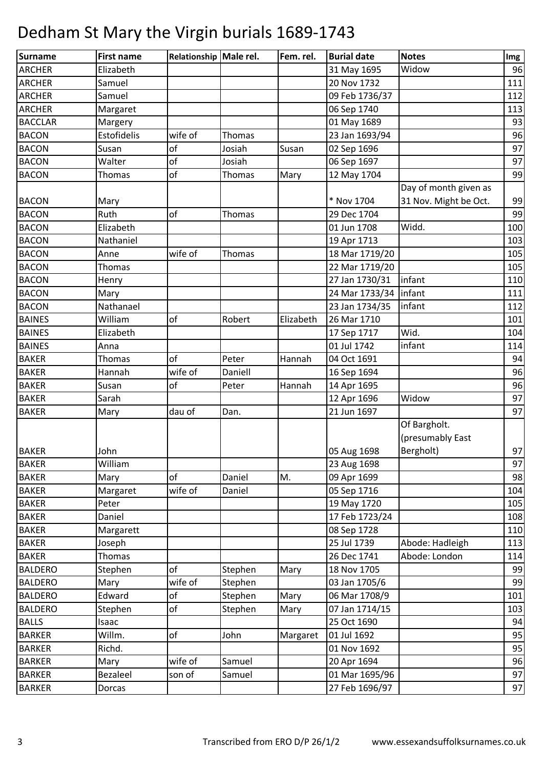| Surname        | <b>First name</b> | Relationship Male rel. |         | Fem. rel. | <b>Burial date</b>      | <b>Notes</b>          | Img |
|----------------|-------------------|------------------------|---------|-----------|-------------------------|-----------------------|-----|
| <b>ARCHER</b>  | Elizabeth         |                        |         |           | 31 May 1695             | Widow                 | 96  |
| <b>ARCHER</b>  | Samuel            |                        |         |           | 20 Nov 1732             |                       | 111 |
| <b>ARCHER</b>  | Samuel            |                        |         |           | 09 Feb 1736/37          |                       | 112 |
| <b>ARCHER</b>  | Margaret          |                        |         |           | 06 Sep 1740             |                       | 113 |
| <b>BACCLAR</b> | Margery           |                        |         |           | 01 May 1689             |                       | 93  |
| <b>BACON</b>   | Estofidelis       | wife of                | Thomas  |           | 23 Jan 1693/94          |                       | 96  |
| <b>BACON</b>   | Susan             | of                     | Josiah  | Susan     | 02 Sep 1696             |                       | 97  |
| <b>BACON</b>   | Walter            | of                     | Josiah  |           | 06 Sep 1697             |                       | 97  |
| <b>BACON</b>   | <b>Thomas</b>     | of                     | Thomas  | Mary      | 12 May 1704             |                       | 99  |
|                |                   |                        |         |           |                         | Day of month given as |     |
| <b>BACON</b>   | Mary              |                        |         |           | * Nov 1704              | 31 Nov. Might be Oct. | 99  |
| <b>BACON</b>   | Ruth              | of                     | Thomas  |           | 29 Dec 1704             |                       | 99  |
| <b>BACON</b>   | Elizabeth         |                        |         |           | 01 Jun 1708             | Widd.                 | 100 |
| <b>BACON</b>   | Nathaniel         |                        |         |           | 19 Apr 1713             |                       | 103 |
| <b>BACON</b>   | Anne              | wife of                | Thomas  |           | 18 Mar 1719/20          |                       | 105 |
| <b>BACON</b>   | Thomas            |                        |         |           | 22 Mar 1719/20          |                       | 105 |
| <b>BACON</b>   | Henry             |                        |         |           | 27 Jan 1730/31          | infant                | 110 |
| <b>BACON</b>   | Mary              |                        |         |           | 24 Mar 1733/34   infant |                       | 111 |
| <b>BACON</b>   | Nathanael         |                        |         |           | 23 Jan 1734/35          | infant                | 112 |
| <b>BAINES</b>  | William           | of                     | Robert  | Elizabeth | 26 Mar 1710             |                       | 101 |
| <b>BAINES</b>  | Elizabeth         |                        |         |           | 17 Sep 1717             | Wid.                  | 104 |
| <b>BAINES</b>  | Anna              |                        |         |           | 01 Jul 1742             | infant                | 114 |
| <b>BAKER</b>   | Thomas            | of                     | Peter   | Hannah    | 04 Oct 1691             |                       | 94  |
| <b>BAKER</b>   | Hannah            | wife of                | Daniell |           | 16 Sep 1694             |                       | 96  |
| <b>BAKER</b>   | Susan             | of                     | Peter   | Hannah    | 14 Apr 1695             |                       | 96  |
| <b>BAKER</b>   | Sarah             |                        |         |           | 12 Apr 1696             | Widow                 | 97  |
| <b>BAKER</b>   | Mary              | dau of                 | Dan.    |           | 21 Jun 1697             |                       | 97  |
|                |                   |                        |         |           |                         | Of Bargholt.          |     |
|                |                   |                        |         |           |                         | (presumably East      |     |
| <b>BAKER</b>   | John              |                        |         |           | 05 Aug 1698             | Bergholt)             | 97  |
| <b>BAKER</b>   | William           |                        |         |           | 23 Aug 1698             |                       | 97  |
| <b>BAKER</b>   | Mary              | of                     | Daniel  | M.        | 09 Apr 1699             |                       | 98  |
| <b>BAKER</b>   | Margaret          | wife of                | Daniel  |           | 05 Sep 1716             |                       | 104 |
| <b>BAKER</b>   | Peter             |                        |         |           | 19 May 1720             |                       | 105 |
| <b>BAKER</b>   | Daniel            |                        |         |           | 17 Feb 1723/24          |                       | 108 |
| <b>BAKER</b>   | Margarett         |                        |         |           | 08 Sep 1728             |                       | 110 |
| <b>BAKER</b>   | Joseph            |                        |         |           | 25 Jul 1739             | Abode: Hadleigh       | 113 |
| <b>BAKER</b>   | <b>Thomas</b>     |                        |         |           | 26 Dec 1741             | Abode: London         | 114 |
| <b>BALDERO</b> | Stephen           | of                     | Stephen | Mary      | 18 Nov 1705             |                       | 99  |
| <b>BALDERO</b> | Mary              | wife of                | Stephen |           | 03 Jan 1705/6           |                       | 99  |
| <b>BALDERO</b> | Edward            | of                     | Stephen | Mary      | 06 Mar 1708/9           |                       | 101 |
| <b>BALDERO</b> | Stephen           | of                     | Stephen | Mary      | 07 Jan 1714/15          |                       | 103 |
| <b>BALLS</b>   | Isaac             |                        |         |           | 25 Oct 1690             |                       | 94  |
| <b>BARKER</b>  | Willm.            | of                     | John    | Margaret  | 01 Jul 1692             |                       | 95  |
| <b>BARKER</b>  | Richd.            |                        |         |           | 01 Nov 1692             |                       | 95  |
| <b>BARKER</b>  | Mary              | wife of                | Samuel  |           | 20 Apr 1694             |                       | 96  |
| <b>BARKER</b>  | Bezaleel          | son of                 | Samuel  |           | 01 Mar 1695/96          |                       | 97  |
| <b>BARKER</b>  | Dorcas            |                        |         |           | 27 Feb 1696/97          |                       | 97  |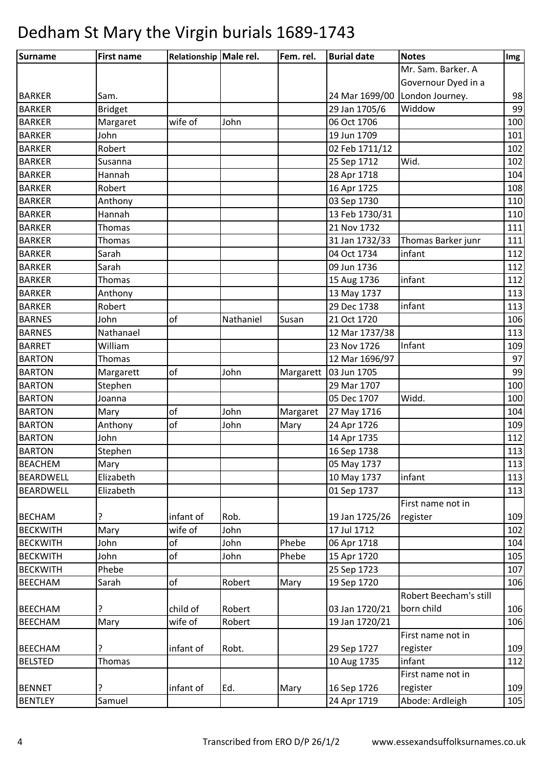| <b>Surname</b>   | <b>First name</b> | Relationship Male rel. |           | Fem. rel. | <b>Burial date</b> | <b>Notes</b>           | Img |
|------------------|-------------------|------------------------|-----------|-----------|--------------------|------------------------|-----|
|                  |                   |                        |           |           |                    | Mr. Sam. Barker. A     |     |
|                  |                   |                        |           |           |                    | Governour Dyed in a    |     |
| <b>BARKER</b>    | Sam.              |                        |           |           | 24 Mar 1699/00     | London Journey.        | 98  |
| <b>BARKER</b>    | <b>Bridget</b>    |                        |           |           | 29 Jan 1705/6      | Widdow                 | 99  |
| <b>BARKER</b>    | Margaret          | wife of                | John      |           | 06 Oct 1706        |                        | 100 |
| <b>BARKER</b>    | John              |                        |           |           | 19 Jun 1709        |                        | 101 |
| <b>BARKER</b>    | Robert            |                        |           |           | 02 Feb 1711/12     |                        | 102 |
| <b>BARKER</b>    | Susanna           |                        |           |           | 25 Sep 1712        | Wid.                   | 102 |
| <b>BARKER</b>    | Hannah            |                        |           |           | 28 Apr 1718        |                        | 104 |
| <b>BARKER</b>    | Robert            |                        |           |           | 16 Apr 1725        |                        | 108 |
| <b>BARKER</b>    | Anthony           |                        |           |           | 03 Sep 1730        |                        | 110 |
| <b>BARKER</b>    | Hannah            |                        |           |           | 13 Feb 1730/31     |                        | 110 |
| <b>BARKER</b>    | <b>Thomas</b>     |                        |           |           | 21 Nov 1732        |                        | 111 |
| <b>BARKER</b>    | <b>Thomas</b>     |                        |           |           | 31 Jan 1732/33     | Thomas Barker junr     | 111 |
| <b>BARKER</b>    | Sarah             |                        |           |           | 04 Oct 1734        | infant                 | 112 |
| <b>BARKER</b>    | Sarah             |                        |           |           | 09 Jun 1736        |                        | 112 |
| <b>BARKER</b>    | Thomas            |                        |           |           | 15 Aug 1736        | infant                 | 112 |
| <b>BARKER</b>    | Anthony           |                        |           |           | 13 May 1737        |                        | 113 |
| <b>BARKER</b>    | Robert            |                        |           |           | 29 Dec 1738        | infant                 | 113 |
| <b>BARNES</b>    | John              | of                     | Nathaniel | Susan     | 21 Oct 1720        |                        | 106 |
| <b>BARNES</b>    | Nathanael         |                        |           |           | 12 Mar 1737/38     |                        | 113 |
| <b>BARRET</b>    | William           |                        |           |           | 23 Nov 1726        | Infant                 | 109 |
| <b>BARTON</b>    | Thomas            |                        |           |           | 12 Mar 1696/97     |                        | 97  |
| <b>BARTON</b>    | Margarett         | of                     | John      | Margarett | 03 Jun 1705        |                        | 99  |
| <b>BARTON</b>    | Stephen           |                        |           |           | 29 Mar 1707        |                        | 100 |
| <b>BARTON</b>    | Joanna            |                        |           |           | 05 Dec 1707        | Widd.                  | 100 |
| <b>BARTON</b>    | Mary              | of                     | John      | Margaret  | 27 May 1716        |                        | 104 |
| <b>BARTON</b>    | Anthony           | of                     | John      | Mary      | 24 Apr 1726        |                        | 109 |
| <b>BARTON</b>    | John              |                        |           |           | 14 Apr 1735        |                        | 112 |
| <b>BARTON</b>    | Stephen           |                        |           |           | 16 Sep 1738        |                        | 113 |
| <b>BEACHEM</b>   | Mary              |                        |           |           | 05 May 1737        |                        | 113 |
| <b>BEARDWELL</b> | Elizabeth         |                        |           |           | 10 May 1737        | infant                 | 113 |
| <b>BEARDWELL</b> | Elizabeth         |                        |           |           | 01 Sep 1737        |                        | 113 |
|                  |                   |                        |           |           |                    | First name not in      |     |
| <b>BECHAM</b>    |                   | infant of              | Rob.      |           | 19 Jan 1725/26     | register               | 109 |
| <b>BECKWITH</b>  | Mary              | wife of                | John      |           | 17 Jul 1712        |                        | 102 |
| <b>BECKWITH</b>  | John              | of                     | John      | Phebe     | 06 Apr 1718        |                        | 104 |
| <b>BECKWITH</b>  | John              | of                     | John      | Phebe     | 15 Apr 1720        |                        | 105 |
| <b>BECKWITH</b>  | Phebe             |                        |           |           | 25 Sep 1723        |                        | 107 |
| <b>BEECHAM</b>   | Sarah             | of                     | Robert    | Mary      | 19 Sep 1720        |                        | 106 |
|                  |                   |                        |           |           |                    | Robert Beecham's still |     |
| <b>BEECHAM</b>   | ?                 | child of               | Robert    |           | 03 Jan 1720/21     | born child             | 106 |
| <b>BEECHAM</b>   | Mary              | wife of                | Robert    |           | 19 Jan 1720/21     |                        | 106 |
|                  |                   |                        |           |           |                    | First name not in      |     |
| <b>BEECHAM</b>   | ?                 | infant of              | Robt.     |           | 29 Sep 1727        | register               | 109 |
| <b>BELSTED</b>   | <b>Thomas</b>     |                        |           |           | 10 Aug 1735        | infant                 | 112 |
|                  |                   |                        |           |           |                    | First name not in      |     |
| <b>BENNET</b>    |                   | infant of              | Ed.       | Mary      | 16 Sep 1726        | register               | 109 |
| <b>BENTLEY</b>   | Samuel            |                        |           |           | 24 Apr 1719        | Abode: Ardleigh        | 105 |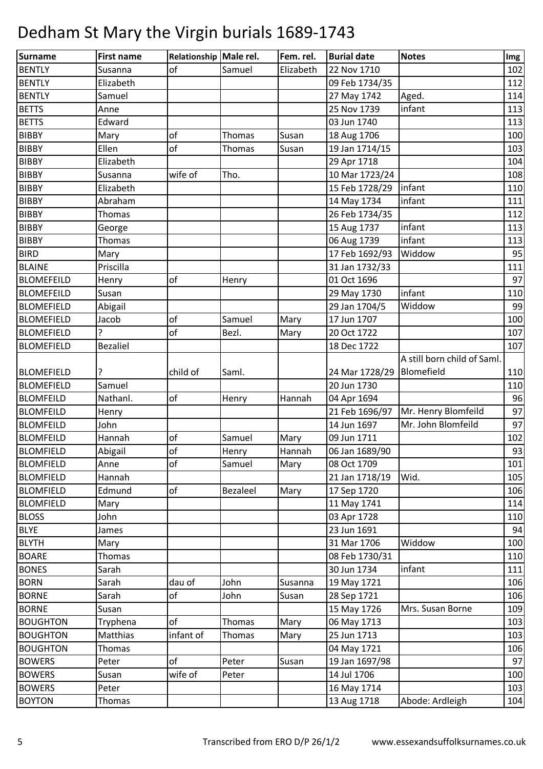| Surname           | <b>First name</b> | Relationship Male rel. |          | Fem. rel. | <b>Burial date</b> | <b>Notes</b>                | Img |
|-------------------|-------------------|------------------------|----------|-----------|--------------------|-----------------------------|-----|
| <b>BENTLY</b>     | Susanna           | of                     | Samuel   | Elizabeth | 22 Nov 1710        |                             | 102 |
| <b>BENTLY</b>     | Elizabeth         |                        |          |           | 09 Feb 1734/35     |                             | 112 |
| <b>BENTLY</b>     | Samuel            |                        |          |           | 27 May 1742        | Aged.                       | 114 |
| <b>BETTS</b>      | Anne              |                        |          |           | 25 Nov 1739        | infant                      | 113 |
| <b>BETTS</b>      | Edward            |                        |          |           | 03 Jun 1740        |                             | 113 |
| <b>BIBBY</b>      | Mary              | of                     | Thomas   | Susan     | 18 Aug 1706        |                             | 100 |
| <b>BIBBY</b>      | Ellen             | of                     | Thomas   | Susan     | 19 Jan 1714/15     |                             | 103 |
| <b>BIBBY</b>      | Elizabeth         |                        |          |           | 29 Apr 1718        |                             | 104 |
| <b>BIBBY</b>      | Susanna           | wife of                | Tho.     |           | 10 Mar 1723/24     |                             | 108 |
| <b>BIBBY</b>      | Elizabeth         |                        |          |           | 15 Feb 1728/29     | infant                      | 110 |
| <b>BIBBY</b>      | Abraham           |                        |          |           | 14 May 1734        | infant                      | 111 |
| <b>BIBBY</b>      | Thomas            |                        |          |           | 26 Feb 1734/35     |                             | 112 |
| <b>BIBBY</b>      | George            |                        |          |           | 15 Aug 1737        | infant                      | 113 |
| <b>BIBBY</b>      | Thomas            |                        |          |           | 06 Aug 1739        | infant                      | 113 |
| <b>BIRD</b>       | Mary              |                        |          |           | 17 Feb 1692/93     | Widdow                      | 95  |
| <b>BLAINE</b>     | Priscilla         |                        |          |           | 31 Jan 1732/33     |                             | 111 |
| <b>BLOMEFEILD</b> | Henry             | of                     | Henry    |           | 01 Oct 1696        |                             | 97  |
| <b>BLOMEFEILD</b> | Susan             |                        |          |           | 29 May 1730        | infant                      | 110 |
| <b>BLOMEFIELD</b> | Abigail           |                        |          |           | 29 Jan 1704/5      | Widdow                      | 99  |
| <b>BLOMEFIELD</b> | Jacob             | of                     | Samuel   | Mary      | 17 Jun 1707        |                             | 100 |
| <b>BLOMEFIELD</b> |                   | of                     | Bezl.    | Mary      | 20 Oct 1722        |                             | 107 |
| <b>BLOMEFIELD</b> | <b>Bezaliel</b>   |                        |          |           | 18 Dec 1722        |                             | 107 |
|                   |                   |                        |          |           |                    | A still born child of Saml. |     |
| <b>BLOMEFIELD</b> |                   | child of               | Saml.    |           | 24 Mar 1728/29     | Blomefield                  | 110 |
| <b>BLOMEFIELD</b> | Samuel            |                        |          |           | 20 Jun 1730        |                             | 110 |
| <b>BLOMFEILD</b>  | Nathanl.          | of                     | Henry    | Hannah    | 04 Apr 1694        |                             | 96  |
| <b>BLOMFEILD</b>  | Henry             |                        |          |           | 21 Feb 1696/97     | Mr. Henry Blomfeild         | 97  |
| <b>BLOMFEILD</b>  | John              |                        |          |           | 14 Jun 1697        | Mr. John Blomfeild          | 97  |
| <b>BLOMFEILD</b>  | Hannah            | of                     | Samuel   | Mary      | 09 Jun 1711        |                             | 102 |
| <b>BLOMFIELD</b>  | Abigail           | of                     | Henry    | Hannah    | 06 Jan 1689/90     |                             | 93  |
| <b>BLOMFIELD</b>  | Anne              | of                     | Samuel   | Mary      | 08 Oct 1709        |                             | 101 |
| <b>BLOMFIELD</b>  | Hannah            |                        |          |           | 21 Jan 1718/19     | Wid.                        | 105 |
| <b>BLOMFIELD</b>  | Edmund            | of                     | Bezaleel | Mary      | 17 Sep 1720        |                             | 106 |
| <b>BLOMFIELD</b>  | Mary              |                        |          |           | 11 May 1741        |                             | 114 |
| <b>BLOSS</b>      | John              |                        |          |           | 03 Apr 1728        |                             | 110 |
| <b>BLYE</b>       | James             |                        |          |           | 23 Jun 1691        |                             | 94  |
| <b>BLYTH</b>      | Mary              |                        |          |           | 31 Mar 1706        | Widdow                      | 100 |
| <b>BOARE</b>      | Thomas            |                        |          |           | 08 Feb 1730/31     |                             | 110 |
| <b>BONES</b>      | Sarah             |                        |          |           | 30 Jun 1734        | infant                      | 111 |
| <b>BORN</b>       | Sarah             | dau of                 | John     | Susanna   | 19 May 1721        |                             | 106 |
| <b>BORNE</b>      | Sarah             | of                     | John     | Susan     | 28 Sep 1721        |                             | 106 |
| <b>BORNE</b>      | Susan             |                        |          |           | 15 May 1726        | Mrs. Susan Borne            | 109 |
| <b>BOUGHTON</b>   | Tryphena          | of                     | Thomas   | Mary      | 06 May 1713        |                             | 103 |
| <b>BOUGHTON</b>   | Matthias          | infant of              | Thomas   | Mary      | 25 Jun 1713        |                             | 103 |
| <b>BOUGHTON</b>   | Thomas            |                        |          |           | 04 May 1721        |                             | 106 |
| <b>BOWERS</b>     | Peter             | of                     | Peter    | Susan     | 19 Jan 1697/98     |                             | 97  |
| <b>BOWERS</b>     | Susan             | wife of                | Peter    |           | 14 Jul 1706        |                             | 100 |
| <b>BOWERS</b>     | Peter             |                        |          |           | 16 May 1714        |                             | 103 |
| <b>BOYTON</b>     | Thomas            |                        |          |           | 13 Aug 1718        | Abode: Ardleigh             | 104 |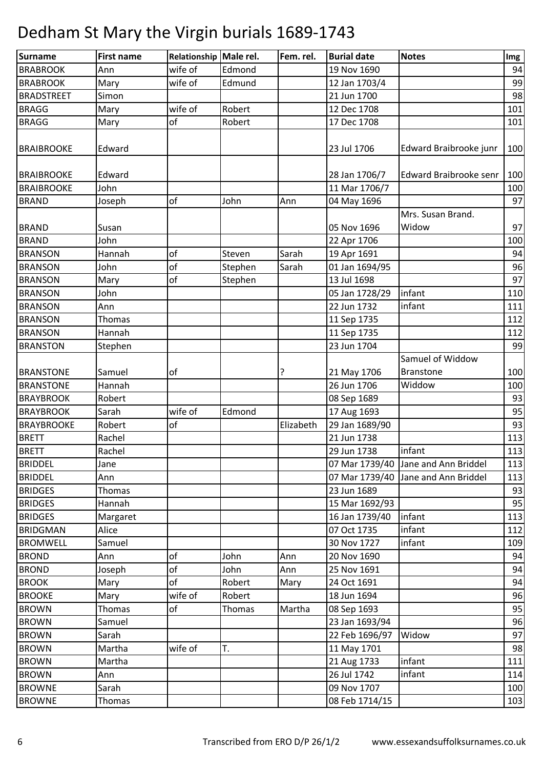| <b>Surname</b>    | <b>First name</b> | Relationship Male rel. |         | Fem. rel. | <b>Burial date</b> | <b>Notes</b>                        | Img      |
|-------------------|-------------------|------------------------|---------|-----------|--------------------|-------------------------------------|----------|
| <b>BRABROOK</b>   | Ann               | wife of                | Edmond  |           | 19 Nov 1690        |                                     | 94       |
| <b>BRABROOK</b>   | Mary              | wife of                | Edmund  |           | 12 Jan 1703/4      |                                     | 99       |
| <b>BRADSTREET</b> | Simon             |                        |         |           | 21 Jun 1700        |                                     | 98       |
| <b>BRAGG</b>      | Mary              | wife of                | Robert  |           | 12 Dec 1708        |                                     | 101      |
| <b>BRAGG</b>      | Mary              | of                     | Robert  |           | 17 Dec 1708        |                                     | 101      |
|                   |                   |                        |         |           |                    |                                     |          |
| <b>BRAIBROOKE</b> | Edward            |                        |         |           | 23 Jul 1706        | Edward Braibrooke junr              | 100      |
| <b>BRAIBROOKE</b> | Edward            |                        |         |           | 28 Jan 1706/7      | <b>Edward Braibrooke senr</b>       | 100      |
| <b>BRAIBROOKE</b> | John              |                        |         |           | 11 Mar 1706/7      |                                     | 100      |
| <b>BRAND</b>      |                   | of                     | John    | Ann       |                    |                                     | 97       |
|                   | Joseph            |                        |         |           | 04 May 1696        | Mrs. Susan Brand.                   |          |
|                   |                   |                        |         |           | 05 Nov 1696        | Widow                               | 97       |
| <b>BRAND</b>      | Susan             |                        |         |           |                    |                                     |          |
| <b>BRAND</b>      | John              |                        |         |           | 22 Apr 1706        |                                     | 100      |
| <b>BRANSON</b>    | Hannah            | of<br>of               | Steven  | Sarah     | 19 Apr 1691        |                                     | 94<br>96 |
| <b>BRANSON</b>    | John              |                        | Stephen | Sarah     | 01 Jan 1694/95     |                                     |          |
| <b>BRANSON</b>    | Mary              | of                     | Stephen |           | 13 Jul 1698        |                                     | 97       |
| <b>BRANSON</b>    | John              |                        |         |           | 05 Jan 1728/29     | infant                              | 110      |
| <b>BRANSON</b>    | Ann               |                        |         |           | 22 Jun 1732        | infant                              | 111      |
| <b>BRANSON</b>    | Thomas            |                        |         |           | 11 Sep 1735        |                                     | 112      |
| <b>BRANSON</b>    | Hannah            |                        |         |           | 11 Sep 1735        |                                     | 112      |
| <b>BRANSTON</b>   | Stephen           |                        |         |           | 23 Jun 1704        |                                     | 99       |
|                   |                   |                        |         |           |                    | Samuel of Widdow                    |          |
| <b>BRANSTONE</b>  | Samuel            | of                     |         |           | 21 May 1706        | <b>Branstone</b>                    | 100      |
| <b>BRANSTONE</b>  | Hannah            |                        |         |           | 26 Jun 1706        | Widdow                              | 100      |
| <b>BRAYBROOK</b>  | Robert            |                        |         |           | 08 Sep 1689        |                                     | 93       |
| <b>BRAYBROOK</b>  | Sarah             | wife of                | Edmond  |           | 17 Aug 1693        |                                     | 95       |
| <b>BRAYBROOKE</b> | Robert            | of                     |         | Elizabeth | 29 Jan 1689/90     |                                     | 93       |
| <b>BRETT</b>      | Rachel            |                        |         |           | 21 Jun 1738        |                                     | 113      |
| <b>BRETT</b>      | Rachel            |                        |         |           | 29 Jun 1738        | infant                              | 113      |
| <b>BRIDDEL</b>    | Jane              |                        |         |           |                    | 07 Mar 1739/40 Jane and Ann Briddel | 113      |
| <b>BRIDDEL</b>    | Ann               |                        |         |           |                    | 07 Mar 1739/40 Jane and Ann Briddel | 113      |
| <b>BRIDGES</b>    | Thomas            |                        |         |           | 23 Jun 1689        |                                     | 93       |
| <b>BRIDGES</b>    | Hannah            |                        |         |           | 15 Mar 1692/93     |                                     | 95       |
| <b>BRIDGES</b>    | Margaret          |                        |         |           | 16 Jan 1739/40     | infant                              | 113      |
| <b>BRIDGMAN</b>   | Alice             |                        |         |           | 07 Oct 1735        | infant                              | 112      |
| <b>BROMWELL</b>   | Samuel            |                        |         |           | 30 Nov 1727        | infant                              | 109      |
| <b>BROND</b>      | Ann               | of                     | John    | Ann       | 20 Nov 1690        |                                     | 94       |
| <b>BROND</b>      | Joseph            | of                     | John    | Ann       | 25 Nov 1691        |                                     | 94       |
| <b>BROOK</b>      | Mary              | of                     | Robert  | Mary      | 24 Oct 1691        |                                     | 94       |
| <b>BROOKE</b>     | Mary              | wife of                | Robert  |           | 18 Jun 1694        |                                     | 96       |
| <b>BROWN</b>      | Thomas            | of                     | Thomas  | Martha    | 08 Sep 1693        |                                     | 95       |
| <b>BROWN</b>      | Samuel            |                        |         |           | 23 Jan 1693/94     |                                     | 96       |
| <b>BROWN</b>      | Sarah             |                        |         |           | 22 Feb 1696/97     | Widow                               | 97       |
| <b>BROWN</b>      | Martha            | wife of                | T.      |           | 11 May 1701        |                                     | 98       |
| <b>BROWN</b>      | Martha            |                        |         |           | 21 Aug 1733        | infant                              | 111      |
| <b>BROWN</b>      | Ann               |                        |         |           | 26 Jul 1742        | infant                              | 114      |
| <b>BROWNE</b>     | Sarah             |                        |         |           | 09 Nov 1707        |                                     | 100      |
| <b>BROWNE</b>     | Thomas            |                        |         |           | 08 Feb 1714/15     |                                     | 103      |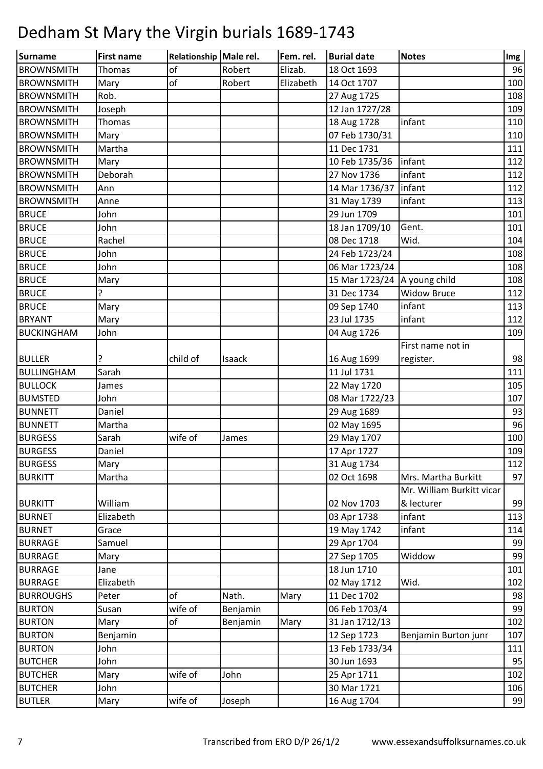| Surname           | <b>First name</b> | Relationship Male rel. |          | Fem. rel. | <b>Burial date</b>      | <b>Notes</b>              | Img |
|-------------------|-------------------|------------------------|----------|-----------|-------------------------|---------------------------|-----|
| <b>BROWNSMITH</b> | Thomas            | of                     | Robert   | Elizab.   | 18 Oct 1693             |                           | 96  |
| <b>BROWNSMITH</b> | Mary              | of                     | Robert   | Elizabeth | 14 Oct 1707             |                           | 100 |
| <b>BROWNSMITH</b> | Rob.              |                        |          |           | 27 Aug 1725             |                           | 108 |
| <b>BROWNSMITH</b> | Joseph            |                        |          |           | 12 Jan 1727/28          |                           | 109 |
| <b>BROWNSMITH</b> | Thomas            |                        |          |           | 18 Aug 1728             | infant                    | 110 |
| <b>BROWNSMITH</b> | Mary              |                        |          |           | 07 Feb 1730/31          |                           | 110 |
| <b>BROWNSMITH</b> | Martha            |                        |          |           | 11 Dec 1731             |                           | 111 |
| <b>BROWNSMITH</b> | Mary              |                        |          |           | 10 Feb 1735/36          | infant                    | 112 |
| <b>BROWNSMITH</b> | Deborah           |                        |          |           | 27 Nov 1736             | infant                    | 112 |
| <b>BROWNSMITH</b> | Ann               |                        |          |           | 14 Mar 1736/37   infant |                           | 112 |
| <b>BROWNSMITH</b> | Anne              |                        |          |           | 31 May 1739             | infant                    | 113 |
| <b>BRUCE</b>      | John              |                        |          |           | 29 Jun 1709             |                           | 101 |
| <b>BRUCE</b>      | John              |                        |          |           | 18 Jan 1709/10          | Gent.                     | 101 |
| <b>BRUCE</b>      | Rachel            |                        |          |           | 08 Dec 1718             | Wid.                      | 104 |
| <b>BRUCE</b>      | John              |                        |          |           | 24 Feb 1723/24          |                           | 108 |
| <b>BRUCE</b>      | John              |                        |          |           | 06 Mar 1723/24          |                           | 108 |
| <b>BRUCE</b>      | Mary              |                        |          |           | 15 Mar 1723/24          | A young child             | 108 |
| <b>BRUCE</b>      | Ċ.                |                        |          |           | 31 Dec 1734             | <b>Widow Bruce</b>        | 112 |
| <b>BRUCE</b>      | Mary              |                        |          |           | 09 Sep 1740             | infant                    | 113 |
| <b>BRYANT</b>     | Mary              |                        |          |           | 23 Jul 1735             | infant                    | 112 |
| <b>BUCKINGHAM</b> | John              |                        |          |           | 04 Aug 1726             |                           | 109 |
|                   |                   |                        |          |           |                         | First name not in         |     |
| <b>BULLER</b>     | ?                 | child of               | Isaack   |           | 16 Aug 1699             | register.                 | 98  |
| <b>BULLINGHAM</b> | Sarah             |                        |          |           | 11 Jul 1731             |                           | 111 |
| <b>BULLOCK</b>    | James             |                        |          |           | 22 May 1720             |                           | 105 |
| <b>BUMSTED</b>    | John              |                        |          |           | 08 Mar 1722/23          |                           | 107 |
| <b>BUNNETT</b>    | Daniel            |                        |          |           | 29 Aug 1689             |                           | 93  |
| <b>BUNNETT</b>    | Martha            |                        |          |           | 02 May 1695             |                           | 96  |
| <b>BURGESS</b>    | Sarah             | wife of                | James    |           | 29 May 1707             |                           | 100 |
| <b>BURGESS</b>    | Daniel            |                        |          |           | 17 Apr 1727             |                           | 109 |
| <b>BURGESS</b>    | Mary              |                        |          |           | 31 Aug 1734             |                           | 112 |
| <b>BURKITT</b>    | Martha            |                        |          |           | 02 Oct 1698             | Mrs. Martha Burkitt       | 97  |
|                   |                   |                        |          |           |                         | Mr. William Burkitt vicar |     |
| <b>BURKITT</b>    | William           |                        |          |           | 02 Nov 1703             | & lecturer                | 99  |
| <b>BURNET</b>     | Elizabeth         |                        |          |           | 03 Apr 1738             | infant                    | 113 |
| <b>BURNET</b>     | Grace             |                        |          |           | 19 May 1742             | infant                    | 114 |
| <b>BURRAGE</b>    | Samuel            |                        |          |           | 29 Apr 1704             |                           | 99  |
| <b>BURRAGE</b>    | Mary              |                        |          |           | 27 Sep 1705             | Widdow                    | 99  |
| <b>BURRAGE</b>    | Jane              |                        |          |           | 18 Jun 1710             |                           | 101 |
| <b>BURRAGE</b>    | Elizabeth         |                        |          |           | 02 May 1712             | Wid.                      | 102 |
| <b>BURROUGHS</b>  | Peter             | of                     | Nath.    | Mary      | 11 Dec 1702             |                           | 98  |
| <b>BURTON</b>     | Susan             | wife of                | Benjamin |           | 06 Feb 1703/4           |                           | 99  |
| <b>BURTON</b>     | Mary              | of                     | Benjamin | Mary      | 31 Jan 1712/13          |                           | 102 |
| <b>BURTON</b>     | Benjamin          |                        |          |           | 12 Sep 1723             | Benjamin Burton junr      | 107 |
| <b>BURTON</b>     | John              |                        |          |           | 13 Feb 1733/34          |                           | 111 |
| <b>BUTCHER</b>    | John              |                        |          |           | 30 Jun 1693             |                           | 95  |
| <b>BUTCHER</b>    | Mary              | wife of                | John     |           | 25 Apr 1711             |                           | 102 |
| <b>BUTCHER</b>    | John              |                        |          |           | 30 Mar 1721             |                           | 106 |
| <b>BUTLER</b>     | Mary              | wife of                | Joseph   |           | 16 Aug 1704             |                           | 99  |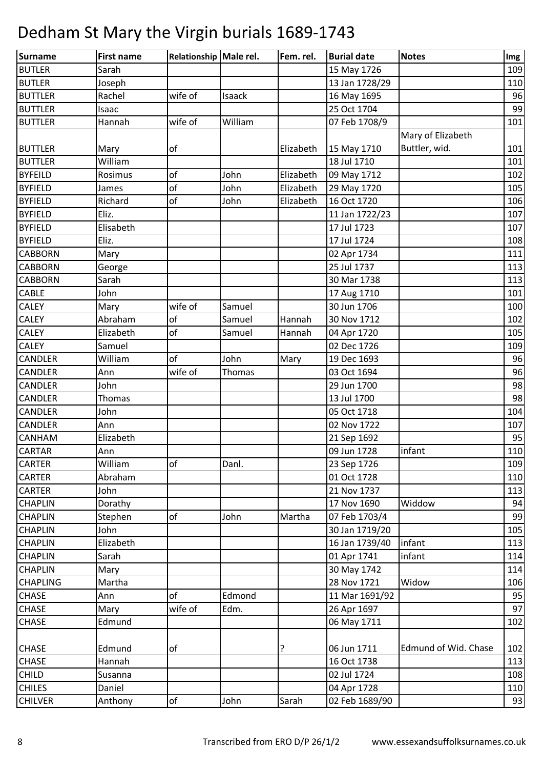| Surname         | <b>First name</b> | Relationship Male rel. |         | Fem. rel. | <b>Burial date</b> | <b>Notes</b>         | Img |
|-----------------|-------------------|------------------------|---------|-----------|--------------------|----------------------|-----|
| <b>BUTLER</b>   | Sarah             |                        |         |           | 15 May 1726        |                      | 109 |
| <b>BUTLER</b>   | Joseph            |                        |         |           | 13 Jan 1728/29     |                      | 110 |
| <b>BUTTLER</b>  | Rachel            | wife of                | Isaack  |           | 16 May 1695        |                      | 96  |
| <b>BUTTLER</b>  | Isaac             |                        |         |           | 25 Oct 1704        |                      | 99  |
| <b>BUTTLER</b>  | Hannah            | wife of                | William |           | 07 Feb 1708/9      |                      | 101 |
|                 |                   |                        |         |           |                    | Mary of Elizabeth    |     |
| <b>BUTTLER</b>  | Mary              | of                     |         | Elizabeth | 15 May 1710        | Buttler, wid.        | 101 |
| <b>BUTTLER</b>  | William           |                        |         |           | 18 Jul 1710        |                      | 101 |
| <b>BYFEILD</b>  | Rosimus           | of                     | John    | Elizabeth | 09 May 1712        |                      | 102 |
| <b>BYFIELD</b>  | James             | of                     | John    | Elizabeth | 29 May 1720        |                      | 105 |
| <b>BYFIELD</b>  | Richard           | of                     | John    | Elizabeth | 16 Oct 1720        |                      | 106 |
| <b>BYFIELD</b>  | Eliz.             |                        |         |           | 11 Jan 1722/23     |                      | 107 |
| <b>BYFIELD</b>  | Elisabeth         |                        |         |           | 17 Jul 1723        |                      | 107 |
| <b>BYFIELD</b>  | Eliz.             |                        |         |           | 17 Jul 1724        |                      | 108 |
| <b>CABBORN</b>  | Mary              |                        |         |           | 02 Apr 1734        |                      | 111 |
| <b>CABBORN</b>  | George            |                        |         |           | 25 Jul 1737        |                      | 113 |
| <b>CABBORN</b>  | Sarah             |                        |         |           | 30 Mar 1738        |                      | 113 |
| <b>CABLE</b>    | John              |                        |         |           | 17 Aug 1710        |                      | 101 |
| <b>CALEY</b>    | Mary              | wife of                | Samuel  |           | 30 Jun 1706        |                      | 100 |
| <b>CALEY</b>    | Abraham           | of                     | Samuel  | Hannah    | 30 Nov 1712        |                      | 102 |
| <b>CALEY</b>    | Elizabeth         | of                     | Samuel  | Hannah    | 04 Apr 1720        |                      | 105 |
| <b>CALEY</b>    | Samuel            |                        |         |           | 02 Dec 1726        |                      | 109 |
| <b>CANDLER</b>  | William           | of                     | John    | Mary      | 19 Dec 1693        |                      | 96  |
| <b>CANDLER</b>  | Ann               | wife of                | Thomas  |           | 03 Oct 1694        |                      | 96  |
| <b>CANDLER</b>  | John              |                        |         |           | 29 Jun 1700        |                      | 98  |
| <b>CANDLER</b>  | Thomas            |                        |         |           | 13 Jul 1700        |                      | 98  |
| <b>CANDLER</b>  | John              |                        |         |           | 05 Oct 1718        |                      | 104 |
| <b>CANDLER</b>  | Ann               |                        |         |           | 02 Nov 1722        |                      | 107 |
| <b>CANHAM</b>   | Elizabeth         |                        |         |           | 21 Sep 1692        |                      | 95  |
| <b>CARTAR</b>   | Ann               |                        |         |           | 09 Jun 1728        | infant               | 110 |
| <b>CARTER</b>   | William           | of                     | Danl.   |           | 23 Sep 1726        |                      | 109 |
| <b>CARTER</b>   | Abraham           |                        |         |           | 01 Oct 1728        |                      | 110 |
| <b>CARTER</b>   | John              |                        |         |           | 21 Nov 1737        |                      | 113 |
| <b>CHAPLIN</b>  | Dorathy           |                        |         |           | 17 Nov 1690        | Widdow               | 94  |
| <b>CHAPLIN</b>  | Stephen           | of                     | John    | Martha    | 07 Feb 1703/4      |                      | 99  |
| <b>CHAPLIN</b>  | John              |                        |         |           | 30 Jan 1719/20     |                      | 105 |
| <b>CHAPLIN</b>  | Elizabeth         |                        |         |           | 16 Jan 1739/40     | infant               | 113 |
| <b>CHAPLIN</b>  | Sarah             |                        |         |           | 01 Apr 1741        | infant               | 114 |
| <b>CHAPLIN</b>  | Mary              |                        |         |           | 30 May 1742        |                      | 114 |
| <b>CHAPLING</b> | Martha            |                        |         |           | 28 Nov 1721        | Widow                | 106 |
| <b>CHASE</b>    | Ann               | of                     | Edmond  |           | 11 Mar 1691/92     |                      | 95  |
| <b>CHASE</b>    | Mary              | wife of                | Edm.    |           | 26 Apr 1697        |                      | 97  |
| <b>CHASE</b>    | Edmund            |                        |         |           | 06 May 1711        |                      | 102 |
|                 |                   |                        |         |           |                    |                      |     |
| <b>CHASE</b>    | Edmund            | of                     |         | ?         | 06 Jun 1711        | Edmund of Wid. Chase | 102 |
| <b>CHASE</b>    | Hannah            |                        |         |           | 16 Oct 1738        |                      | 113 |
| <b>CHILD</b>    | Susanna           |                        |         |           | 02 Jul 1724        |                      | 108 |
| <b>CHILES</b>   | Daniel            |                        |         |           | 04 Apr 1728        |                      | 110 |
| <b>CHILVER</b>  | Anthony           | оf                     | John    | Sarah     | 02 Feb 1689/90     |                      | 93  |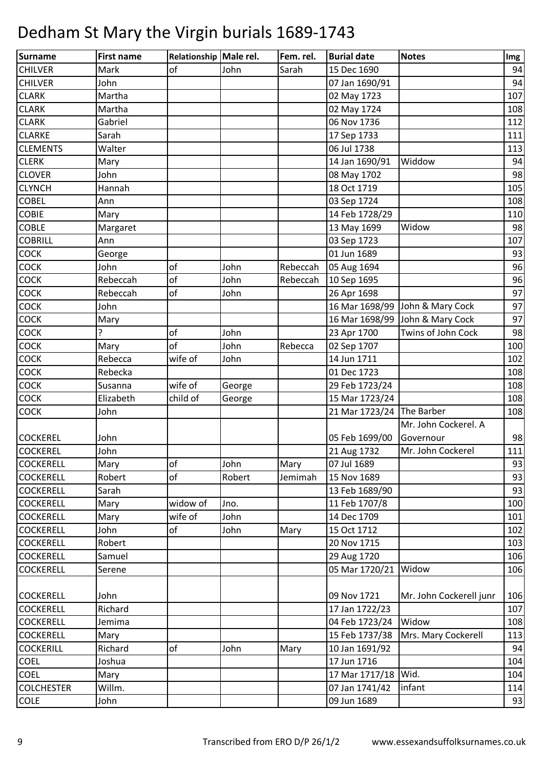| Surname           | <b>First name</b> | Relationship Male rel. |        | Fem. rel. | <b>Burial date</b>        | <b>Notes</b>                    | Img |
|-------------------|-------------------|------------------------|--------|-----------|---------------------------|---------------------------------|-----|
| <b>CHILVER</b>    | Mark              | of                     | John   | Sarah     | 15 Dec 1690               |                                 | 94  |
| <b>CHILVER</b>    | John              |                        |        |           | 07 Jan 1690/91            |                                 | 94  |
| <b>CLARK</b>      | Martha            |                        |        |           | 02 May 1723               |                                 | 107 |
| <b>CLARK</b>      | Martha            |                        |        |           | 02 May 1724               |                                 | 108 |
| <b>CLARK</b>      | Gabriel           |                        |        |           | 06 Nov 1736               |                                 | 112 |
| <b>CLARKE</b>     | Sarah             |                        |        |           | 17 Sep 1733               |                                 | 111 |
| <b>CLEMENTS</b>   | Walter            |                        |        |           | 06 Jul 1738               |                                 | 113 |
| <b>CLERK</b>      | Mary              |                        |        |           | 14 Jan 1690/91            | Widdow                          | 94  |
| <b>CLOVER</b>     | John              |                        |        |           | 08 May 1702               |                                 | 98  |
| <b>CLYNCH</b>     | Hannah            |                        |        |           | 18 Oct 1719               |                                 | 105 |
| <b>COBEL</b>      | Ann               |                        |        |           | 03 Sep 1724               |                                 | 108 |
| <b>COBIE</b>      | Mary              |                        |        |           | 14 Feb 1728/29            |                                 | 110 |
| <b>COBLE</b>      | Margaret          |                        |        |           | 13 May 1699               | Widow                           | 98  |
| <b>COBRILL</b>    | Ann               |                        |        |           | 03 Sep 1723               |                                 | 107 |
| <b>COCK</b>       | George            |                        |        |           | 01 Jun 1689               |                                 | 93  |
| <b>COCK</b>       | John              | of                     | John   | Rebeccah  | 05 Aug 1694               |                                 | 96  |
| COCK              | Rebeccah          | of                     | John   | Rebeccah  | 10 Sep 1695               |                                 | 96  |
| <b>COCK</b>       | Rebeccah          | of                     | John   |           | 26 Apr 1698               |                                 | 97  |
| <b>COCK</b>       | John              |                        |        |           |                           | 16 Mar 1698/99 John & Mary Cock | 97  |
| <b>COCK</b>       | Mary              |                        |        |           |                           | 16 Mar 1698/99 John & Mary Cock | 97  |
| <b>COCK</b>       | 7                 | of                     | John   |           | 23 Apr 1700               | Twins of John Cock              | 98  |
| COCK              | Mary              | of                     | John   | Rebecca   | 02 Sep 1707               |                                 | 100 |
| <b>COCK</b>       | Rebecca           | wife of                | John   |           | 14 Jun 1711               |                                 | 102 |
| <b>COCK</b>       | Rebecka           |                        |        |           | 01 Dec 1723               |                                 | 108 |
| COCK              | Susanna           | wife of                | George |           | 29 Feb 1723/24            |                                 | 108 |
| <b>COCK</b>       | Elizabeth         | child of               | George |           | 15 Mar 1723/24            |                                 | 108 |
| <b>COCK</b>       | John              |                        |        |           | 21 Mar 1723/24 The Barber |                                 | 108 |
|                   |                   |                        |        |           |                           | Mr. John Cockerel. A            |     |
| <b>COCKEREL</b>   | John              |                        |        |           | 05 Feb 1699/00            | Governour                       | 98  |
| <b>COCKEREL</b>   | John              |                        |        |           | 21 Aug 1732               | Mr. John Cockerel               | 111 |
| <b>COCKERELL</b>  | Mary              | of                     | John   | Mary      | 07 Jul 1689               |                                 | 93  |
| <b>COCKERELL</b>  | Robert            | of                     | Robert | Jemimah   | 15 Nov 1689               |                                 | 93  |
| <b>COCKERELL</b>  | Sarah             |                        |        |           | 13 Feb 1689/90            |                                 | 93  |
| <b>COCKERELL</b>  | Mary              | widow of               | Jno.   |           | 11 Feb 1707/8             |                                 | 100 |
| <b>COCKERELL</b>  | Mary              | wife of                | John   |           | 14 Dec 1709               |                                 | 101 |
| <b>COCKERELL</b>  | John              | of                     | John   | Mary      | 15 Oct 1712               |                                 | 102 |
| <b>COCKERELL</b>  | Robert            |                        |        |           | 20 Nov 1715               |                                 | 103 |
| <b>COCKERELL</b>  | Samuel            |                        |        |           | 29 Aug 1720               |                                 | 106 |
| <b>COCKERELL</b>  | Serene            |                        |        |           | 05 Mar 1720/21            | Widow                           | 106 |
|                   |                   |                        |        |           |                           |                                 |     |
| <b>COCKERELL</b>  | John              |                        |        |           | 09 Nov 1721               | Mr. John Cockerell junr         | 106 |
| <b>COCKERELL</b>  | Richard           |                        |        |           | 17 Jan 1722/23            |                                 | 107 |
| <b>COCKERELL</b>  | Jemima            |                        |        |           | 04 Feb 1723/24            | Widow                           | 108 |
| <b>COCKERELL</b>  | Mary              |                        |        |           | 15 Feb 1737/38            | Mrs. Mary Cockerell             | 113 |
| <b>COCKERILL</b>  | Richard           | of                     | John   | Mary      | 10 Jan 1691/92            |                                 | 94  |
| <b>COEL</b>       | Joshua            |                        |        |           | 17 Jun 1716               |                                 | 104 |
| <b>COEL</b>       | Mary              |                        |        |           | 17 Mar 1717/18            | Wid.                            | 104 |
| <b>COLCHESTER</b> | Willm.            |                        |        |           | 07 Jan 1741/42            | infant                          | 114 |
| <b>COLE</b>       | John              |                        |        |           | 09 Jun 1689               |                                 | 93  |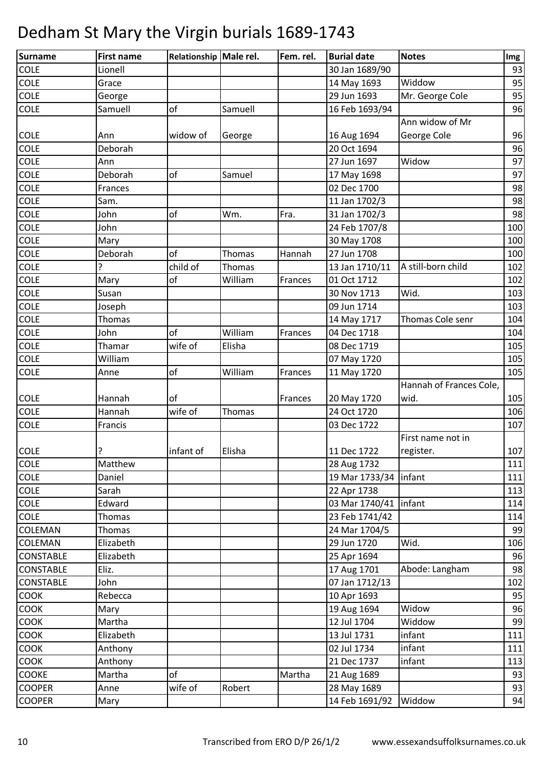| <b>Surname</b>   | <b>First name</b> | Relationship Male rel. |               | Fem. rel. | <b>Burial date</b>      | <b>Notes</b>            | Img |
|------------------|-------------------|------------------------|---------------|-----------|-------------------------|-------------------------|-----|
| <b>COLE</b>      | Lionell           |                        |               |           | 30 Jan 1689/90          |                         | 93  |
| <b>COLE</b>      | Grace             |                        |               |           | 14 May 1693             | Widdow                  | 95  |
| <b>COLE</b>      | George            |                        |               |           | 29 Jun 1693             | Mr. George Cole         | 95  |
| <b>COLE</b>      | Samuell           | of                     | Samuell       |           | 16 Feb 1693/94          |                         | 96  |
|                  |                   |                        |               |           |                         | Ann widow of Mr         |     |
| <b>COLE</b>      | Ann               | widow of               | George        |           | 16 Aug 1694             | George Cole             | 96  |
| COLE             | Deborah           |                        |               |           | 20 Oct 1694             |                         | 96  |
| <b>COLE</b>      | Ann               |                        |               |           | 27 Jun 1697             | Widow                   | 97  |
| <b>COLE</b>      | Deborah           | of                     | Samuel        |           | 17 May 1698             |                         | 97  |
| COLE             | Frances           |                        |               |           | 02 Dec 1700             |                         | 98  |
| <b>COLE</b>      | Sam.              |                        |               |           | 11 Jan 1702/3           |                         | 98  |
| COLE             | John              | of                     | Wm.           | Fra.      | 31 Jan 1702/3           |                         | 98  |
| <b>COLE</b>      | John              |                        |               |           | 24 Feb 1707/8           |                         | 100 |
| <b>COLE</b>      | Mary              |                        |               |           | 30 May 1708             |                         | 100 |
| COLE             | Deborah           | of                     | <b>Thomas</b> | Hannah    | 27 Jun 1708             |                         | 100 |
| <b>COLE</b>      | 7                 | child of               | <b>Thomas</b> |           | 13 Jan 1710/11          | A still-born child      | 102 |
| COLE             | Mary              | of                     | William       | Frances   | 01 Oct 1712             |                         | 102 |
| <b>COLE</b>      | Susan             |                        |               |           | 30 Nov 1713             | Wid.                    | 103 |
| <b>COLE</b>      | Joseph            |                        |               |           | 09 Jun 1714             |                         | 103 |
| COLE             | Thomas            |                        |               |           | 14 May 1717             | Thomas Cole senr        | 104 |
| <b>COLE</b>      | John              | of                     | William       | Frances   | 04 Dec 1718             |                         | 104 |
| COLE             | Thamar            | wife of                | Elisha        |           | 08 Dec 1719             |                         | 105 |
| <b>COLE</b>      | William           |                        |               |           | 07 May 1720             |                         | 105 |
| <b>COLE</b>      | Anne              | of                     | William       | Frances   | 11 May 1720             |                         | 105 |
|                  |                   |                        |               |           |                         | Hannah of Frances Cole, |     |
| <b>COLE</b>      | Hannah            | of                     |               | Frances   | 20 May 1720             | wid.                    | 105 |
| <b>COLE</b>      | Hannah            | wife of                | Thomas        |           | 24 Oct 1720             |                         | 106 |
| <b>COLE</b>      | Francis           |                        |               |           | 03 Dec 1722             |                         | 107 |
|                  |                   |                        |               |           |                         | First name not in       |     |
| <b>COLE</b>      | ?                 | infant of              | Elisha        |           | 11 Dec 1722             | register.               | 107 |
| <b>COLE</b>      | Matthew           |                        |               |           | 28 Aug 1732             |                         | 111 |
| COLE             | Daniel            |                        |               |           | 19 Mar 1733/34   infant |                         | 111 |
| <b>COLE</b>      | Sarah             |                        |               |           | 22 Apr 1738             |                         | 113 |
| <b>COLE</b>      | Edward            |                        |               |           | 03 Mar 1740/41   infant |                         | 114 |
| <b>COLE</b>      | Thomas            |                        |               |           | 23 Feb 1741/42          |                         | 114 |
| <b>COLEMAN</b>   | Thomas            |                        |               |           | 24 Mar 1704/5           |                         | 99  |
| <b>COLEMAN</b>   | Elizabeth         |                        |               |           | 29 Jun 1720             | Wid.                    | 106 |
| <b>CONSTABLE</b> | Elizabeth         |                        |               |           | 25 Apr 1694             |                         | 96  |
| <b>CONSTABLE</b> | Eliz.             |                        |               |           | 17 Aug 1701             | Abode: Langham          | 98  |
| <b>CONSTABLE</b> | John              |                        |               |           | 07 Jan 1712/13          |                         | 102 |
| <b>COOK</b>      | Rebecca           |                        |               |           | 10 Apr 1693             |                         | 95  |
| <b>COOK</b>      | Mary              |                        |               |           | 19 Aug 1694             | Widow                   | 96  |
| COOK             | Martha            |                        |               |           | 12 Jul 1704             | Widdow                  | 99  |
| <b>COOK</b>      | Elizabeth         |                        |               |           | 13 Jul 1731             | infant                  | 111 |
| <b>COOK</b>      | Anthony           |                        |               |           | 02 Jul 1734             | infant                  | 111 |
| <b>COOK</b>      | Anthony           |                        |               |           | 21 Dec 1737             | infant                  | 113 |
| <b>COOKE</b>     | Martha            | <sub>of</sub>          |               | Martha    | 21 Aug 1689             |                         | 93  |
| <b>COOPER</b>    | Anne              | wife of                | Robert        |           | 28 May 1689             |                         | 93  |
| <b>COOPER</b>    | Mary              |                        |               |           | 14 Feb 1691/92          | Widdow                  | 94  |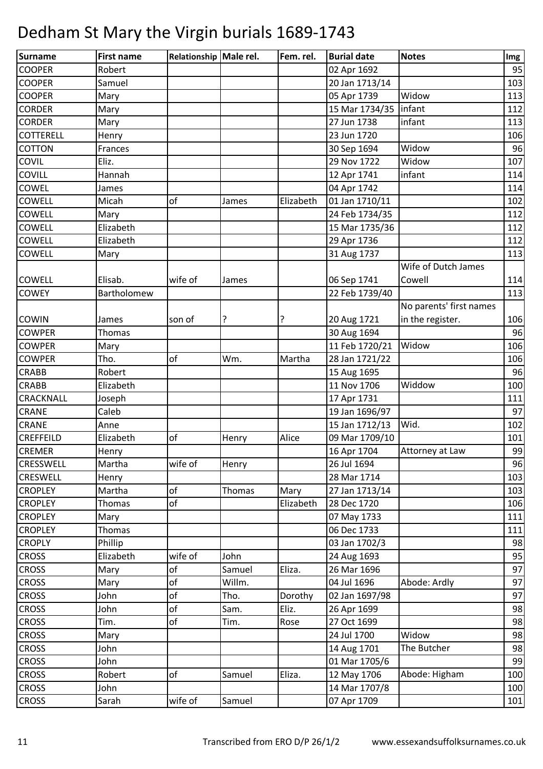| <b>Surname</b>   | <b>First name</b> | Relationship Male rel. |        | Fem. rel. | <b>Burial date</b>      | <b>Notes</b>            | Img |
|------------------|-------------------|------------------------|--------|-----------|-------------------------|-------------------------|-----|
| <b>COOPER</b>    | Robert            |                        |        |           | 02 Apr 1692             |                         | 95  |
| <b>COOPER</b>    | Samuel            |                        |        |           | 20 Jan 1713/14          |                         | 103 |
| <b>COOPER</b>    | Mary              |                        |        |           | 05 Apr 1739             | Widow                   | 113 |
| <b>CORDER</b>    | Mary              |                        |        |           | 15 Mar 1734/35   infant |                         | 112 |
| <b>CORDER</b>    | Mary              |                        |        |           | 27 Jun 1738             | infant                  | 113 |
| <b>COTTERELL</b> | Henry             |                        |        |           | 23 Jun 1720             |                         | 106 |
| <b>COTTON</b>    | Frances           |                        |        |           | 30 Sep 1694             | Widow                   | 96  |
| <b>COVIL</b>     | Eliz.             |                        |        |           | 29 Nov 1722             | Widow                   | 107 |
| <b>COVILL</b>    | Hannah            |                        |        |           | 12 Apr 1741             | infant                  | 114 |
| <b>COWEL</b>     | James             |                        |        |           | 04 Apr 1742             |                         | 114 |
| <b>COWELL</b>    | Micah             | of                     | James  | Elizabeth | 01 Jan 1710/11          |                         | 102 |
| <b>COWELL</b>    | Mary              |                        |        |           | 24 Feb 1734/35          |                         | 112 |
| <b>COWELL</b>    | Elizabeth         |                        |        |           | 15 Mar 1735/36          |                         | 112 |
| <b>COWELL</b>    | Elizabeth         |                        |        |           | 29 Apr 1736             |                         | 112 |
| <b>COWELL</b>    | Mary              |                        |        |           | 31 Aug 1737             |                         | 113 |
|                  |                   |                        |        |           |                         | Wife of Dutch James     |     |
| <b>COWELL</b>    | Elisab.           | wife of                | James  |           | 06 Sep 1741             | Cowell                  | 114 |
| <b>COWEY</b>     | Bartholomew       |                        |        |           | 22 Feb 1739/40          |                         | 113 |
|                  |                   |                        |        |           |                         | No parents' first names |     |
| <b>COWIN</b>     | James             | son of                 | ?      |           | 20 Aug 1721             | in the register.        | 106 |
| <b>COWPER</b>    | <b>Thomas</b>     |                        |        |           | 30 Aug 1694             |                         | 96  |
| <b>COWPER</b>    | Mary              |                        |        |           | 11 Feb 1720/21          | Widow                   | 106 |
| <b>COWPER</b>    | Tho.              | of                     | Wm.    | Martha    | 28 Jan 1721/22          |                         | 106 |
| <b>CRABB</b>     | Robert            |                        |        |           | 15 Aug 1695             |                         | 96  |
| <b>CRABB</b>     | Elizabeth         |                        |        |           | 11 Nov 1706             | Widdow                  | 100 |
| <b>CRACKNALL</b> | Joseph            |                        |        |           | 17 Apr 1731             |                         | 111 |
| <b>CRANE</b>     | Caleb             |                        |        |           | 19 Jan 1696/97          |                         | 97  |
| <b>CRANE</b>     | Anne              |                        |        |           | 15 Jan 1712/13          | Wid.                    | 102 |
| <b>CREFFEILD</b> | Elizabeth         | of                     | Henry  | Alice     | 09 Mar 1709/10          |                         | 101 |
| <b>CREMER</b>    | Henry             |                        |        |           | 16 Apr 1704             | Attorney at Law         | 99  |
| <b>CRESSWELL</b> | Martha            | wife of                | Henry  |           | 26 Jul 1694             |                         | 96  |
| <b>CRESWELL</b>  | Henry             |                        |        |           | 28 Mar 1714             |                         | 103 |
| <b>CROPLEY</b>   | Martha            | of                     | Thomas | Mary      | 27 Jan 1713/14          |                         | 103 |
| <b>CROPLEY</b>   | Thomas            | of                     |        | Elizabeth | 28 Dec 1720             |                         | 106 |
| <b>CROPLEY</b>   | Mary              |                        |        |           | 07 May 1733             |                         | 111 |
| <b>CROPLEY</b>   | <b>Thomas</b>     |                        |        |           | 06 Dec 1733             |                         | 111 |
| <b>CROPLY</b>    | Phillip           |                        |        |           | 03 Jan 1702/3           |                         | 98  |
| <b>CROSS</b>     | Elizabeth         | wife of                | John   |           | 24 Aug 1693             |                         | 95  |
| <b>CROSS</b>     | Mary              | of                     | Samuel | Eliza.    | 26 Mar 1696             |                         | 97  |
| <b>CROSS</b>     | Mary              | of                     | Willm. |           | 04 Jul 1696             | Abode: Ardly            | 97  |
| <b>CROSS</b>     | John              | of                     | Tho.   | Dorothy   | 02 Jan 1697/98          |                         | 97  |
| <b>CROSS</b>     | John              | of                     | Sam.   | Eliz.     | 26 Apr 1699             |                         | 98  |
| <b>CROSS</b>     | Tim.              | of                     | Tim.   | Rose      | 27 Oct 1699             |                         | 98  |
| <b>CROSS</b>     | Mary              |                        |        |           | 24 Jul 1700             | Widow                   | 98  |
| <b>CROSS</b>     | John              |                        |        |           | 14 Aug 1701             | The Butcher             | 98  |
| <b>CROSS</b>     | John              |                        |        |           | 01 Mar 1705/6           |                         | 99  |
| <b>CROSS</b>     | Robert            | of                     | Samuel | Eliza.    | 12 May 1706             | Abode: Higham           | 100 |
| <b>CROSS</b>     | John              |                        |        |           | 14 Mar 1707/8           |                         | 100 |
| <b>CROSS</b>     | Sarah             | wife of                | Samuel |           | 07 Apr 1709             |                         | 101 |
|                  |                   |                        |        |           |                         |                         |     |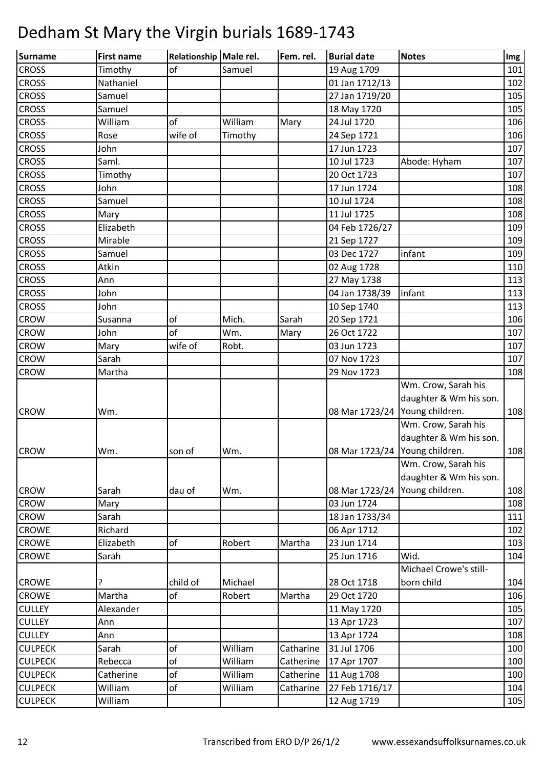| Surname        | <b>First name</b> | Relationship Male rel. |         | Fem. rel. | <b>Burial date</b>             | <b>Notes</b>           | Img |
|----------------|-------------------|------------------------|---------|-----------|--------------------------------|------------------------|-----|
| <b>CROSS</b>   | Timothy           | of                     | Samuel  |           | 19 Aug 1709                    |                        | 101 |
| <b>CROSS</b>   | Nathaniel         |                        |         |           | 01 Jan 1712/13                 |                        | 102 |
| <b>CROSS</b>   | Samuel            |                        |         |           | 27 Jan 1719/20                 |                        | 105 |
| <b>CROSS</b>   | Samuel            |                        |         |           | 18 May 1720                    |                        | 105 |
| <b>CROSS</b>   | William           | of                     | William | Mary      | 24 Jul 1720                    |                        | 106 |
| <b>CROSS</b>   | Rose              | wife of                | Timothy |           | 24 Sep 1721                    |                        | 106 |
| <b>CROSS</b>   | John              |                        |         |           | 17 Jun 1723                    |                        | 107 |
| <b>CROSS</b>   | Saml.             |                        |         |           | 10 Jul 1723                    | Abode: Hyham           | 107 |
| <b>CROSS</b>   | Timothy           |                        |         |           | 20 Oct 1723                    |                        | 107 |
| <b>CROSS</b>   | John              |                        |         |           | 17 Jun 1724                    |                        | 108 |
| <b>CROSS</b>   | Samuel            |                        |         |           | 10 Jul 1724                    |                        | 108 |
| <b>CROSS</b>   | Mary              |                        |         |           | 11 Jul 1725                    |                        | 108 |
| <b>CROSS</b>   | Elizabeth         |                        |         |           | 04 Feb 1726/27                 |                        | 109 |
| <b>CROSS</b>   | Mirable           |                        |         |           | 21 Sep 1727                    |                        | 109 |
| <b>CROSS</b>   | Samuel            |                        |         |           | 03 Dec 1727                    | infant                 | 109 |
| <b>CROSS</b>   | Atkin             |                        |         |           | 02 Aug 1728                    |                        | 110 |
| <b>CROSS</b>   | Ann               |                        |         |           | 27 May 1738                    |                        | 113 |
| <b>CROSS</b>   | John              |                        |         |           | 04 Jan 1738/39                 | infant                 | 113 |
| <b>CROSS</b>   | John              |                        |         |           | 10 Sep 1740                    |                        | 113 |
| <b>CROW</b>    | Susanna           | of                     | Mich.   | Sarah     | 20 Sep 1721                    |                        | 106 |
| <b>CROW</b>    | John              | of                     | Wm.     | Mary      | 26 Oct 1722                    |                        | 107 |
| <b>CROW</b>    | Mary              | wife of                | Robt.   |           | 03 Jun 1723                    |                        | 107 |
| <b>CROW</b>    | Sarah             |                        |         |           | 07 Nov 1723                    |                        | 107 |
| <b>CROW</b>    | Martha            |                        |         |           | 29 Nov 1723                    |                        | 108 |
|                |                   |                        |         |           |                                | Wm. Crow, Sarah his    |     |
|                |                   |                        |         |           |                                | daughter & Wm his son. |     |
| <b>CROW</b>    | Wm.               |                        |         |           | 08 Mar 1723/24 Young children. |                        | 108 |
|                |                   |                        |         |           |                                | Wm. Crow, Sarah his    |     |
|                |                   |                        |         |           |                                | daughter & Wm his son. |     |
| <b>CROW</b>    | Wm.               | son of                 | Wm.     |           | 08 Mar 1723/24 Young children. |                        | 108 |
|                |                   |                        |         |           |                                | Wm. Crow, Sarah his    |     |
|                |                   |                        |         |           |                                | daughter & Wm his son. |     |
| <b>CROW</b>    | Sarah             | dau of                 | Wm.     |           | 08 Mar 1723/24 Young children. |                        | 108 |
| <b>CROW</b>    | Mary              |                        |         |           | 03 Jun 1724                    |                        | 108 |
| <b>CROW</b>    | Sarah             |                        |         |           | 18 Jan 1733/34                 |                        | 111 |
| <b>CROWE</b>   | Richard           |                        |         |           | 06 Apr 1712                    |                        | 102 |
| <b>CROWE</b>   | Elizabeth         | of                     | Robert  | Martha    | 23 Jun 1714                    |                        | 103 |
| <b>CROWE</b>   | Sarah             |                        |         |           | 25 Jun 1716                    | Wid.                   | 104 |
|                |                   |                        |         |           |                                | Michael Crowe's still- |     |
| <b>CROWE</b>   | ?                 | child of               | Michael |           | 28 Oct 1718                    | born child             | 104 |
| <b>CROWE</b>   | Martha            | of                     | Robert  | Martha    | 29 Oct 1720                    |                        | 106 |
| <b>CULLEY</b>  | Alexander         |                        |         |           | 11 May 1720                    |                        | 105 |
| <b>CULLEY</b>  | Ann               |                        |         |           | 13 Apr 1723                    |                        | 107 |
| <b>CULLEY</b>  | Ann               |                        |         |           | 13 Apr 1724                    |                        | 108 |
| <b>CULPECK</b> | Sarah             | of                     | William | Catharine | 31 Jul 1706                    |                        | 100 |
| <b>CULPECK</b> | Rebecca           | of                     | William | Catherine | 17 Apr 1707                    |                        | 100 |
| <b>CULPECK</b> | Catherine         | of                     | William | Catherine | 11 Aug 1708                    |                        | 100 |
| <b>CULPECK</b> | William           | of                     | William | Catharine | 27 Feb 1716/17                 |                        | 104 |
| <b>CULPECK</b> | William           |                        |         |           | 12 Aug 1719                    |                        | 105 |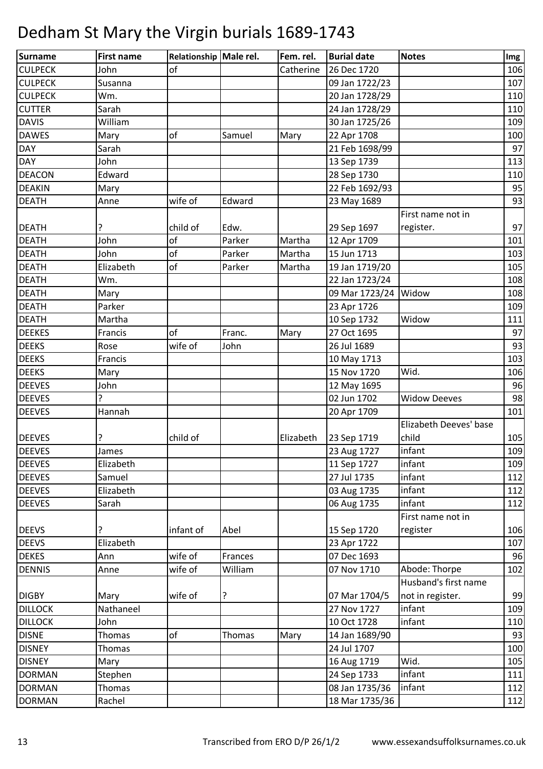| Surname        | <b>First name</b> | Relationship Male rel. |         | Fem. rel. | <b>Burial date</b> | <b>Notes</b>           | Img |
|----------------|-------------------|------------------------|---------|-----------|--------------------|------------------------|-----|
| <b>CULPECK</b> | John              | of                     |         | Catherine | 26 Dec 1720        |                        | 106 |
| <b>CULPECK</b> | Susanna           |                        |         |           | 09 Jan 1722/23     |                        | 107 |
| <b>CULPECK</b> | Wm.               |                        |         |           | 20 Jan 1728/29     |                        | 110 |
| <b>CUTTER</b>  | Sarah             |                        |         |           | 24 Jan 1728/29     |                        | 110 |
| <b>DAVIS</b>   | William           |                        |         |           | 30 Jan 1725/26     |                        | 109 |
| <b>DAWES</b>   | Mary              | of                     | Samuel  | Mary      | 22 Apr 1708        |                        | 100 |
| <b>DAY</b>     | Sarah             |                        |         |           | 21 Feb 1698/99     |                        | 97  |
| DAY            | John              |                        |         |           | 13 Sep 1739        |                        | 113 |
| DEACON         | Edward            |                        |         |           | 28 Sep 1730        |                        | 110 |
| <b>DEAKIN</b>  | Mary              |                        |         |           | 22 Feb 1692/93     |                        | 95  |
| <b>DEATH</b>   | Anne              | wife of                | Edward  |           | 23 May 1689        |                        | 93  |
|                |                   |                        |         |           |                    | First name not in      |     |
| <b>DEATH</b>   | ?                 | child of               | Edw.    |           | 29 Sep 1697        | register.              | 97  |
| <b>DEATH</b>   | John              | of                     | Parker  | Martha    | 12 Apr 1709        |                        | 101 |
| <b>DEATH</b>   | John              | of                     | Parker  | Martha    | 15 Jun 1713        |                        | 103 |
| <b>DEATH</b>   | Elizabeth         | of                     | Parker  | Martha    | 19 Jan 1719/20     |                        | 105 |
| <b>DEATH</b>   | Wm.               |                        |         |           | 22 Jan 1723/24     |                        | 108 |
| <b>DEATH</b>   | Mary              |                        |         |           | 09 Mar 1723/24     | Widow                  | 108 |
| <b>DEATH</b>   | Parker            |                        |         |           | 23 Apr 1726        |                        | 109 |
| <b>DEATH</b>   | Martha            |                        |         |           | 10 Sep 1732        | Widow                  | 111 |
| <b>DEEKES</b>  | Francis           | of                     | Franc.  | Mary      | 27 Oct 1695        |                        | 97  |
| <b>DEEKS</b>   | Rose              | wife of                | John    |           | 26 Jul 1689        |                        | 93  |
| <b>DEEKS</b>   | Francis           |                        |         |           | 10 May 1713        |                        | 103 |
| <b>DEEKS</b>   | Mary              |                        |         |           | 15 Nov 1720        | Wid.                   | 106 |
| <b>DEEVES</b>  | John              |                        |         |           | 12 May 1695        |                        | 96  |
| <b>DEEVES</b>  | 5.                |                        |         |           | 02 Jun 1702        | <b>Widow Deeves</b>    | 98  |
| <b>DEEVES</b>  | Hannah            |                        |         |           | 20 Apr 1709        |                        | 101 |
|                |                   |                        |         |           |                    | Elizabeth Deeves' base |     |
| <b>DEEVES</b>  |                   | child of               |         | Elizabeth | 23 Sep 1719        | child                  | 105 |
| <b>DEEVES</b>  | James             |                        |         |           | 23 Aug 1727        | infant                 | 109 |
| <b>DEEVES</b>  | Elizabeth         |                        |         |           | 11 Sep 1727        | infant                 | 109 |
| <b>DEEVES</b>  | Samuel            |                        |         |           | 27 Jul 1735        | infant                 | 112 |
| <b>DEEVES</b>  | Elizabeth         |                        |         |           | 03 Aug 1735        | infant                 | 112 |
| <b>DEEVES</b>  | Sarah             |                        |         |           | 06 Aug 1735        | infant                 | 112 |
|                |                   |                        |         |           |                    | First name not in      |     |
| <b>DEEVS</b>   | ?                 | infant of              | Abel    |           | 15 Sep 1720        | register               | 106 |
| <b>DEEVS</b>   | Elizabeth         |                        |         |           | 23 Apr 1722        |                        | 107 |
| <b>DEKES</b>   | Ann               | wife of                | Frances |           | 07 Dec 1693        |                        | 96  |
| <b>DENNIS</b>  | Anne              | wife of                | William |           | 07 Nov 1710        | Abode: Thorpe          | 102 |
|                |                   |                        |         |           |                    | Husband's first name   |     |
| <b>DIGBY</b>   | Mary              | wife of                | ?       |           | 07 Mar 1704/5      | not in register.       | 99  |
| <b>DILLOCK</b> | Nathaneel         |                        |         |           | 27 Nov 1727        | infant                 | 109 |
| <b>DILLOCK</b> | John              |                        |         |           | 10 Oct 1728        | infant                 | 110 |
| <b>DISNE</b>   | Thomas            | of                     | Thomas  | Mary      | 14 Jan 1689/90     |                        | 93  |
| <b>DISNEY</b>  | Thomas            |                        |         |           | 24 Jul 1707        |                        | 100 |
| <b>DISNEY</b>  | Mary              |                        |         |           | 16 Aug 1719        | Wid.                   | 105 |
| <b>DORMAN</b>  | Stephen           |                        |         |           | 24 Sep 1733        | infant                 | 111 |
| <b>DORMAN</b>  | Thomas            |                        |         |           | 08 Jan 1735/36     | infant                 | 112 |
| <b>DORMAN</b>  | Rachel            |                        |         |           | 18 Mar 1735/36     |                        | 112 |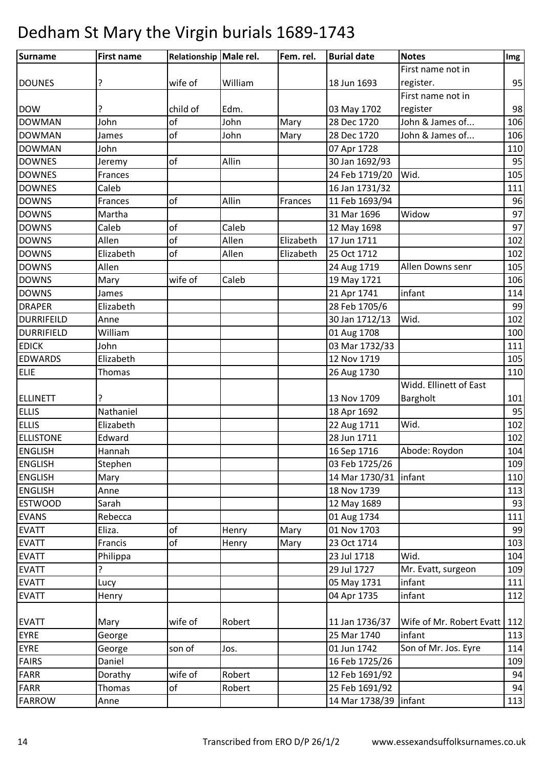| First name not in<br>95<br>wife of<br>William<br>18 Jun 1693<br>register.<br>?<br>First name not in<br>98<br>?<br>child of<br>Edm.<br>03 May 1702<br>register<br>John & James of<br>106<br>John<br>of<br>John<br>Mary<br>28 Dec 1720<br>of<br>John & James of<br>106<br>John<br>28 Dec 1720<br>James<br>Mary<br>John<br>07 Apr 1728<br>110<br>95<br>of<br>Allin<br>30 Jan 1692/93<br>Jeremy<br>Wid.<br>105<br>Frances<br>24 Feb 1719/20<br>Caleb<br>16 Jan 1731/32<br>111<br>of<br>Allin<br>11 Feb 1693/94<br>96<br>Frances<br>Frances<br>Widow<br>97<br>Martha<br>31 Mar 1696<br>97<br>Caleb<br>of<br>Caleb<br>12 May 1698<br>Allen<br>of<br>Allen<br>Elizabeth<br>17 Jun 1711<br>102<br>of<br>Elizabeth<br>Allen<br>25 Oct 1712<br>102<br>Elizabeth<br>105<br>Allen<br>24 Aug 1719<br>Allen Downs senr<br>wife of<br>Caleb<br>106<br>19 May 1721<br>Mary<br>infant<br>21 Apr 1741<br>114<br>James<br>28 Feb 1705/6<br>99<br>Elizabeth<br>Wid.<br>102<br>30 Jan 1712/13<br>Anne<br>William<br>100<br>01 Aug 1708<br>03 Mar 1732/33<br>John<br>111<br>12 Nov 1719<br>105<br>Elizabeth<br>110<br>Thomas<br>26 Aug 1730<br>Widd. Ellinett of East<br>101<br>13 Nov 1709<br>Bargholt<br>Nathaniel<br>95<br>18 Apr 1692<br>Wid.<br>Elizabeth<br>22 Aug 1711<br>102<br>28 Jun 1711<br>Edward<br>102<br>16 Sep 1716<br>Abode: Roydon<br>104<br>Hannah<br>109<br>03 Feb 1725/26<br>Stephen<br>14 Mar 1730/31   infant<br>Mary<br>110<br>18 Nov 1739<br>113<br>Anne<br>12 May 1689<br>93<br>Sarah<br>01 Aug 1734<br>111<br>Rebecca<br>of<br>99<br>01 Nov 1703<br>Eliza.<br>Mary<br>Henry<br>of<br>103<br>Francis<br>23 Oct 1714<br>Mary<br>Henry<br>Wid.<br>23 Jul 1718<br>104<br>Philippa<br>?<br>29 Jul 1727<br>Mr. Evatt, surgeon<br>109<br>infant<br>05 May 1731<br>111<br>Lucy<br>04 Apr 1735<br>infant<br>112<br>Henry<br>112<br>Wife of Mr. Robert Evatt<br>wife of<br>Robert<br>11 Jan 1736/37<br>Mary<br>infant<br>25 Mar 1740<br>113<br>George<br>01 Jun 1742<br>Son of Mr. Jos. Eyre<br>114<br>son of<br>Jos.<br>George<br>Daniel<br>109<br>16 Feb 1725/26<br>wife of<br>94<br>Dorathy<br>Robert<br>12 Feb 1691/92<br>Thomas<br>Robert<br>25 Feb 1691/92<br>94<br>of<br>14 Mar 1738/39   infant<br>113<br>Anne | Surname           | <b>First name</b> | Relationship Male rel. | Fem. rel. | <b>Burial date</b> | <b>Notes</b> | Img |
|-------------------------------------------------------------------------------------------------------------------------------------------------------------------------------------------------------------------------------------------------------------------------------------------------------------------------------------------------------------------------------------------------------------------------------------------------------------------------------------------------------------------------------------------------------------------------------------------------------------------------------------------------------------------------------------------------------------------------------------------------------------------------------------------------------------------------------------------------------------------------------------------------------------------------------------------------------------------------------------------------------------------------------------------------------------------------------------------------------------------------------------------------------------------------------------------------------------------------------------------------------------------------------------------------------------------------------------------------------------------------------------------------------------------------------------------------------------------------------------------------------------------------------------------------------------------------------------------------------------------------------------------------------------------------------------------------------------------------------------------------------------------------------------------------------------------------------------------------------------------------------------------------------------------------------------------------------------------------------------------------------------------------------------------------------------------------------------------------------------------------------------------------------------------------------------------------------------------|-------------------|-------------------|------------------------|-----------|--------------------|--------------|-----|
|                                                                                                                                                                                                                                                                                                                                                                                                                                                                                                                                                                                                                                                                                                                                                                                                                                                                                                                                                                                                                                                                                                                                                                                                                                                                                                                                                                                                                                                                                                                                                                                                                                                                                                                                                                                                                                                                                                                                                                                                                                                                                                                                                                                                                   |                   |                   |                        |           |                    |              |     |
|                                                                                                                                                                                                                                                                                                                                                                                                                                                                                                                                                                                                                                                                                                                                                                                                                                                                                                                                                                                                                                                                                                                                                                                                                                                                                                                                                                                                                                                                                                                                                                                                                                                                                                                                                                                                                                                                                                                                                                                                                                                                                                                                                                                                                   | <b>DOUNES</b>     |                   |                        |           |                    |              |     |
|                                                                                                                                                                                                                                                                                                                                                                                                                                                                                                                                                                                                                                                                                                                                                                                                                                                                                                                                                                                                                                                                                                                                                                                                                                                                                                                                                                                                                                                                                                                                                                                                                                                                                                                                                                                                                                                                                                                                                                                                                                                                                                                                                                                                                   |                   |                   |                        |           |                    |              |     |
|                                                                                                                                                                                                                                                                                                                                                                                                                                                                                                                                                                                                                                                                                                                                                                                                                                                                                                                                                                                                                                                                                                                                                                                                                                                                                                                                                                                                                                                                                                                                                                                                                                                                                                                                                                                                                                                                                                                                                                                                                                                                                                                                                                                                                   | <b>DOW</b>        |                   |                        |           |                    |              |     |
|                                                                                                                                                                                                                                                                                                                                                                                                                                                                                                                                                                                                                                                                                                                                                                                                                                                                                                                                                                                                                                                                                                                                                                                                                                                                                                                                                                                                                                                                                                                                                                                                                                                                                                                                                                                                                                                                                                                                                                                                                                                                                                                                                                                                                   | <b>DOWMAN</b>     |                   |                        |           |                    |              |     |
|                                                                                                                                                                                                                                                                                                                                                                                                                                                                                                                                                                                                                                                                                                                                                                                                                                                                                                                                                                                                                                                                                                                                                                                                                                                                                                                                                                                                                                                                                                                                                                                                                                                                                                                                                                                                                                                                                                                                                                                                                                                                                                                                                                                                                   | <b>DOWMAN</b>     |                   |                        |           |                    |              |     |
|                                                                                                                                                                                                                                                                                                                                                                                                                                                                                                                                                                                                                                                                                                                                                                                                                                                                                                                                                                                                                                                                                                                                                                                                                                                                                                                                                                                                                                                                                                                                                                                                                                                                                                                                                                                                                                                                                                                                                                                                                                                                                                                                                                                                                   | <b>DOWMAN</b>     |                   |                        |           |                    |              |     |
|                                                                                                                                                                                                                                                                                                                                                                                                                                                                                                                                                                                                                                                                                                                                                                                                                                                                                                                                                                                                                                                                                                                                                                                                                                                                                                                                                                                                                                                                                                                                                                                                                                                                                                                                                                                                                                                                                                                                                                                                                                                                                                                                                                                                                   | <b>DOWNES</b>     |                   |                        |           |                    |              |     |
|                                                                                                                                                                                                                                                                                                                                                                                                                                                                                                                                                                                                                                                                                                                                                                                                                                                                                                                                                                                                                                                                                                                                                                                                                                                                                                                                                                                                                                                                                                                                                                                                                                                                                                                                                                                                                                                                                                                                                                                                                                                                                                                                                                                                                   | <b>DOWNES</b>     |                   |                        |           |                    |              |     |
|                                                                                                                                                                                                                                                                                                                                                                                                                                                                                                                                                                                                                                                                                                                                                                                                                                                                                                                                                                                                                                                                                                                                                                                                                                                                                                                                                                                                                                                                                                                                                                                                                                                                                                                                                                                                                                                                                                                                                                                                                                                                                                                                                                                                                   | <b>DOWNES</b>     |                   |                        |           |                    |              |     |
|                                                                                                                                                                                                                                                                                                                                                                                                                                                                                                                                                                                                                                                                                                                                                                                                                                                                                                                                                                                                                                                                                                                                                                                                                                                                                                                                                                                                                                                                                                                                                                                                                                                                                                                                                                                                                                                                                                                                                                                                                                                                                                                                                                                                                   | <b>DOWNS</b>      |                   |                        |           |                    |              |     |
|                                                                                                                                                                                                                                                                                                                                                                                                                                                                                                                                                                                                                                                                                                                                                                                                                                                                                                                                                                                                                                                                                                                                                                                                                                                                                                                                                                                                                                                                                                                                                                                                                                                                                                                                                                                                                                                                                                                                                                                                                                                                                                                                                                                                                   | <b>DOWNS</b>      |                   |                        |           |                    |              |     |
|                                                                                                                                                                                                                                                                                                                                                                                                                                                                                                                                                                                                                                                                                                                                                                                                                                                                                                                                                                                                                                                                                                                                                                                                                                                                                                                                                                                                                                                                                                                                                                                                                                                                                                                                                                                                                                                                                                                                                                                                                                                                                                                                                                                                                   | <b>DOWNS</b>      |                   |                        |           |                    |              |     |
|                                                                                                                                                                                                                                                                                                                                                                                                                                                                                                                                                                                                                                                                                                                                                                                                                                                                                                                                                                                                                                                                                                                                                                                                                                                                                                                                                                                                                                                                                                                                                                                                                                                                                                                                                                                                                                                                                                                                                                                                                                                                                                                                                                                                                   | <b>DOWNS</b>      |                   |                        |           |                    |              |     |
|                                                                                                                                                                                                                                                                                                                                                                                                                                                                                                                                                                                                                                                                                                                                                                                                                                                                                                                                                                                                                                                                                                                                                                                                                                                                                                                                                                                                                                                                                                                                                                                                                                                                                                                                                                                                                                                                                                                                                                                                                                                                                                                                                                                                                   | <b>DOWNS</b>      |                   |                        |           |                    |              |     |
|                                                                                                                                                                                                                                                                                                                                                                                                                                                                                                                                                                                                                                                                                                                                                                                                                                                                                                                                                                                                                                                                                                                                                                                                                                                                                                                                                                                                                                                                                                                                                                                                                                                                                                                                                                                                                                                                                                                                                                                                                                                                                                                                                                                                                   | <b>DOWNS</b>      |                   |                        |           |                    |              |     |
|                                                                                                                                                                                                                                                                                                                                                                                                                                                                                                                                                                                                                                                                                                                                                                                                                                                                                                                                                                                                                                                                                                                                                                                                                                                                                                                                                                                                                                                                                                                                                                                                                                                                                                                                                                                                                                                                                                                                                                                                                                                                                                                                                                                                                   | <b>DOWNS</b>      |                   |                        |           |                    |              |     |
|                                                                                                                                                                                                                                                                                                                                                                                                                                                                                                                                                                                                                                                                                                                                                                                                                                                                                                                                                                                                                                                                                                                                                                                                                                                                                                                                                                                                                                                                                                                                                                                                                                                                                                                                                                                                                                                                                                                                                                                                                                                                                                                                                                                                                   | <b>DOWNS</b>      |                   |                        |           |                    |              |     |
|                                                                                                                                                                                                                                                                                                                                                                                                                                                                                                                                                                                                                                                                                                                                                                                                                                                                                                                                                                                                                                                                                                                                                                                                                                                                                                                                                                                                                                                                                                                                                                                                                                                                                                                                                                                                                                                                                                                                                                                                                                                                                                                                                                                                                   | <b>DRAPER</b>     |                   |                        |           |                    |              |     |
|                                                                                                                                                                                                                                                                                                                                                                                                                                                                                                                                                                                                                                                                                                                                                                                                                                                                                                                                                                                                                                                                                                                                                                                                                                                                                                                                                                                                                                                                                                                                                                                                                                                                                                                                                                                                                                                                                                                                                                                                                                                                                                                                                                                                                   | <b>DURRIFEILD</b> |                   |                        |           |                    |              |     |
|                                                                                                                                                                                                                                                                                                                                                                                                                                                                                                                                                                                                                                                                                                                                                                                                                                                                                                                                                                                                                                                                                                                                                                                                                                                                                                                                                                                                                                                                                                                                                                                                                                                                                                                                                                                                                                                                                                                                                                                                                                                                                                                                                                                                                   | DURRIFIELD        |                   |                        |           |                    |              |     |
|                                                                                                                                                                                                                                                                                                                                                                                                                                                                                                                                                                                                                                                                                                                                                                                                                                                                                                                                                                                                                                                                                                                                                                                                                                                                                                                                                                                                                                                                                                                                                                                                                                                                                                                                                                                                                                                                                                                                                                                                                                                                                                                                                                                                                   | <b>EDICK</b>      |                   |                        |           |                    |              |     |
|                                                                                                                                                                                                                                                                                                                                                                                                                                                                                                                                                                                                                                                                                                                                                                                                                                                                                                                                                                                                                                                                                                                                                                                                                                                                                                                                                                                                                                                                                                                                                                                                                                                                                                                                                                                                                                                                                                                                                                                                                                                                                                                                                                                                                   | <b>EDWARDS</b>    |                   |                        |           |                    |              |     |
|                                                                                                                                                                                                                                                                                                                                                                                                                                                                                                                                                                                                                                                                                                                                                                                                                                                                                                                                                                                                                                                                                                                                                                                                                                                                                                                                                                                                                                                                                                                                                                                                                                                                                                                                                                                                                                                                                                                                                                                                                                                                                                                                                                                                                   | <b>ELIE</b>       |                   |                        |           |                    |              |     |
|                                                                                                                                                                                                                                                                                                                                                                                                                                                                                                                                                                                                                                                                                                                                                                                                                                                                                                                                                                                                                                                                                                                                                                                                                                                                                                                                                                                                                                                                                                                                                                                                                                                                                                                                                                                                                                                                                                                                                                                                                                                                                                                                                                                                                   |                   |                   |                        |           |                    |              |     |
|                                                                                                                                                                                                                                                                                                                                                                                                                                                                                                                                                                                                                                                                                                                                                                                                                                                                                                                                                                                                                                                                                                                                                                                                                                                                                                                                                                                                                                                                                                                                                                                                                                                                                                                                                                                                                                                                                                                                                                                                                                                                                                                                                                                                                   | <b>ELLINETT</b>   |                   |                        |           |                    |              |     |
|                                                                                                                                                                                                                                                                                                                                                                                                                                                                                                                                                                                                                                                                                                                                                                                                                                                                                                                                                                                                                                                                                                                                                                                                                                                                                                                                                                                                                                                                                                                                                                                                                                                                                                                                                                                                                                                                                                                                                                                                                                                                                                                                                                                                                   | <b>ELLIS</b>      |                   |                        |           |                    |              |     |
|                                                                                                                                                                                                                                                                                                                                                                                                                                                                                                                                                                                                                                                                                                                                                                                                                                                                                                                                                                                                                                                                                                                                                                                                                                                                                                                                                                                                                                                                                                                                                                                                                                                                                                                                                                                                                                                                                                                                                                                                                                                                                                                                                                                                                   | <b>ELLIS</b>      |                   |                        |           |                    |              |     |
|                                                                                                                                                                                                                                                                                                                                                                                                                                                                                                                                                                                                                                                                                                                                                                                                                                                                                                                                                                                                                                                                                                                                                                                                                                                                                                                                                                                                                                                                                                                                                                                                                                                                                                                                                                                                                                                                                                                                                                                                                                                                                                                                                                                                                   | <b>ELLISTONE</b>  |                   |                        |           |                    |              |     |
|                                                                                                                                                                                                                                                                                                                                                                                                                                                                                                                                                                                                                                                                                                                                                                                                                                                                                                                                                                                                                                                                                                                                                                                                                                                                                                                                                                                                                                                                                                                                                                                                                                                                                                                                                                                                                                                                                                                                                                                                                                                                                                                                                                                                                   | <b>ENGLISH</b>    |                   |                        |           |                    |              |     |
|                                                                                                                                                                                                                                                                                                                                                                                                                                                                                                                                                                                                                                                                                                                                                                                                                                                                                                                                                                                                                                                                                                                                                                                                                                                                                                                                                                                                                                                                                                                                                                                                                                                                                                                                                                                                                                                                                                                                                                                                                                                                                                                                                                                                                   | <b>ENGLISH</b>    |                   |                        |           |                    |              |     |
|                                                                                                                                                                                                                                                                                                                                                                                                                                                                                                                                                                                                                                                                                                                                                                                                                                                                                                                                                                                                                                                                                                                                                                                                                                                                                                                                                                                                                                                                                                                                                                                                                                                                                                                                                                                                                                                                                                                                                                                                                                                                                                                                                                                                                   | <b>ENGLISH</b>    |                   |                        |           |                    |              |     |
|                                                                                                                                                                                                                                                                                                                                                                                                                                                                                                                                                                                                                                                                                                                                                                                                                                                                                                                                                                                                                                                                                                                                                                                                                                                                                                                                                                                                                                                                                                                                                                                                                                                                                                                                                                                                                                                                                                                                                                                                                                                                                                                                                                                                                   | <b>ENGLISH</b>    |                   |                        |           |                    |              |     |
|                                                                                                                                                                                                                                                                                                                                                                                                                                                                                                                                                                                                                                                                                                                                                                                                                                                                                                                                                                                                                                                                                                                                                                                                                                                                                                                                                                                                                                                                                                                                                                                                                                                                                                                                                                                                                                                                                                                                                                                                                                                                                                                                                                                                                   | <b>ESTWOOD</b>    |                   |                        |           |                    |              |     |
|                                                                                                                                                                                                                                                                                                                                                                                                                                                                                                                                                                                                                                                                                                                                                                                                                                                                                                                                                                                                                                                                                                                                                                                                                                                                                                                                                                                                                                                                                                                                                                                                                                                                                                                                                                                                                                                                                                                                                                                                                                                                                                                                                                                                                   | <b>EVANS</b>      |                   |                        |           |                    |              |     |
|                                                                                                                                                                                                                                                                                                                                                                                                                                                                                                                                                                                                                                                                                                                                                                                                                                                                                                                                                                                                                                                                                                                                                                                                                                                                                                                                                                                                                                                                                                                                                                                                                                                                                                                                                                                                                                                                                                                                                                                                                                                                                                                                                                                                                   | <b>EVATT</b>      |                   |                        |           |                    |              |     |
|                                                                                                                                                                                                                                                                                                                                                                                                                                                                                                                                                                                                                                                                                                                                                                                                                                                                                                                                                                                                                                                                                                                                                                                                                                                                                                                                                                                                                                                                                                                                                                                                                                                                                                                                                                                                                                                                                                                                                                                                                                                                                                                                                                                                                   | <b>EVATT</b>      |                   |                        |           |                    |              |     |
|                                                                                                                                                                                                                                                                                                                                                                                                                                                                                                                                                                                                                                                                                                                                                                                                                                                                                                                                                                                                                                                                                                                                                                                                                                                                                                                                                                                                                                                                                                                                                                                                                                                                                                                                                                                                                                                                                                                                                                                                                                                                                                                                                                                                                   | <b>EVATT</b>      |                   |                        |           |                    |              |     |
|                                                                                                                                                                                                                                                                                                                                                                                                                                                                                                                                                                                                                                                                                                                                                                                                                                                                                                                                                                                                                                                                                                                                                                                                                                                                                                                                                                                                                                                                                                                                                                                                                                                                                                                                                                                                                                                                                                                                                                                                                                                                                                                                                                                                                   | <b>EVATT</b>      |                   |                        |           |                    |              |     |
|                                                                                                                                                                                                                                                                                                                                                                                                                                                                                                                                                                                                                                                                                                                                                                                                                                                                                                                                                                                                                                                                                                                                                                                                                                                                                                                                                                                                                                                                                                                                                                                                                                                                                                                                                                                                                                                                                                                                                                                                                                                                                                                                                                                                                   | <b>EVATT</b>      |                   |                        |           |                    |              |     |
|                                                                                                                                                                                                                                                                                                                                                                                                                                                                                                                                                                                                                                                                                                                                                                                                                                                                                                                                                                                                                                                                                                                                                                                                                                                                                                                                                                                                                                                                                                                                                                                                                                                                                                                                                                                                                                                                                                                                                                                                                                                                                                                                                                                                                   | <b>EVATT</b>      |                   |                        |           |                    |              |     |
|                                                                                                                                                                                                                                                                                                                                                                                                                                                                                                                                                                                                                                                                                                                                                                                                                                                                                                                                                                                                                                                                                                                                                                                                                                                                                                                                                                                                                                                                                                                                                                                                                                                                                                                                                                                                                                                                                                                                                                                                                                                                                                                                                                                                                   |                   |                   |                        |           |                    |              |     |
|                                                                                                                                                                                                                                                                                                                                                                                                                                                                                                                                                                                                                                                                                                                                                                                                                                                                                                                                                                                                                                                                                                                                                                                                                                                                                                                                                                                                                                                                                                                                                                                                                                                                                                                                                                                                                                                                                                                                                                                                                                                                                                                                                                                                                   | <b>EVATT</b>      |                   |                        |           |                    |              |     |
|                                                                                                                                                                                                                                                                                                                                                                                                                                                                                                                                                                                                                                                                                                                                                                                                                                                                                                                                                                                                                                                                                                                                                                                                                                                                                                                                                                                                                                                                                                                                                                                                                                                                                                                                                                                                                                                                                                                                                                                                                                                                                                                                                                                                                   | <b>EYRE</b>       |                   |                        |           |                    |              |     |
|                                                                                                                                                                                                                                                                                                                                                                                                                                                                                                                                                                                                                                                                                                                                                                                                                                                                                                                                                                                                                                                                                                                                                                                                                                                                                                                                                                                                                                                                                                                                                                                                                                                                                                                                                                                                                                                                                                                                                                                                                                                                                                                                                                                                                   | <b>EYRE</b>       |                   |                        |           |                    |              |     |
|                                                                                                                                                                                                                                                                                                                                                                                                                                                                                                                                                                                                                                                                                                                                                                                                                                                                                                                                                                                                                                                                                                                                                                                                                                                                                                                                                                                                                                                                                                                                                                                                                                                                                                                                                                                                                                                                                                                                                                                                                                                                                                                                                                                                                   | <b>FAIRS</b>      |                   |                        |           |                    |              |     |
|                                                                                                                                                                                                                                                                                                                                                                                                                                                                                                                                                                                                                                                                                                                                                                                                                                                                                                                                                                                                                                                                                                                                                                                                                                                                                                                                                                                                                                                                                                                                                                                                                                                                                                                                                                                                                                                                                                                                                                                                                                                                                                                                                                                                                   | <b>FARR</b>       |                   |                        |           |                    |              |     |
|                                                                                                                                                                                                                                                                                                                                                                                                                                                                                                                                                                                                                                                                                                                                                                                                                                                                                                                                                                                                                                                                                                                                                                                                                                                                                                                                                                                                                                                                                                                                                                                                                                                                                                                                                                                                                                                                                                                                                                                                                                                                                                                                                                                                                   | <b>FARR</b>       |                   |                        |           |                    |              |     |
|                                                                                                                                                                                                                                                                                                                                                                                                                                                                                                                                                                                                                                                                                                                                                                                                                                                                                                                                                                                                                                                                                                                                                                                                                                                                                                                                                                                                                                                                                                                                                                                                                                                                                                                                                                                                                                                                                                                                                                                                                                                                                                                                                                                                                   | <b>FARROW</b>     |                   |                        |           |                    |              |     |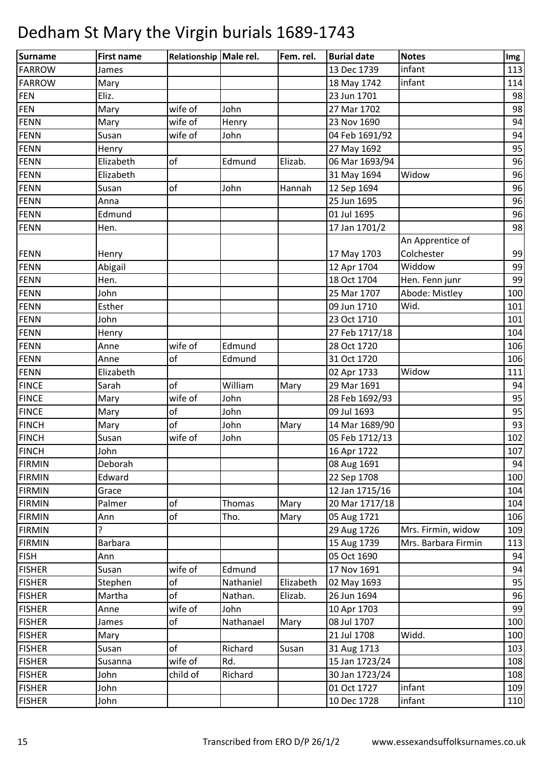| Surname       | <b>First name</b> | Relationship Male rel. |           | Fem. rel. | <b>Burial date</b> | <b>Notes</b>        | Img |
|---------------|-------------------|------------------------|-----------|-----------|--------------------|---------------------|-----|
| <b>FARROW</b> | James             |                        |           |           | 13 Dec 1739        | infant              | 113 |
| <b>FARROW</b> | Mary              |                        |           |           | 18 May 1742        | infant              | 114 |
| <b>FEN</b>    | Eliz.             |                        |           |           | 23 Jun 1701        |                     | 98  |
| FEN           | Mary              | wife of                | John      |           | 27 Mar 1702        |                     | 98  |
| <b>FENN</b>   | Mary              | wife of                | Henry     |           | 23 Nov 1690        |                     | 94  |
| FENN          | Susan             | wife of                | John      |           | 04 Feb 1691/92     |                     | 94  |
| FENN          | Henry             |                        |           |           | 27 May 1692        |                     | 95  |
| FENN          | Elizabeth         | of                     | Edmund    | Elizab.   | 06 Mar 1693/94     |                     | 96  |
| <b>FENN</b>   | Elizabeth         |                        |           |           | 31 May 1694        | Widow               | 96  |
| <b>FENN</b>   | Susan             | of                     | John      | Hannah    | 12 Sep 1694        |                     | 96  |
| <b>FENN</b>   | Anna              |                        |           |           | 25 Jun 1695        |                     | 96  |
| FENN          | Edmund            |                        |           |           | 01 Jul 1695        |                     | 96  |
| <b>FENN</b>   | Hen.              |                        |           |           | 17 Jan 1701/2      |                     | 98  |
|               |                   |                        |           |           |                    | An Apprentice of    |     |
| <b>FENN</b>   | Henry             |                        |           |           | 17 May 1703        | Colchester          | 99  |
| <b>FENN</b>   | Abigail           |                        |           |           | 12 Apr 1704        | Widdow              | 99  |
| <b>FENN</b>   | Hen.              |                        |           |           | 18 Oct 1704        | Hen. Fenn junr      | 99  |
| <b>FENN</b>   | John              |                        |           |           | 25 Mar 1707        | Abode: Mistley      | 100 |
| FENN          | Esther            |                        |           |           | 09 Jun 1710        | Wid.                | 101 |
| <b>FENN</b>   | John              |                        |           |           | 23 Oct 1710        |                     | 101 |
| <b>FENN</b>   | Henry             |                        |           |           | 27 Feb 1717/18     |                     | 104 |
| FENN          | Anne              | wife of                | Edmund    |           | 28 Oct 1720        |                     | 106 |
| <b>FENN</b>   | Anne              | of                     | Edmund    |           | 31 Oct 1720        |                     | 106 |
| FENN          | Elizabeth         |                        |           |           | 02 Apr 1733        | Widow               | 111 |
| <b>FINCE</b>  | Sarah             | of                     | William   | Mary      | 29 Mar 1691        |                     | 94  |
| <b>FINCE</b>  | Mary              | wife of                | John      |           | 28 Feb 1692/93     |                     | 95  |
| <b>FINCE</b>  | Mary              | of                     | John      |           | 09 Jul 1693        |                     | 95  |
| <b>FINCH</b>  | Mary              | of                     | John      | Mary      | 14 Mar 1689/90     |                     | 93  |
| <b>FINCH</b>  | Susan             | wife of                | John      |           | 05 Feb 1712/13     |                     | 102 |
| <b>FINCH</b>  | John              |                        |           |           | 16 Apr 1722        |                     | 107 |
| <b>FIRMIN</b> | Deborah           |                        |           |           | 08 Aug 1691        |                     | 94  |
| <b>FIRMIN</b> | Edward            |                        |           |           | 22 Sep 1708        |                     | 100 |
| <b>FIRMIN</b> | Grace             |                        |           |           | 12 Jan 1715/16     |                     | 104 |
| <b>FIRMIN</b> | Palmer            | of                     | Thomas    | Mary      | 20 Mar 1717/18     |                     | 104 |
| <b>FIRMIN</b> | Ann               | of                     | Tho.      | Mary      | 05 Aug 1721        |                     | 106 |
| <b>FIRMIN</b> | ?                 |                        |           |           | 29 Aug 1726        | Mrs. Firmin, widow  | 109 |
| <b>FIRMIN</b> | <b>Barbara</b>    |                        |           |           | 15 Aug 1739        | Mrs. Barbara Firmin | 113 |
| <b>FISH</b>   | Ann               |                        |           |           | 05 Oct 1690        |                     | 94  |
| <b>FISHER</b> | Susan             | wife of                | Edmund    |           | 17 Nov 1691        |                     | 94  |
| <b>FISHER</b> | Stephen           | of                     | Nathaniel | Elizabeth | 02 May 1693        |                     | 95  |
| <b>FISHER</b> | Martha            | of                     | Nathan.   | Elizab.   | 26 Jun 1694        |                     | 96  |
| <b>FISHER</b> | Anne              | wife of                | John      |           | 10 Apr 1703        |                     | 99  |
| <b>FISHER</b> | James             | of                     | Nathanael | Mary      | 08 Jul 1707        |                     | 100 |
| <b>FISHER</b> | Mary              |                        |           |           | 21 Jul 1708        | Widd.               | 100 |
| <b>FISHER</b> | Susan             | of                     | Richard   | Susan     | 31 Aug 1713        |                     | 103 |
| <b>FISHER</b> | Susanna           | wife of                | Rd.       |           | 15 Jan 1723/24     |                     | 108 |
| <b>FISHER</b> | John              | child of               | Richard   |           | 30 Jan 1723/24     |                     | 108 |
| <b>FISHER</b> | John              |                        |           |           | 01 Oct 1727        | infant              | 109 |
| <b>FISHER</b> | John              |                        |           |           | 10 Dec 1728        | infant              | 110 |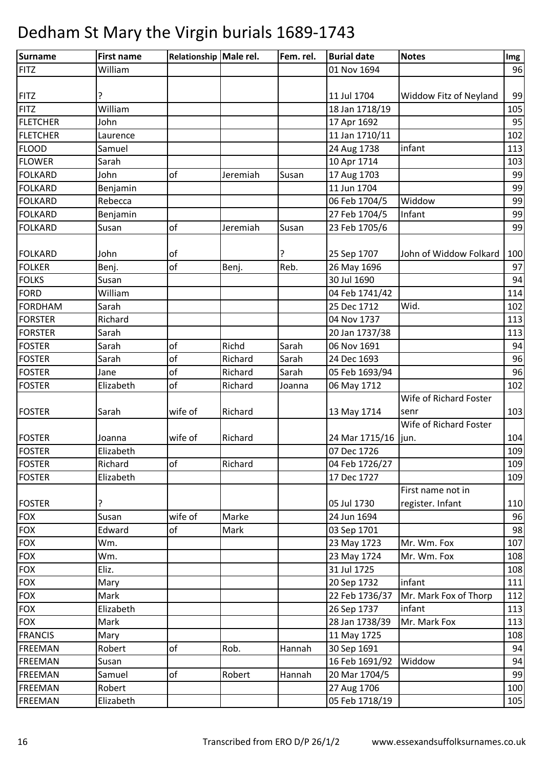| William<br>01 Nov 1694<br>96<br>Widdow Fitz of Neyland<br>99<br>11 Jul 1704<br>?<br>William<br>105<br>18 Jan 1718/19<br>John<br>17 Apr 1692<br>95<br>$\overline{11}$ Jan 1710/11<br>102<br>Laurence<br>infant<br>24 Aug 1738<br>113<br>Samuel<br>10 Apr 1714<br>Sarah<br>103<br>John<br>of<br>17 Aug 1703<br>99<br>Jeremiah<br>Susan<br>11 Jun 1704<br>99<br>Benjamin<br>99<br>Rebecca<br>06 Feb 1704/5<br>Widdow<br>Infant<br>99<br>27 Feb 1704/5<br>Benjamin<br>of<br>Jeremiah<br>99<br>23 Feb 1705/6<br>Susan<br>Susan<br>25 Sep 1707<br>John of Widdow Folkard<br>100<br>John<br>οf<br>of<br>Reb.<br>97<br>26 May 1696<br>Benj.<br>Benj.<br>30 Jul 1690<br>94<br>Susan<br>114<br>William<br>04 Feb 1741/42<br>Wid.<br>Sarah<br>25 Dec 1712<br>102<br>Richard<br>04 Nov 1737<br>113<br>Sarah<br>20 Jan 1737/38<br>113<br>of<br>Richd<br>Sarah<br>06 Nov 1691<br>94<br>Sarah<br>of<br>96<br>Sarah<br>Richard<br>Sarah<br>24 Dec 1693<br>of<br>96<br><b>FOSTER</b><br>Richard<br>Sarah<br>05 Feb 1693/94<br>Jane<br>of<br>Elizabeth<br>Richard<br>06 May 1712<br>102<br>Joanna<br>Wife of Richard Foster<br>103<br>wife of<br>Richard<br>Sarah<br>13 May 1714<br>senr<br>Wife of Richard Foster<br>104<br>Richard<br>24 Mar 1715/16<br>wife of<br>Joanna<br>jun.<br>07 Dec 1726<br>Elizabeth<br>109<br>Richard<br>109<br>Richard<br>04 Feb 1726/27<br><b>of</b><br>Elizabeth<br>17 Dec 1727<br>109<br>First name not in<br>register. Infant<br>110<br>05 Jul 1730<br>?<br>wife of<br>Marke<br>24 Jun 1694<br>Susan<br>96<br><b>FOX</b><br>98<br>Edward<br>of<br>Mark<br>03 Sep 1701<br>23 May 1723<br>Mr. Wm. Fox<br>Wm.<br>107<br>23 May 1724<br>Wm.<br>Mr. Wm. Fox<br>108<br>31 Jul 1725<br>Eliz.<br>108<br><b>FOX</b><br>20 Sep 1732<br>infant<br>111<br>Mary<br>Mr. Mark Fox of Thorp<br>Mark<br>22 Feb 1736/37<br>112<br>26 Sep 1737<br>infant<br>Elizabeth<br>113<br>28 Jan 1738/39<br>Mr. Mark Fox<br>Mark<br>113<br>11 May 1725<br>108<br>Mary<br>of<br>Rob.<br>30 Sep 1691<br>94<br>Robert<br>Hannah<br>Widdow<br>94<br>16 Feb 1691/92<br>Susan<br>of<br>Robert<br>99<br>Samuel<br>Hannah<br>20 Mar 1704/5<br>27 Aug 1706<br>100<br>Robert | <b>Surname</b>  | <b>First name</b> | Relationship Male rel. | Fem. rel. | <b>Burial date</b> | <b>Notes</b> | Img |
|------------------------------------------------------------------------------------------------------------------------------------------------------------------------------------------------------------------------------------------------------------------------------------------------------------------------------------------------------------------------------------------------------------------------------------------------------------------------------------------------------------------------------------------------------------------------------------------------------------------------------------------------------------------------------------------------------------------------------------------------------------------------------------------------------------------------------------------------------------------------------------------------------------------------------------------------------------------------------------------------------------------------------------------------------------------------------------------------------------------------------------------------------------------------------------------------------------------------------------------------------------------------------------------------------------------------------------------------------------------------------------------------------------------------------------------------------------------------------------------------------------------------------------------------------------------------------------------------------------------------------------------------------------------------------------------------------------------------------------------------------------------------------------------------------------------------------------------------------------------------------------------------------------------------------------------------------------------------------------------------------------------------------------------------------------------------------------------------------------------------------------------------------|-----------------|-------------------|------------------------|-----------|--------------------|--------------|-----|
|                                                                                                                                                                                                                                                                                                                                                                                                                                                                                                                                                                                                                                                                                                                                                                                                                                                                                                                                                                                                                                                                                                                                                                                                                                                                                                                                                                                                                                                                                                                                                                                                                                                                                                                                                                                                                                                                                                                                                                                                                                                                                                                                                      | <b>FITZ</b>     |                   |                        |           |                    |              |     |
|                                                                                                                                                                                                                                                                                                                                                                                                                                                                                                                                                                                                                                                                                                                                                                                                                                                                                                                                                                                                                                                                                                                                                                                                                                                                                                                                                                                                                                                                                                                                                                                                                                                                                                                                                                                                                                                                                                                                                                                                                                                                                                                                                      |                 |                   |                        |           |                    |              |     |
|                                                                                                                                                                                                                                                                                                                                                                                                                                                                                                                                                                                                                                                                                                                                                                                                                                                                                                                                                                                                                                                                                                                                                                                                                                                                                                                                                                                                                                                                                                                                                                                                                                                                                                                                                                                                                                                                                                                                                                                                                                                                                                                                                      | <b>FITZ</b>     |                   |                        |           |                    |              |     |
|                                                                                                                                                                                                                                                                                                                                                                                                                                                                                                                                                                                                                                                                                                                                                                                                                                                                                                                                                                                                                                                                                                                                                                                                                                                                                                                                                                                                                                                                                                                                                                                                                                                                                                                                                                                                                                                                                                                                                                                                                                                                                                                                                      | <b>FITZ</b>     |                   |                        |           |                    |              |     |
|                                                                                                                                                                                                                                                                                                                                                                                                                                                                                                                                                                                                                                                                                                                                                                                                                                                                                                                                                                                                                                                                                                                                                                                                                                                                                                                                                                                                                                                                                                                                                                                                                                                                                                                                                                                                                                                                                                                                                                                                                                                                                                                                                      | <b>FLETCHER</b> |                   |                        |           |                    |              |     |
|                                                                                                                                                                                                                                                                                                                                                                                                                                                                                                                                                                                                                                                                                                                                                                                                                                                                                                                                                                                                                                                                                                                                                                                                                                                                                                                                                                                                                                                                                                                                                                                                                                                                                                                                                                                                                                                                                                                                                                                                                                                                                                                                                      | <b>FLETCHER</b> |                   |                        |           |                    |              |     |
|                                                                                                                                                                                                                                                                                                                                                                                                                                                                                                                                                                                                                                                                                                                                                                                                                                                                                                                                                                                                                                                                                                                                                                                                                                                                                                                                                                                                                                                                                                                                                                                                                                                                                                                                                                                                                                                                                                                                                                                                                                                                                                                                                      | <b>FLOOD</b>    |                   |                        |           |                    |              |     |
|                                                                                                                                                                                                                                                                                                                                                                                                                                                                                                                                                                                                                                                                                                                                                                                                                                                                                                                                                                                                                                                                                                                                                                                                                                                                                                                                                                                                                                                                                                                                                                                                                                                                                                                                                                                                                                                                                                                                                                                                                                                                                                                                                      | <b>FLOWER</b>   |                   |                        |           |                    |              |     |
|                                                                                                                                                                                                                                                                                                                                                                                                                                                                                                                                                                                                                                                                                                                                                                                                                                                                                                                                                                                                                                                                                                                                                                                                                                                                                                                                                                                                                                                                                                                                                                                                                                                                                                                                                                                                                                                                                                                                                                                                                                                                                                                                                      | <b>FOLKARD</b>  |                   |                        |           |                    |              |     |
|                                                                                                                                                                                                                                                                                                                                                                                                                                                                                                                                                                                                                                                                                                                                                                                                                                                                                                                                                                                                                                                                                                                                                                                                                                                                                                                                                                                                                                                                                                                                                                                                                                                                                                                                                                                                                                                                                                                                                                                                                                                                                                                                                      | <b>FOLKARD</b>  |                   |                        |           |                    |              |     |
|                                                                                                                                                                                                                                                                                                                                                                                                                                                                                                                                                                                                                                                                                                                                                                                                                                                                                                                                                                                                                                                                                                                                                                                                                                                                                                                                                                                                                                                                                                                                                                                                                                                                                                                                                                                                                                                                                                                                                                                                                                                                                                                                                      | <b>FOLKARD</b>  |                   |                        |           |                    |              |     |
|                                                                                                                                                                                                                                                                                                                                                                                                                                                                                                                                                                                                                                                                                                                                                                                                                                                                                                                                                                                                                                                                                                                                                                                                                                                                                                                                                                                                                                                                                                                                                                                                                                                                                                                                                                                                                                                                                                                                                                                                                                                                                                                                                      | <b>FOLKARD</b>  |                   |                        |           |                    |              |     |
|                                                                                                                                                                                                                                                                                                                                                                                                                                                                                                                                                                                                                                                                                                                                                                                                                                                                                                                                                                                                                                                                                                                                                                                                                                                                                                                                                                                                                                                                                                                                                                                                                                                                                                                                                                                                                                                                                                                                                                                                                                                                                                                                                      | <b>FOLKARD</b>  |                   |                        |           |                    |              |     |
|                                                                                                                                                                                                                                                                                                                                                                                                                                                                                                                                                                                                                                                                                                                                                                                                                                                                                                                                                                                                                                                                                                                                                                                                                                                                                                                                                                                                                                                                                                                                                                                                                                                                                                                                                                                                                                                                                                                                                                                                                                                                                                                                                      |                 |                   |                        |           |                    |              |     |
|                                                                                                                                                                                                                                                                                                                                                                                                                                                                                                                                                                                                                                                                                                                                                                                                                                                                                                                                                                                                                                                                                                                                                                                                                                                                                                                                                                                                                                                                                                                                                                                                                                                                                                                                                                                                                                                                                                                                                                                                                                                                                                                                                      | <b>FOLKARD</b>  |                   |                        |           |                    |              |     |
|                                                                                                                                                                                                                                                                                                                                                                                                                                                                                                                                                                                                                                                                                                                                                                                                                                                                                                                                                                                                                                                                                                                                                                                                                                                                                                                                                                                                                                                                                                                                                                                                                                                                                                                                                                                                                                                                                                                                                                                                                                                                                                                                                      | <b>FOLKER</b>   |                   |                        |           |                    |              |     |
|                                                                                                                                                                                                                                                                                                                                                                                                                                                                                                                                                                                                                                                                                                                                                                                                                                                                                                                                                                                                                                                                                                                                                                                                                                                                                                                                                                                                                                                                                                                                                                                                                                                                                                                                                                                                                                                                                                                                                                                                                                                                                                                                                      | <b>FOLKS</b>    |                   |                        |           |                    |              |     |
|                                                                                                                                                                                                                                                                                                                                                                                                                                                                                                                                                                                                                                                                                                                                                                                                                                                                                                                                                                                                                                                                                                                                                                                                                                                                                                                                                                                                                                                                                                                                                                                                                                                                                                                                                                                                                                                                                                                                                                                                                                                                                                                                                      | <b>FORD</b>     |                   |                        |           |                    |              |     |
|                                                                                                                                                                                                                                                                                                                                                                                                                                                                                                                                                                                                                                                                                                                                                                                                                                                                                                                                                                                                                                                                                                                                                                                                                                                                                                                                                                                                                                                                                                                                                                                                                                                                                                                                                                                                                                                                                                                                                                                                                                                                                                                                                      | <b>FORDHAM</b>  |                   |                        |           |                    |              |     |
|                                                                                                                                                                                                                                                                                                                                                                                                                                                                                                                                                                                                                                                                                                                                                                                                                                                                                                                                                                                                                                                                                                                                                                                                                                                                                                                                                                                                                                                                                                                                                                                                                                                                                                                                                                                                                                                                                                                                                                                                                                                                                                                                                      | <b>FORSTER</b>  |                   |                        |           |                    |              |     |
|                                                                                                                                                                                                                                                                                                                                                                                                                                                                                                                                                                                                                                                                                                                                                                                                                                                                                                                                                                                                                                                                                                                                                                                                                                                                                                                                                                                                                                                                                                                                                                                                                                                                                                                                                                                                                                                                                                                                                                                                                                                                                                                                                      | <b>FORSTER</b>  |                   |                        |           |                    |              |     |
|                                                                                                                                                                                                                                                                                                                                                                                                                                                                                                                                                                                                                                                                                                                                                                                                                                                                                                                                                                                                                                                                                                                                                                                                                                                                                                                                                                                                                                                                                                                                                                                                                                                                                                                                                                                                                                                                                                                                                                                                                                                                                                                                                      | <b>FOSTER</b>   |                   |                        |           |                    |              |     |
|                                                                                                                                                                                                                                                                                                                                                                                                                                                                                                                                                                                                                                                                                                                                                                                                                                                                                                                                                                                                                                                                                                                                                                                                                                                                                                                                                                                                                                                                                                                                                                                                                                                                                                                                                                                                                                                                                                                                                                                                                                                                                                                                                      | <b>FOSTER</b>   |                   |                        |           |                    |              |     |
|                                                                                                                                                                                                                                                                                                                                                                                                                                                                                                                                                                                                                                                                                                                                                                                                                                                                                                                                                                                                                                                                                                                                                                                                                                                                                                                                                                                                                                                                                                                                                                                                                                                                                                                                                                                                                                                                                                                                                                                                                                                                                                                                                      |                 |                   |                        |           |                    |              |     |
|                                                                                                                                                                                                                                                                                                                                                                                                                                                                                                                                                                                                                                                                                                                                                                                                                                                                                                                                                                                                                                                                                                                                                                                                                                                                                                                                                                                                                                                                                                                                                                                                                                                                                                                                                                                                                                                                                                                                                                                                                                                                                                                                                      | <b>FOSTER</b>   |                   |                        |           |                    |              |     |
|                                                                                                                                                                                                                                                                                                                                                                                                                                                                                                                                                                                                                                                                                                                                                                                                                                                                                                                                                                                                                                                                                                                                                                                                                                                                                                                                                                                                                                                                                                                                                                                                                                                                                                                                                                                                                                                                                                                                                                                                                                                                                                                                                      |                 |                   |                        |           |                    |              |     |
|                                                                                                                                                                                                                                                                                                                                                                                                                                                                                                                                                                                                                                                                                                                                                                                                                                                                                                                                                                                                                                                                                                                                                                                                                                                                                                                                                                                                                                                                                                                                                                                                                                                                                                                                                                                                                                                                                                                                                                                                                                                                                                                                                      | <b>FOSTER</b>   |                   |                        |           |                    |              |     |
|                                                                                                                                                                                                                                                                                                                                                                                                                                                                                                                                                                                                                                                                                                                                                                                                                                                                                                                                                                                                                                                                                                                                                                                                                                                                                                                                                                                                                                                                                                                                                                                                                                                                                                                                                                                                                                                                                                                                                                                                                                                                                                                                                      |                 |                   |                        |           |                    |              |     |
|                                                                                                                                                                                                                                                                                                                                                                                                                                                                                                                                                                                                                                                                                                                                                                                                                                                                                                                                                                                                                                                                                                                                                                                                                                                                                                                                                                                                                                                                                                                                                                                                                                                                                                                                                                                                                                                                                                                                                                                                                                                                                                                                                      | <b>FOSTER</b>   |                   |                        |           |                    |              |     |
|                                                                                                                                                                                                                                                                                                                                                                                                                                                                                                                                                                                                                                                                                                                                                                                                                                                                                                                                                                                                                                                                                                                                                                                                                                                                                                                                                                                                                                                                                                                                                                                                                                                                                                                                                                                                                                                                                                                                                                                                                                                                                                                                                      | <b>FOSTER</b>   |                   |                        |           |                    |              |     |
|                                                                                                                                                                                                                                                                                                                                                                                                                                                                                                                                                                                                                                                                                                                                                                                                                                                                                                                                                                                                                                                                                                                                                                                                                                                                                                                                                                                                                                                                                                                                                                                                                                                                                                                                                                                                                                                                                                                                                                                                                                                                                                                                                      | <b>FOSTER</b>   |                   |                        |           |                    |              |     |
|                                                                                                                                                                                                                                                                                                                                                                                                                                                                                                                                                                                                                                                                                                                                                                                                                                                                                                                                                                                                                                                                                                                                                                                                                                                                                                                                                                                                                                                                                                                                                                                                                                                                                                                                                                                                                                                                                                                                                                                                                                                                                                                                                      | <b>FOSTER</b>   |                   |                        |           |                    |              |     |
|                                                                                                                                                                                                                                                                                                                                                                                                                                                                                                                                                                                                                                                                                                                                                                                                                                                                                                                                                                                                                                                                                                                                                                                                                                                                                                                                                                                                                                                                                                                                                                                                                                                                                                                                                                                                                                                                                                                                                                                                                                                                                                                                                      |                 |                   |                        |           |                    |              |     |
|                                                                                                                                                                                                                                                                                                                                                                                                                                                                                                                                                                                                                                                                                                                                                                                                                                                                                                                                                                                                                                                                                                                                                                                                                                                                                                                                                                                                                                                                                                                                                                                                                                                                                                                                                                                                                                                                                                                                                                                                                                                                                                                                                      | <b>FOSTER</b>   |                   |                        |           |                    |              |     |
|                                                                                                                                                                                                                                                                                                                                                                                                                                                                                                                                                                                                                                                                                                                                                                                                                                                                                                                                                                                                                                                                                                                                                                                                                                                                                                                                                                                                                                                                                                                                                                                                                                                                                                                                                                                                                                                                                                                                                                                                                                                                                                                                                      | <b>FOX</b>      |                   |                        |           |                    |              |     |
|                                                                                                                                                                                                                                                                                                                                                                                                                                                                                                                                                                                                                                                                                                                                                                                                                                                                                                                                                                                                                                                                                                                                                                                                                                                                                                                                                                                                                                                                                                                                                                                                                                                                                                                                                                                                                                                                                                                                                                                                                                                                                                                                                      |                 |                   |                        |           |                    |              |     |
|                                                                                                                                                                                                                                                                                                                                                                                                                                                                                                                                                                                                                                                                                                                                                                                                                                                                                                                                                                                                                                                                                                                                                                                                                                                                                                                                                                                                                                                                                                                                                                                                                                                                                                                                                                                                                                                                                                                                                                                                                                                                                                                                                      | <b>FOX</b>      |                   |                        |           |                    |              |     |
|                                                                                                                                                                                                                                                                                                                                                                                                                                                                                                                                                                                                                                                                                                                                                                                                                                                                                                                                                                                                                                                                                                                                                                                                                                                                                                                                                                                                                                                                                                                                                                                                                                                                                                                                                                                                                                                                                                                                                                                                                                                                                                                                                      | <b>FOX</b>      |                   |                        |           |                    |              |     |
|                                                                                                                                                                                                                                                                                                                                                                                                                                                                                                                                                                                                                                                                                                                                                                                                                                                                                                                                                                                                                                                                                                                                                                                                                                                                                                                                                                                                                                                                                                                                                                                                                                                                                                                                                                                                                                                                                                                                                                                                                                                                                                                                                      | <b>FOX</b>      |                   |                        |           |                    |              |     |
|                                                                                                                                                                                                                                                                                                                                                                                                                                                                                                                                                                                                                                                                                                                                                                                                                                                                                                                                                                                                                                                                                                                                                                                                                                                                                                                                                                                                                                                                                                                                                                                                                                                                                                                                                                                                                                                                                                                                                                                                                                                                                                                                                      |                 |                   |                        |           |                    |              |     |
|                                                                                                                                                                                                                                                                                                                                                                                                                                                                                                                                                                                                                                                                                                                                                                                                                                                                                                                                                                                                                                                                                                                                                                                                                                                                                                                                                                                                                                                                                                                                                                                                                                                                                                                                                                                                                                                                                                                                                                                                                                                                                                                                                      | <b>FOX</b>      |                   |                        |           |                    |              |     |
|                                                                                                                                                                                                                                                                                                                                                                                                                                                                                                                                                                                                                                                                                                                                                                                                                                                                                                                                                                                                                                                                                                                                                                                                                                                                                                                                                                                                                                                                                                                                                                                                                                                                                                                                                                                                                                                                                                                                                                                                                                                                                                                                                      | <b>FOX</b>      |                   |                        |           |                    |              |     |
|                                                                                                                                                                                                                                                                                                                                                                                                                                                                                                                                                                                                                                                                                                                                                                                                                                                                                                                                                                                                                                                                                                                                                                                                                                                                                                                                                                                                                                                                                                                                                                                                                                                                                                                                                                                                                                                                                                                                                                                                                                                                                                                                                      | <b>FOX</b>      |                   |                        |           |                    |              |     |
|                                                                                                                                                                                                                                                                                                                                                                                                                                                                                                                                                                                                                                                                                                                                                                                                                                                                                                                                                                                                                                                                                                                                                                                                                                                                                                                                                                                                                                                                                                                                                                                                                                                                                                                                                                                                                                                                                                                                                                                                                                                                                                                                                      | <b>FRANCIS</b>  |                   |                        |           |                    |              |     |
|                                                                                                                                                                                                                                                                                                                                                                                                                                                                                                                                                                                                                                                                                                                                                                                                                                                                                                                                                                                                                                                                                                                                                                                                                                                                                                                                                                                                                                                                                                                                                                                                                                                                                                                                                                                                                                                                                                                                                                                                                                                                                                                                                      | <b>FREEMAN</b>  |                   |                        |           |                    |              |     |
|                                                                                                                                                                                                                                                                                                                                                                                                                                                                                                                                                                                                                                                                                                                                                                                                                                                                                                                                                                                                                                                                                                                                                                                                                                                                                                                                                                                                                                                                                                                                                                                                                                                                                                                                                                                                                                                                                                                                                                                                                                                                                                                                                      | <b>FREEMAN</b>  |                   |                        |           |                    |              |     |
|                                                                                                                                                                                                                                                                                                                                                                                                                                                                                                                                                                                                                                                                                                                                                                                                                                                                                                                                                                                                                                                                                                                                                                                                                                                                                                                                                                                                                                                                                                                                                                                                                                                                                                                                                                                                                                                                                                                                                                                                                                                                                                                                                      | <b>FREEMAN</b>  |                   |                        |           |                    |              |     |
|                                                                                                                                                                                                                                                                                                                                                                                                                                                                                                                                                                                                                                                                                                                                                                                                                                                                                                                                                                                                                                                                                                                                                                                                                                                                                                                                                                                                                                                                                                                                                                                                                                                                                                                                                                                                                                                                                                                                                                                                                                                                                                                                                      | <b>FREEMAN</b>  |                   |                        |           |                    |              |     |
|                                                                                                                                                                                                                                                                                                                                                                                                                                                                                                                                                                                                                                                                                                                                                                                                                                                                                                                                                                                                                                                                                                                                                                                                                                                                                                                                                                                                                                                                                                                                                                                                                                                                                                                                                                                                                                                                                                                                                                                                                                                                                                                                                      | <b>FREEMAN</b>  | Elizabeth         |                        |           | 05 Feb 1718/19     |              | 105 |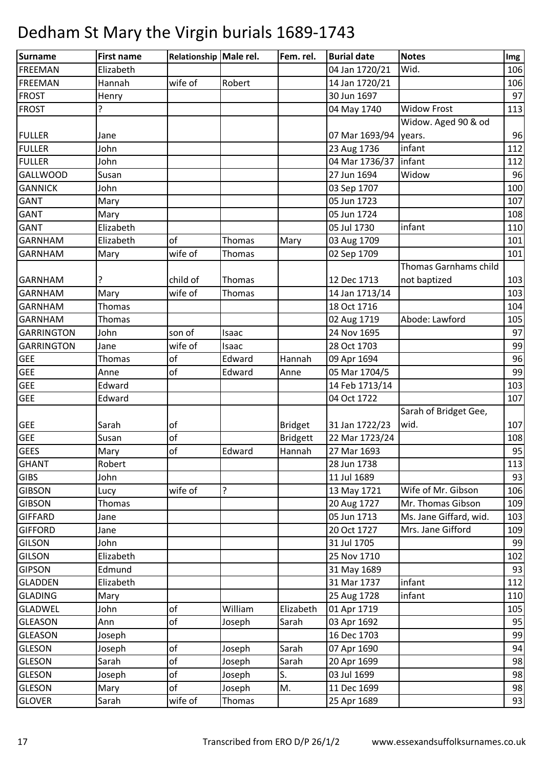| <b>Surname</b>    | <b>First name</b> | Relationship Male rel. |               | Fem. rel.       | <b>Burial date</b> | <b>Notes</b>           | Img |
|-------------------|-------------------|------------------------|---------------|-----------------|--------------------|------------------------|-----|
| <b>FREEMAN</b>    | Elizabeth         |                        |               |                 | 04 Jan 1720/21     | Wid.                   | 106 |
| <b>FREEMAN</b>    | Hannah            | wife of                | Robert        |                 | 14 Jan 1720/21     |                        | 106 |
| <b>FROST</b>      | Henry             |                        |               |                 | 30 Jun 1697        |                        | 97  |
| <b>FROST</b>      | ?                 |                        |               |                 | 04 May 1740        | <b>Widow Frost</b>     | 113 |
|                   |                   |                        |               |                 |                    | Widow. Aged 90 & od    |     |
| <b>FULLER</b>     | Jane              |                        |               |                 | 07 Mar 1693/94     | years.                 | 96  |
| <b>FULLER</b>     | John              |                        |               |                 | 23 Aug 1736        | infant                 | 112 |
| <b>FULLER</b>     | John              |                        |               |                 | 04 Mar 1736/37     | infant                 | 112 |
| <b>GALLWOOD</b>   | Susan             |                        |               |                 | 27 Jun 1694        | Widow                  | 96  |
| <b>GANNICK</b>    | John              |                        |               |                 | 03 Sep 1707        |                        | 100 |
| <b>GANT</b>       | Mary              |                        |               |                 | 05 Jun 1723        |                        | 107 |
| <b>GANT</b>       | Mary              |                        |               |                 | 05 Jun 1724        |                        | 108 |
| <b>GANT</b>       | Elizabeth         |                        |               |                 | 05 Jul 1730        | infant                 | 110 |
| <b>GARNHAM</b>    | Elizabeth         | of                     | <b>Thomas</b> | Mary            | 03 Aug 1709        |                        | 101 |
| <b>GARNHAM</b>    | Mary              | wife of                | <b>Thomas</b> |                 | 02 Sep 1709        |                        | 101 |
|                   |                   |                        |               |                 |                    | Thomas Garnhams child  |     |
| <b>GARNHAM</b>    |                   | child of               | Thomas        |                 | 12 Dec 1713        | not baptized           | 103 |
| <b>GARNHAM</b>    | Mary              | wife of                | Thomas        |                 | 14 Jan 1713/14     |                        | 103 |
| <b>GARNHAM</b>    | Thomas            |                        |               |                 | 18 Oct 1716        |                        | 104 |
| <b>GARNHAM</b>    | Thomas            |                        |               |                 | 02 Aug 1719        | Abode: Lawford         | 105 |
| <b>GARRINGTON</b> | John              | son of                 | Isaac         |                 | 24 Nov 1695        |                        | 97  |
| <b>GARRINGTON</b> | Jane              | wife of                | Isaac         |                 | 28 Oct 1703        |                        | 99  |
| <b>GEE</b>        | Thomas            | of                     | Edward        | Hannah          | 09 Apr 1694        |                        | 96  |
| <b>GEE</b>        | Anne              | of                     | Edward        | Anne            | 05 Mar 1704/5      |                        | 99  |
| <b>GEE</b>        | Edward            |                        |               |                 | 14 Feb 1713/14     |                        | 103 |
| <b>GEE</b>        | Edward            |                        |               |                 | 04 Oct 1722        |                        | 107 |
|                   |                   |                        |               |                 |                    | Sarah of Bridget Gee,  |     |
| <b>GEE</b>        | Sarah             | of                     |               | <b>Bridget</b>  | 31 Jan 1722/23     | wid.                   | 107 |
| <b>GEE</b>        | Susan             | of                     |               | <b>Bridgett</b> | 22 Mar 1723/24     |                        | 108 |
| <b>GEES</b>       | Mary              | of                     | Edward        | Hannah          | 27 Mar 1693        |                        | 95  |
| <b>GHANT</b>      | Robert            |                        |               |                 | 28 Jun 1738        |                        | 113 |
| <b>GIBS</b>       | John              |                        |               |                 | 11 Jul 1689        |                        | 93  |
| <b>GIBSON</b>     | Lucy              | wife of                | ŗ             |                 | 13 May 1721        | Wife of Mr. Gibson     | 106 |
| <b>GIBSON</b>     | Thomas            |                        |               |                 | 20 Aug 1727        | Mr. Thomas Gibson      | 109 |
| <b>GIFFARD</b>    | Jane              |                        |               |                 | 05 Jun 1713        | Ms. Jane Giffard, wid. | 103 |
| <b>GIFFORD</b>    | Jane              |                        |               |                 | 20 Oct 1727        | Mrs. Jane Gifford      | 109 |
| <b>GILSON</b>     | John              |                        |               |                 | 31 Jul 1705        |                        | 99  |
| <b>GILSON</b>     | Elizabeth         |                        |               |                 | 25 Nov 1710        |                        | 102 |
| <b>GIPSON</b>     | Edmund            |                        |               |                 | 31 May 1689        |                        | 93  |
| <b>GLADDEN</b>    | Elizabeth         |                        |               |                 | 31 Mar 1737        | infant                 | 112 |
| <b>GLADING</b>    | Mary              |                        |               |                 | 25 Aug 1728        | infant                 | 110 |
| <b>GLADWEL</b>    | John              | of                     | William       | Elizabeth       | 01 Apr 1719        |                        | 105 |
| <b>GLEASON</b>    | Ann               | of                     | Joseph        | Sarah           | 03 Apr 1692        |                        | 95  |
| <b>GLEASON</b>    | Joseph            |                        |               |                 | 16 Dec 1703        |                        | 99  |
| <b>GLESON</b>     | Joseph            | of                     | Joseph        | Sarah           | 07 Apr 1690        |                        | 94  |
| <b>GLESON</b>     | Sarah             | of                     | Joseph        | Sarah           | 20 Apr 1699        |                        | 98  |
| <b>GLESON</b>     | Joseph            | of                     | Joseph        | S.              | 03 Jul 1699        |                        | 98  |
| <b>GLESON</b>     | Mary              | of                     | Joseph        | M.              | 11 Dec 1699        |                        | 98  |
| <b>GLOVER</b>     | Sarah             | wife of                | Thomas        |                 | 25 Apr 1689        |                        | 93  |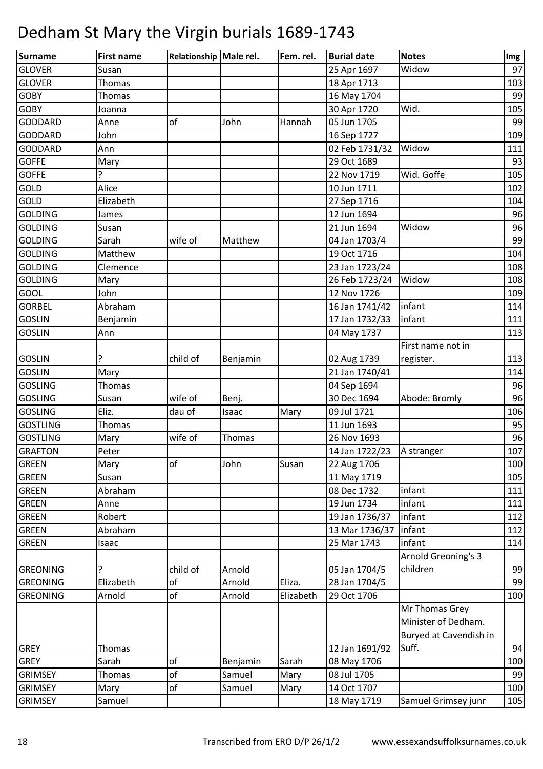| Surname         | <b>First name</b> | Relationship Male rel. |          | Fem. rel. | <b>Burial date</b> | <b>Notes</b>           | Img |
|-----------------|-------------------|------------------------|----------|-----------|--------------------|------------------------|-----|
| <b>GLOVER</b>   | Susan             |                        |          |           | 25 Apr 1697        | Widow                  | 97  |
| <b>GLOVER</b>   | Thomas            |                        |          |           | 18 Apr 1713        |                        | 103 |
| <b>GOBY</b>     | Thomas            |                        |          |           | 16 May 1704        |                        | 99  |
| <b>GOBY</b>     | Joanna            |                        |          |           | 30 Apr 1720        | Wid.                   | 105 |
| <b>GODDARD</b>  | Anne              | of                     | John     | Hannah    | 05 Jun 1705        |                        | 99  |
| <b>GODDARD</b>  | John              |                        |          |           | 16 Sep 1727        |                        | 109 |
| <b>GODDARD</b>  | Ann               |                        |          |           | 02 Feb 1731/32     | Widow                  | 111 |
| <b>GOFFE</b>    | Mary              |                        |          |           | 29 Oct 1689        |                        | 93  |
| <b>GOFFE</b>    | 5.                |                        |          |           | 22 Nov 1719        | Wid. Goffe             | 105 |
| <b>GOLD</b>     | Alice             |                        |          |           | 10 Jun 1711        |                        | 102 |
| GOLD            | Elizabeth         |                        |          |           | 27 Sep 1716        |                        | 104 |
| <b>GOLDING</b>  | James             |                        |          |           | 12 Jun 1694        |                        | 96  |
| <b>GOLDING</b>  | Susan             |                        |          |           | 21 Jun 1694        | Widow                  | 96  |
| <b>GOLDING</b>  | Sarah             | wife of                | Matthew  |           | 04 Jan 1703/4      |                        | 99  |
| <b>GOLDING</b>  | Matthew           |                        |          |           | 19 Oct 1716        |                        | 104 |
| <b>GOLDING</b>  | Clemence          |                        |          |           | 23 Jan 1723/24     |                        | 108 |
| <b>GOLDING</b>  | Mary              |                        |          |           | 26 Feb 1723/24     | Widow                  | 108 |
| GOOL            | John              |                        |          |           | 12 Nov 1726        |                        | 109 |
| <b>GORBEL</b>   | Abraham           |                        |          |           | 16 Jan 1741/42     | infant                 | 114 |
| <b>GOSLIN</b>   | Benjamin          |                        |          |           | 17 Jan 1732/33     | infant                 | 111 |
| <b>GOSLIN</b>   | Ann               |                        |          |           | 04 May 1737        |                        | 113 |
|                 |                   |                        |          |           |                    | First name not in      |     |
| <b>GOSLIN</b>   | ?                 | child of               | Benjamin |           | 02 Aug 1739        | register.              | 113 |
| <b>GOSLIN</b>   | Mary              |                        |          |           | 21 Jan 1740/41     |                        | 114 |
| <b>GOSLING</b>  | <b>Thomas</b>     |                        |          |           | 04 Sep 1694        |                        | 96  |
| <b>GOSLING</b>  | Susan             | wife of                | Benj.    |           | 30 Dec 1694        | Abode: Bromly          | 96  |
| <b>GOSLING</b>  | Eliz.             | dau of                 | Isaac    | Mary      | 09 Jul 1721        |                        | 106 |
| <b>GOSTLING</b> | <b>Thomas</b>     |                        |          |           | 11 Jun 1693        |                        | 95  |
| <b>GOSTLING</b> | Mary              | wife of                | Thomas   |           | 26 Nov 1693        |                        | 96  |
| <b>GRAFTON</b>  | Peter             |                        |          |           | 14 Jan 1722/23     | A stranger             | 107 |
| <b>GREEN</b>    | Mary              | <b>of</b>              | John     | Susan     | 22 Aug 1706        |                        | 100 |
| <b>GREEN</b>    | Susan             |                        |          |           | 11 May 1719        |                        | 105 |
| <b>GREEN</b>    | Abraham           |                        |          |           | 08 Dec 1732        | infant                 | 111 |
| <b>GREEN</b>    | Anne              |                        |          |           | 19 Jun 1734        | infant                 | 111 |
| <b>GREEN</b>    | Robert            |                        |          |           | 19 Jan 1736/37     | infant                 | 112 |
| <b>GREEN</b>    | Abraham           |                        |          |           | 13 Mar 1736/37     | infant                 | 112 |
| <b>GREEN</b>    | Isaac             |                        |          |           | 25 Mar 1743        | infant                 | 114 |
|                 |                   |                        |          |           |                    | Arnold Greoning's 3    |     |
| <b>GREONING</b> | ?                 | child of               | Arnold   |           | 05 Jan 1704/5      | children               | 99  |
| <b>GREONING</b> | Elizabeth         | of                     | Arnold   | Eliza.    | 28 Jan 1704/5      |                        | 99  |
| <b>GREONING</b> | Arnold            | of                     | Arnold   | Elizabeth | 29 Oct 1706        |                        | 100 |
|                 |                   |                        |          |           |                    | Mr Thomas Grey         |     |
|                 |                   |                        |          |           |                    | Minister of Dedham.    |     |
|                 |                   |                        |          |           |                    | Buryed at Cavendish in |     |
| <b>GREY</b>     | Thomas            |                        |          |           | 12 Jan 1691/92     | Suff.                  | 94  |
| <b>GREY</b>     | Sarah             | of                     | Benjamin | Sarah     | 08 May 1706        |                        | 100 |
| <b>GRIMSEY</b>  | Thomas            | of                     | Samuel   | Mary      | 08 Jul 1705        |                        | 99  |
| <b>GRIMSEY</b>  | Mary              | of                     | Samuel   | Mary      | 14 Oct 1707        |                        | 100 |
| <b>GRIMSEY</b>  | Samuel            |                        |          |           | 18 May 1719        | Samuel Grimsey junr    | 105 |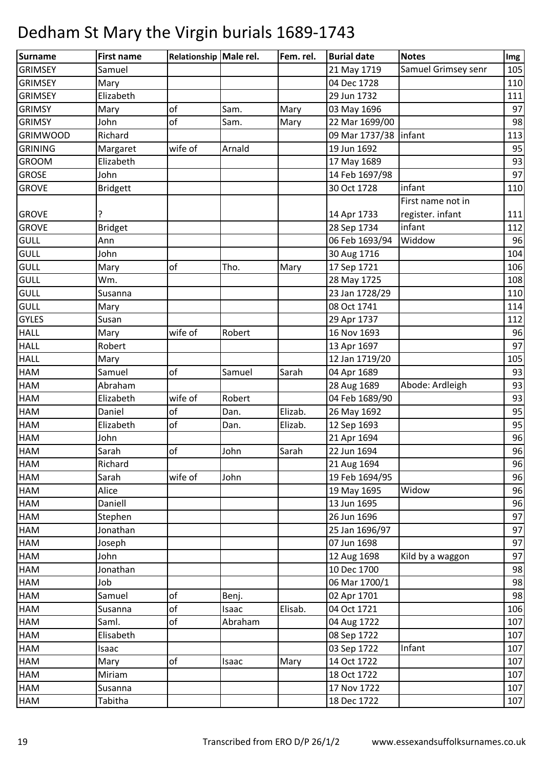| Surname         | <b>First name</b> | Relationship Male rel. |         | Fem. rel. | <b>Burial date</b>      | <b>Notes</b>        | Img |
|-----------------|-------------------|------------------------|---------|-----------|-------------------------|---------------------|-----|
| <b>GRIMSEY</b>  | Samuel            |                        |         |           | 21 May 1719             | Samuel Grimsey senr | 105 |
| <b>GRIMSEY</b>  | Mary              |                        |         |           | 04 Dec 1728             |                     | 110 |
| <b>GRIMSEY</b>  | Elizabeth         |                        |         |           | 29 Jun 1732             |                     | 111 |
| <b>GRIMSY</b>   | Mary              | of                     | Sam.    | Mary      | 03 May 1696             |                     | 97  |
| <b>GRIMSY</b>   | John              | of                     | Sam.    | Mary      | 22 Mar 1699/00          |                     | 98  |
| <b>GRIMWOOD</b> | Richard           |                        |         |           | 09 Mar 1737/38   infant |                     | 113 |
| <b>GRINING</b>  | Margaret          | wife of                | Arnald  |           | 19 Jun 1692             |                     | 95  |
| <b>GROOM</b>    | Elizabeth         |                        |         |           | 17 May 1689             |                     | 93  |
| <b>GROSE</b>    | John              |                        |         |           | 14 Feb 1697/98          |                     | 97  |
| <b>GROVE</b>    | <b>Bridgett</b>   |                        |         |           | 30 Oct 1728             | infant              | 110 |
|                 |                   |                        |         |           |                         | First name not in   |     |
| <b>GROVE</b>    | ?                 |                        |         |           | 14 Apr 1733             | register. infant    | 111 |
| <b>GROVE</b>    | <b>Bridget</b>    |                        |         |           | 28 Sep 1734             | infant              | 112 |
| <b>GULL</b>     | Ann               |                        |         |           | 06 Feb 1693/94          | Widdow              | 96  |
| <b>GULL</b>     | John              |                        |         |           | 30 Aug 1716             |                     | 104 |
| <b>GULL</b>     | Mary              | of                     | Tho.    | Mary      | 17 Sep 1721             |                     | 106 |
| <b>GULL</b>     | Wm.               |                        |         |           | 28 May 1725             |                     | 108 |
| <b>GULL</b>     | Susanna           |                        |         |           | 23 Jan 1728/29          |                     | 110 |
| <b>GULL</b>     | Mary              |                        |         |           | 08 Oct 1741             |                     | 114 |
| <b>GYLES</b>    | Susan             |                        |         |           | 29 Apr 1737             |                     | 112 |
| <b>HALL</b>     | Mary              | wife of                | Robert  |           | 16 Nov 1693             |                     | 96  |
| <b>HALL</b>     | Robert            |                        |         |           | 13 Apr 1697             |                     | 97  |
| <b>HALL</b>     | Mary              |                        |         |           | 12 Jan 1719/20          |                     | 105 |
| HAM             | Samuel            | of                     | Samuel  | Sarah     | 04 Apr 1689             |                     | 93  |
| HAM             | Abraham           |                        |         |           | 28 Aug 1689             | Abode: Ardleigh     | 93  |
| <b>HAM</b>      | Elizabeth         | wife of                | Robert  |           | 04 Feb 1689/90          |                     | 93  |
| HAM             | Daniel            | of                     | Dan.    | Elizab.   | 26 May 1692             |                     | 95  |
| <b>HAM</b>      | Elizabeth         | of                     | Dan.    | Elizab.   | 12 Sep 1693             |                     | 95  |
| HAM             | John              |                        |         |           | 21 Apr 1694             |                     | 96  |
| <b>HAM</b>      | Sarah             | of                     | John    | Sarah     | 22 Jun 1694             |                     | 96  |
| <b>HAM</b>      | Richard           |                        |         |           | 21 Aug 1694             |                     | 96  |
| <b>HAM</b>      | Sarah             | wife of                | John    |           | 19 Feb 1694/95          |                     | 96  |
| HAM             | Alice             |                        |         |           | 19 May 1695             | Widow               | 96  |
| HAM             | Daniell           |                        |         |           | 13 Jun 1695             |                     | 96  |
| HAM             | Stephen           |                        |         |           | 26 Jun 1696             |                     | 97  |
| <b>HAM</b>      | Jonathan          |                        |         |           | 25 Jan 1696/97          |                     | 97  |
| <b>HAM</b>      | Joseph            |                        |         |           | 07 Jun 1698             |                     | 97  |
| HAM             | John              |                        |         |           | 12 Aug 1698             | Kild by a waggon    | 97  |
| HAM             | Jonathan          |                        |         |           | 10 Dec 1700             |                     | 98  |
| HAM             | Job               |                        |         |           | 06 Mar 1700/1           |                     | 98  |
| <b>HAM</b>      | Samuel            | of                     | Benj.   |           | 02 Apr 1701             |                     | 98  |
| <b>HAM</b>      | Susanna           | of                     | Isaac   | Elisab.   | 04 Oct 1721             |                     | 106 |
| HAM             | Saml.             | of                     | Abraham |           | 04 Aug 1722             |                     | 107 |
| HAM             | Elisabeth         |                        |         |           | 08 Sep 1722             |                     | 107 |
| HAM             | Isaac             |                        |         |           | 03 Sep 1722             | Infant              | 107 |
| <b>HAM</b>      | Mary              | of                     | Isaac   | Mary      | 14 Oct 1722             |                     | 107 |
| <b>HAM</b>      | Miriam            |                        |         |           | 18 Oct 1722             |                     | 107 |
| HAM             | Susanna           |                        |         |           | 17 Nov 1722             |                     | 107 |
| HAM             | Tabitha           |                        |         |           | 18 Dec 1722             |                     | 107 |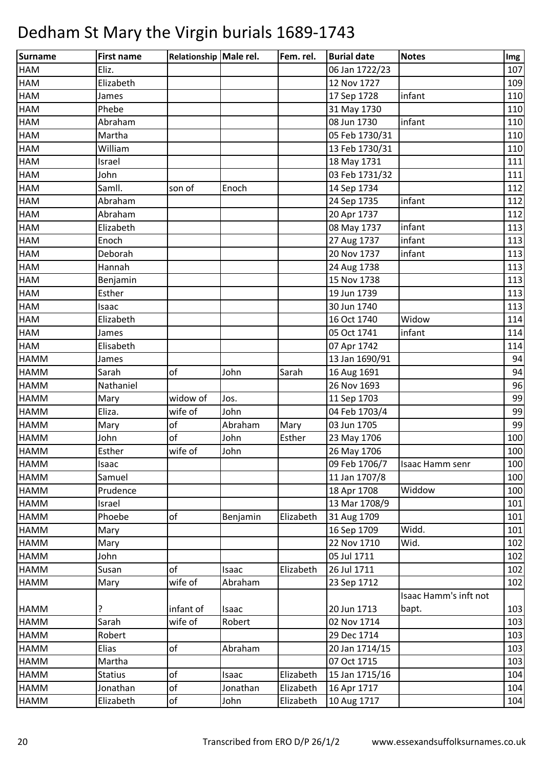| <b>Surname</b> | <b>First name</b> | Relationship Male rel. |          | Fem. rel. | <b>Burial date</b> | <b>Notes</b>          | Img |
|----------------|-------------------|------------------------|----------|-----------|--------------------|-----------------------|-----|
| HAM            | Eliz.             |                        |          |           | 06 Jan 1722/23     |                       | 107 |
| <b>HAM</b>     | Elizabeth         |                        |          |           | 12 Nov 1727        |                       | 109 |
| <b>HAM</b>     | James             |                        |          |           | 17 Sep 1728        | infant                | 110 |
| <b>HAM</b>     | Phebe             |                        |          |           | 31 May 1730        |                       | 110 |
| <b>HAM</b>     | Abraham           |                        |          |           | 08 Jun 1730        | infant                | 110 |
| <b>HAM</b>     | Martha            |                        |          |           | 05 Feb 1730/31     |                       | 110 |
| <b>HAM</b>     | William           |                        |          |           | 13 Feb 1730/31     |                       | 110 |
| <b>HAM</b>     | Israel            |                        |          |           | 18 May 1731        |                       | 111 |
| <b>HAM</b>     | John              |                        |          |           | 03 Feb 1731/32     |                       | 111 |
| <b>HAM</b>     | Samll.            | son of                 | Enoch    |           | 14 Sep 1734        |                       | 112 |
| <b>HAM</b>     | Abraham           |                        |          |           | 24 Sep 1735        | infant                | 112 |
| <b>HAM</b>     | Abraham           |                        |          |           | 20 Apr 1737        |                       | 112 |
| <b>HAM</b>     | Elizabeth         |                        |          |           | 08 May 1737        | infant                | 113 |
| <b>HAM</b>     | Enoch             |                        |          |           | 27 Aug 1737        | infant                | 113 |
| <b>HAM</b>     | Deborah           |                        |          |           | 20 Nov 1737        | infant                | 113 |
| <b>HAM</b>     | Hannah            |                        |          |           | 24 Aug 1738        |                       | 113 |
| <b>HAM</b>     | Benjamin          |                        |          |           | 15 Nov 1738        |                       | 113 |
| <b>HAM</b>     | Esther            |                        |          |           | 19 Jun 1739        |                       | 113 |
| <b>HAM</b>     | Isaac             |                        |          |           | 30 Jun 1740        |                       | 113 |
| <b>HAM</b>     | Elizabeth         |                        |          |           | 16 Oct 1740        | Widow                 | 114 |
| HAM            | James             |                        |          |           | 05 Oct 1741        | infant                | 114 |
| HAM            | Elisabeth         |                        |          |           | 07 Apr 1742        |                       | 114 |
| <b>HAMM</b>    | James             |                        |          |           | 13 Jan 1690/91     |                       | 94  |
| <b>HAMM</b>    | Sarah             | of                     | John     | Sarah     | 16 Aug 1691        |                       | 94  |
| HAMM           | Nathaniel         |                        |          |           | 26 Nov 1693        |                       | 96  |
| HAMM           | Mary              | widow of               | Jos.     |           | 11 Sep 1703        |                       | 99  |
| HAMM           | Eliza.            | wife of                | John     |           | 04 Feb 1703/4      |                       | 99  |
| HAMM           | Mary              | of                     | Abraham  | Mary      | 03 Jun 1705        |                       | 99  |
| <b>HAMM</b>    | John              | of                     | John     | Esther    | 23 May 1706        |                       | 100 |
| <b>HAMM</b>    | Esther            | wife of                | John     |           | 26 May 1706        |                       | 100 |
| <b>HAMM</b>    | Isaac             |                        |          |           | 09 Feb 1706/7      | Isaac Hamm senr       | 100 |
| HAMM           | Samuel            |                        |          |           | 11 Jan 1707/8      |                       | 100 |
| HAMM           | Prudence          |                        |          |           | 18 Apr 1708        | Widdow                | 100 |
| HAMM           | Israel            |                        |          |           | 13 Mar 1708/9      |                       | 101 |
| HAMM           | Phoebe            | of                     | Benjamin | Elizabeth | 31 Aug 1709        |                       | 101 |
| HAMM           | Mary              |                        |          |           | 16 Sep 1709        | Widd.                 | 101 |
| HAMM           | Mary              |                        |          |           | 22 Nov 1710        | Wid.                  | 102 |
| HAMM           | John              |                        |          |           | 05 Jul 1711        |                       | 102 |
| HAMM           | Susan             | of                     | Isaac    | Elizabeth | 26 Jul 1711        |                       | 102 |
| HAMM           | Mary              | wife of                | Abraham  |           | 23 Sep 1712        |                       | 102 |
|                |                   |                        |          |           |                    | Isaac Hamm's inft not |     |
| <b>HAMM</b>    | ?                 | infant of              | Isaac    |           | 20 Jun 1713        | bapt.                 | 103 |
| HAMM           | Sarah             | wife of                | Robert   |           | 02 Nov 1714        |                       | 103 |
| HAMM           | Robert            |                        |          |           | 29 Dec 1714        |                       | 103 |
| HAMM           | Elias             | of                     | Abraham  |           | 20 Jan 1714/15     |                       | 103 |
| HAMM           | Martha            |                        |          |           | 07 Oct 1715        |                       | 103 |
| HAMM           | <b>Statius</b>    | of                     | Isaac    | Elizabeth | 15 Jan 1715/16     |                       | 104 |
| HAMM           | Jonathan          | of                     | Jonathan | Elizabeth | 16 Apr 1717        |                       | 104 |
| HAMM           | Elizabeth         | of                     | John     | Elizabeth | 10 Aug 1717        |                       | 104 |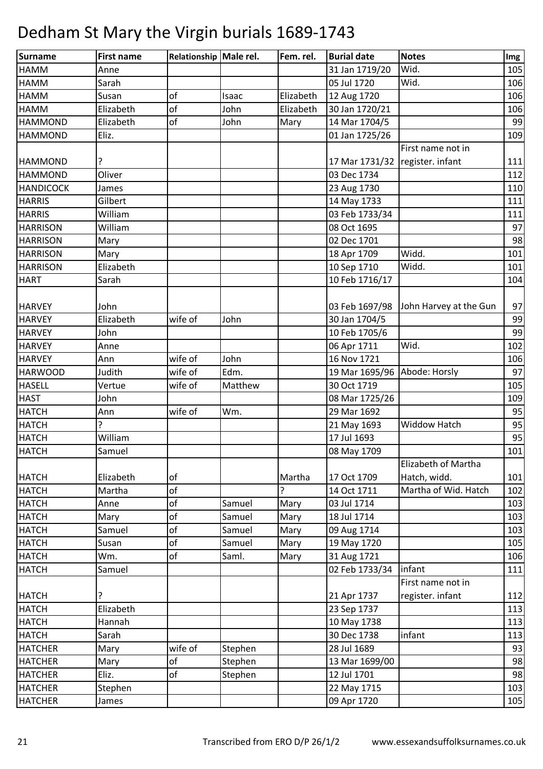| Surname          | <b>First name</b> | Relationship Male rel. |         | Fem. rel. | <b>Burial date</b>              | <b>Notes</b>           | Img |
|------------------|-------------------|------------------------|---------|-----------|---------------------------------|------------------------|-----|
| <b>HAMM</b>      | Anne              |                        |         |           | 31 Jan 1719/20                  | Wid.                   | 105 |
| <b>HAMM</b>      | Sarah             |                        |         |           | 05 Jul 1720                     | Wid.                   | 106 |
| <b>HAMM</b>      | Susan             | of                     | Isaac   | Elizabeth | 12 Aug 1720                     |                        | 106 |
| <b>HAMM</b>      | Elizabeth         | of                     | John    | Elizabeth | 30 Jan 1720/21                  |                        | 106 |
| <b>HAMMOND</b>   | Elizabeth         | of                     | John    | Mary      | 14 Mar 1704/5                   |                        | 99  |
| <b>HAMMOND</b>   | Eliz.             |                        |         |           | 01 Jan 1725/26                  |                        | 109 |
|                  |                   |                        |         |           |                                 | First name not in      |     |
| <b>HAMMOND</b>   | ?                 |                        |         |           | 17 Mar 1731/32 register. infant |                        | 111 |
| <b>HAMMOND</b>   | Oliver            |                        |         |           | 03 Dec 1734                     |                        | 112 |
| <b>HANDICOCK</b> | James             |                        |         |           | 23 Aug 1730                     |                        | 110 |
| <b>HARRIS</b>    | Gilbert           |                        |         |           | 14 May 1733                     |                        | 111 |
| <b>HARRIS</b>    | William           |                        |         |           | 03 Feb 1733/34                  |                        | 111 |
| <b>HARRISON</b>  | William           |                        |         |           | 08 Oct 1695                     |                        | 97  |
| <b>HARRISON</b>  | Mary              |                        |         |           | 02 Dec 1701                     |                        | 98  |
| <b>HARRISON</b>  | Mary              |                        |         |           | 18 Apr 1709                     | Widd.                  | 101 |
| <b>HARRISON</b>  | Elizabeth         |                        |         |           | 10 Sep 1710                     | Widd.                  | 101 |
| <b>HART</b>      | Sarah             |                        |         |           | 10 Feb 1716/17                  |                        | 104 |
|                  |                   |                        |         |           |                                 |                        |     |
| <b>HARVEY</b>    | John              |                        |         |           | 03 Feb 1697/98                  | John Harvey at the Gun | 97  |
| <b>HARVEY</b>    | Elizabeth         | wife of                | John    |           | 30 Jan 1704/5                   |                        | 99  |
| <b>HARVEY</b>    | John              |                        |         |           | 10 Feb 1705/6                   |                        | 99  |
| <b>HARVEY</b>    | Anne              |                        |         |           | 06 Apr 1711                     | Wid.                   | 102 |
| <b>HARVEY</b>    | Ann               | wife of                | John    |           | 16 Nov 1721                     |                        | 106 |
| <b>HARWOOD</b>   | Judith            | wife of                | Edm.    |           | 19 Mar 1695/96                  | Abode: Horsly          | 97  |
| <b>HASELL</b>    | Vertue            | wife of                | Matthew |           | 30 Oct 1719                     |                        | 105 |
| <b>HAST</b>      | John              |                        |         |           | 08 Mar 1725/26                  |                        | 109 |
| <b>HATCH</b>     | Ann               | wife of                | Wm.     |           | 29 Mar 1692                     |                        | 95  |
| <b>HATCH</b>     | 5.                |                        |         |           | 21 May 1693                     | <b>Widdow Hatch</b>    | 95  |
| <b>HATCH</b>     | William           |                        |         |           | 17 Jul 1693                     |                        | 95  |
| <b>HATCH</b>     | Samuel            |                        |         |           | 08 May 1709                     |                        | 101 |
|                  |                   |                        |         |           |                                 | Elizabeth of Martha    |     |
| <b>HATCH</b>     | Elizabeth         | of                     |         | Martha    | 17 Oct 1709                     | Hatch, widd.           | 101 |
| <b>HATCH</b>     | Martha            | of                     |         | 5.        | 14 Oct 1711                     | Martha of Wid. Hatch   | 102 |
| <b>HATCH</b>     | Anne              | of                     | Samuel  | Mary      | 03 Jul 1714                     |                        | 103 |
| <b>HATCH</b>     | Mary              | of                     | Samuel  | Mary      | 18 Jul 1714                     |                        | 103 |
| <b>HATCH</b>     | Samuel            | of                     | Samuel  | Mary      | 09 Aug 1714                     |                        | 103 |
| <b>HATCH</b>     | Susan             | of                     | Samuel  | Mary      | 19 May 1720                     |                        | 105 |
| <b>HATCH</b>     | Wm.               | of                     | Saml.   | Mary      | 31 Aug 1721                     |                        | 106 |
| <b>HATCH</b>     | Samuel            |                        |         |           | 02 Feb 1733/34                  | infant                 | 111 |
|                  |                   |                        |         |           |                                 | First name not in      |     |
| <b>HATCH</b>     |                   |                        |         |           | 21 Apr 1737                     | register. infant       | 112 |
| <b>HATCH</b>     | Elizabeth         |                        |         |           | 23 Sep 1737                     |                        | 113 |
| <b>HATCH</b>     | Hannah            |                        |         |           | 10 May 1738                     |                        | 113 |
| <b>HATCH</b>     | Sarah             |                        |         |           | 30 Dec 1738                     | infant                 | 113 |
| <b>HATCHER</b>   | Mary              | wife of                | Stephen |           | 28 Jul 1689                     |                        | 93  |
| <b>HATCHER</b>   | Mary              | of                     | Stephen |           | 13 Mar 1699/00                  |                        | 98  |
| <b>HATCHER</b>   | Eliz.             | of                     | Stephen |           | 12 Jul 1701                     |                        | 98  |
| <b>HATCHER</b>   | Stephen           |                        |         |           | 22 May 1715                     |                        | 103 |
| <b>HATCHER</b>   | James             |                        |         |           | 09 Apr 1720                     |                        | 105 |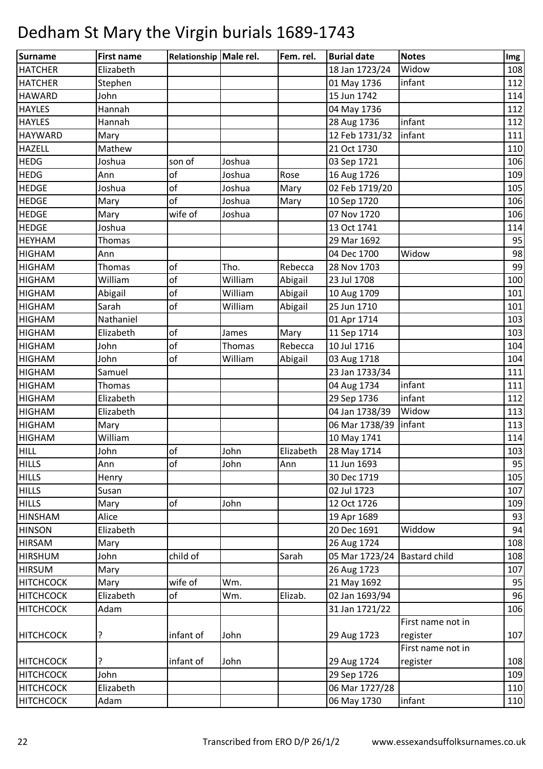| Surname          | <b>First name</b> | Relationship Male rel. |         | Fem. rel. | <b>Burial date</b> | <b>Notes</b>         | Img |
|------------------|-------------------|------------------------|---------|-----------|--------------------|----------------------|-----|
| <b>HATCHER</b>   | Elizabeth         |                        |         |           | 18 Jan 1723/24     | Widow                | 108 |
| <b>HATCHER</b>   | Stephen           |                        |         |           | 01 May 1736        | infant               | 112 |
| <b>HAWARD</b>    | John              |                        |         |           | 15 Jun 1742        |                      | 114 |
| <b>HAYLES</b>    | Hannah            |                        |         |           | 04 May 1736        |                      | 112 |
| <b>HAYLES</b>    | Hannah            |                        |         |           | 28 Aug 1736        | infant               | 112 |
| <b>HAYWARD</b>   | Mary              |                        |         |           | 12 Feb 1731/32     | infant               | 111 |
| HAZELL           | Mathew            |                        |         |           | 21 Oct 1730        |                      | 110 |
| <b>HEDG</b>      | Joshua            | son of                 | Joshua  |           | 03 Sep 1721        |                      | 106 |
| <b>HEDG</b>      | Ann               | of                     | Joshua  | Rose      | 16 Aug 1726        |                      | 109 |
| <b>HEDGE</b>     | Joshua            | of                     | Joshua  | Mary      | 02 Feb 1719/20     |                      | 105 |
| <b>HEDGE</b>     | Mary              | of                     | Joshua  | Mary      | 10 Sep 1720        |                      | 106 |
| <b>HEDGE</b>     | Mary              | wife of                | Joshua  |           | 07 Nov 1720        |                      | 106 |
| <b>HEDGE</b>     | Joshua            |                        |         |           | 13 Oct 1741        |                      | 114 |
| <b>HEYHAM</b>    | Thomas            |                        |         |           | 29 Mar 1692        |                      | 95  |
| <b>HIGHAM</b>    | Ann               |                        |         |           | 04 Dec 1700        | Widow                | 98  |
| <b>HIGHAM</b>    | Thomas            | of                     | Tho.    | Rebecca   | 28 Nov 1703        |                      | 99  |
| <b>HIGHAM</b>    | William           | of                     | William | Abigail   | 23 Jul 1708        |                      | 100 |
| <b>HIGHAM</b>    | Abigail           | of                     | William | Abigail   | 10 Aug 1709        |                      | 101 |
| <b>HIGHAM</b>    | Sarah             | of                     | William | Abigail   | 25 Jun 1710        |                      | 101 |
| <b>HIGHAM</b>    | Nathaniel         |                        |         |           | 01 Apr 1714        |                      | 103 |
| <b>HIGHAM</b>    | Elizabeth         | of                     | James   | Mary      | 11 Sep 1714        |                      | 103 |
| <b>HIGHAM</b>    | John              | of                     | Thomas  | Rebecca   | 10 Jul 1716        |                      | 104 |
| <b>HIGHAM</b>    | John              | of                     | William | Abigail   | 03 Aug 1718        |                      | 104 |
| <b>HIGHAM</b>    | Samuel            |                        |         |           | 23 Jan 1733/34     |                      | 111 |
| <b>HIGHAM</b>    | Thomas            |                        |         |           | 04 Aug 1734        | infant               | 111 |
| <b>HIGHAM</b>    | Elizabeth         |                        |         |           | 29 Sep 1736        | infant               | 112 |
| <b>HIGHAM</b>    | Elizabeth         |                        |         |           | 04 Jan 1738/39     | Widow                | 113 |
| <b>HIGHAM</b>    | Mary              |                        |         |           | 06 Mar 1738/39     | linfant              | 113 |
| <b>HIGHAM</b>    | William           |                        |         |           | 10 May 1741        |                      | 114 |
| <b>HILL</b>      | John              | of                     | John    | Elizabeth | 28 May 1714        |                      | 103 |
| <b>HILLS</b>     | Ann               | оf                     | John    | Ann       | 11 Jun 1693        |                      | 95  |
| <b>HILLS</b>     | Henry             |                        |         |           | 30 Dec 1719        |                      | 105 |
| <b>HILLS</b>     | Susan             |                        |         |           | 02 Jul 1723        |                      | 107 |
| <b>HILLS</b>     | Mary              | of                     | John    |           | 12 Oct 1726        |                      | 109 |
| <b>HINSHAM</b>   | Alice             |                        |         |           | 19 Apr 1689        |                      | 93  |
| <b>HINSON</b>    | Elizabeth         |                        |         |           | 20 Dec 1691        | Widdow               | 94  |
| <b>HIRSAM</b>    | Mary              |                        |         |           | 26 Aug 1724        |                      | 108 |
| <b>HIRSHUM</b>   | John              | child of               |         | Sarah     | 05 Mar 1723/24     | <b>Bastard child</b> | 108 |
| <b>HIRSUM</b>    | Mary              |                        |         |           | 26 Aug 1723        |                      | 107 |
| <b>HITCHCOCK</b> | Mary              | wife of                | Wm.     |           | 21 May 1692        |                      | 95  |
| <b>HITCHCOCK</b> | Elizabeth         | оf                     | Wm.     | Elizab.   | 02 Jan 1693/94     |                      | 96  |
| <b>HITCHCOCK</b> | Adam              |                        |         |           | 31 Jan 1721/22     |                      | 106 |
|                  |                   |                        |         |           |                    | First name not in    |     |
| <b>HITCHCOCK</b> | ?                 | infant of              | John    |           | 29 Aug 1723        | register             | 107 |
|                  |                   |                        |         |           |                    | First name not in    |     |
| <b>HITCHCOCK</b> | ?                 | infant of              | John    |           | 29 Aug 1724        | register             | 108 |
| <b>HITCHCOCK</b> | John              |                        |         |           | 29 Sep 1726        |                      | 109 |
| <b>HITCHCOCK</b> | Elizabeth         |                        |         |           | 06 Mar 1727/28     |                      | 110 |
| <b>HITCHCOCK</b> | Adam              |                        |         |           | 06 May 1730        | infant               | 110 |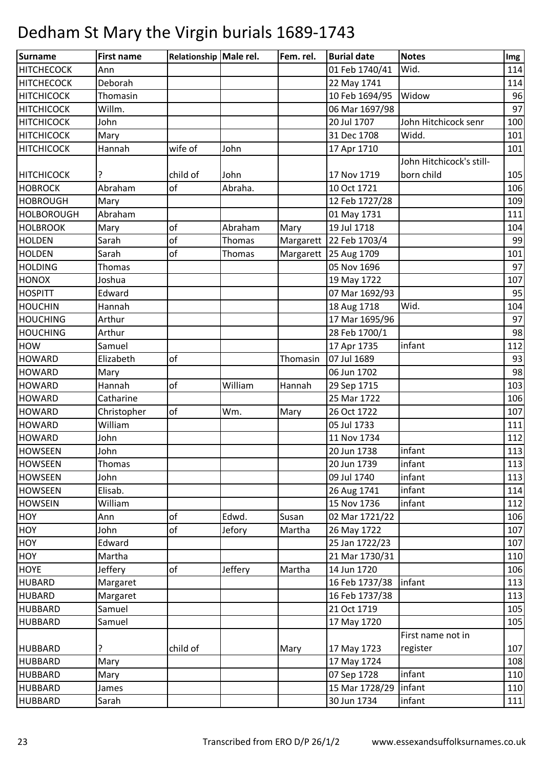| <b>Surname</b>    | <b>First name</b> | Relationship Male rel. |         | Fem. rel. | <b>Burial date</b> | <b>Notes</b>             | Img |
|-------------------|-------------------|------------------------|---------|-----------|--------------------|--------------------------|-----|
| <b>HITCHECOCK</b> | Ann               |                        |         |           | 01 Feb 1740/41     | Wid.                     | 114 |
| <b>HITCHECOCK</b> | Deborah           |                        |         |           | 22 May 1741        |                          | 114 |
| <b>HITCHICOCK</b> | Thomasin          |                        |         |           | 10 Feb 1694/95     | Widow                    | 96  |
| <b>HITCHICOCK</b> | Willm.            |                        |         |           | 06 Mar 1697/98     |                          | 97  |
| <b>HITCHICOCK</b> | John              |                        |         |           | 20 Jul 1707        | John Hitchicock senr     | 100 |
| <b>HITCHICOCK</b> | Mary              |                        |         |           | 31 Dec 1708        | Widd.                    | 101 |
| <b>HITCHICOCK</b> | Hannah            | wife of                | John    |           | 17 Apr 1710        |                          | 101 |
|                   |                   |                        |         |           |                    | John Hitchicock's still- |     |
| <b>HITCHICOCK</b> |                   | child of               | John    |           | 17 Nov 1719        | born child               | 105 |
| <b>HOBROCK</b>    | Abraham           | of                     | Abraha. |           | 10 Oct 1721        |                          | 106 |
| <b>HOBROUGH</b>   | Mary              |                        |         |           | 12 Feb 1727/28     |                          | 109 |
| <b>HOLBOROUGH</b> | Abraham           |                        |         |           | 01 May 1731        |                          | 111 |
| <b>HOLBROOK</b>   | Mary              | of                     | Abraham | Mary      | 19 Jul 1718        |                          | 104 |
| <b>HOLDEN</b>     | Sarah             | of                     | Thomas  | Margarett | 22 Feb 1703/4      |                          | 99  |
| <b>HOLDEN</b>     | Sarah             | of                     | Thomas  | Margarett | 25 Aug 1709        |                          | 101 |
| <b>HOLDING</b>    | Thomas            |                        |         |           | 05 Nov 1696        |                          | 97  |
| <b>HONOX</b>      | Joshua            |                        |         |           | 19 May 1722        |                          | 107 |
| <b>HOSPITT</b>    | Edward            |                        |         |           | 07 Mar 1692/93     |                          | 95  |
| <b>HOUCHIN</b>    | Hannah            |                        |         |           | 18 Aug 1718        | Wid.                     | 104 |
| <b>HOUCHING</b>   | Arthur            |                        |         |           | 17 Mar 1695/96     |                          | 97  |
| <b>HOUCHING</b>   | Arthur            |                        |         |           | 28 Feb 1700/1      |                          | 98  |
| <b>HOW</b>        | Samuel            |                        |         |           | 17 Apr 1735        | infant                   | 112 |
| <b>HOWARD</b>     | Elizabeth         | of                     |         | Thomasin  | 07 Jul 1689        |                          | 93  |
| <b>HOWARD</b>     | Mary              |                        |         |           | 06 Jun 1702        |                          | 98  |
| <b>HOWARD</b>     | Hannah            | of                     | William | Hannah    | 29 Sep 1715        |                          | 103 |
| <b>HOWARD</b>     | Catharine         |                        |         |           | 25 Mar 1722        |                          | 106 |
| <b>HOWARD</b>     | Christopher       | of                     | Wm.     | Mary      | 26 Oct 1722        |                          | 107 |
| <b>HOWARD</b>     | William           |                        |         |           | 05 Jul 1733        |                          | 111 |
| <b>HOWARD</b>     | John              |                        |         |           | 11 Nov 1734        |                          | 112 |
| <b>HOWSEEN</b>    | John              |                        |         |           | 20 Jun 1738        | infant                   | 113 |
| <b>HOWSEEN</b>    | Thomas            |                        |         |           | 20 Jun 1739        | infant                   | 113 |
| <b>HOWSEEN</b>    | John              |                        |         |           | 09 Jul 1740        | infant                   | 113 |
| <b>HOWSEEN</b>    | Elisab.           |                        |         |           | 26 Aug 1741        | infant                   | 114 |
| <b>HOWSEIN</b>    | William           |                        |         |           | 15 Nov 1736        | infant                   | 112 |
| HOY               | Ann               | of                     | Edwd.   | Susan     | 02 Mar 1721/22     |                          | 106 |
| <b>HOY</b>        | John              | of                     | Jefory  | Martha    | 26 May 1722        |                          | 107 |
| <b>HOY</b>        | Edward            |                        |         |           | 25 Jan 1722/23     |                          | 107 |
| <b>HOY</b>        | Martha            |                        |         |           | 21 Mar 1730/31     |                          | 110 |
| <b>HOYE</b>       | Jeffery           | of                     | Jeffery | Martha    | 14 Jun 1720        |                          | 106 |
| <b>HUBARD</b>     | Margaret          |                        |         |           | 16 Feb 1737/38     | infant                   | 113 |
| <b>HUBARD</b>     | Margaret          |                        |         |           | 16 Feb 1737/38     |                          | 113 |
| <b>HUBBARD</b>    | Samuel            |                        |         |           | 21 Oct 1719        |                          | 105 |
| <b>HUBBARD</b>    | Samuel            |                        |         |           | 17 May 1720        |                          | 105 |
|                   |                   |                        |         |           |                    | First name not in        |     |
| <b>HUBBARD</b>    | ?                 | child of               |         | Mary      | 17 May 1723        | register                 | 107 |
| <b>HUBBARD</b>    | Mary              |                        |         |           | 17 May 1724        |                          | 108 |
| <b>HUBBARD</b>    | Mary              |                        |         |           | 07 Sep 1728        | infant                   | 110 |
| <b>HUBBARD</b>    | James             |                        |         |           | 15 Mar 1728/29     | infant                   | 110 |
| <b>HUBBARD</b>    | Sarah             |                        |         |           | 30 Jun 1734        | infant                   | 111 |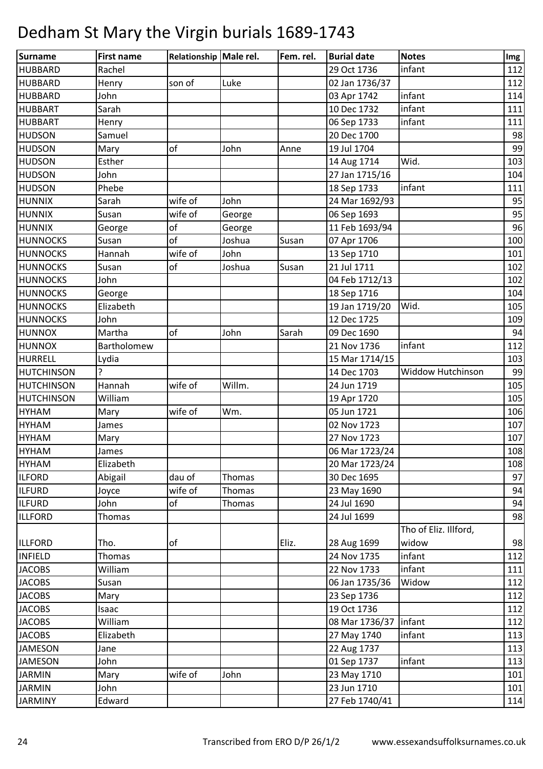| Surname           | <b>First name</b> | Relationship Male rel. |        | Fem. rel. | <b>Burial date</b> | <b>Notes</b>          | Img |
|-------------------|-------------------|------------------------|--------|-----------|--------------------|-----------------------|-----|
| <b>HUBBARD</b>    | Rachel            |                        |        |           | 29 Oct 1736        | infant                | 112 |
| <b>HUBBARD</b>    | Henry             | son of                 | Luke   |           | 02 Jan 1736/37     |                       | 112 |
| <b>HUBBARD</b>    | John              |                        |        |           | 03 Apr 1742        | infant                | 114 |
| <b>HUBBART</b>    | Sarah             |                        |        |           | 10 Dec 1732        | infant                | 111 |
| <b>HUBBART</b>    | Henry             |                        |        |           | 06 Sep 1733        | infant                | 111 |
| <b>HUDSON</b>     | Samuel            |                        |        |           | 20 Dec 1700        |                       | 98  |
| <b>HUDSON</b>     | Mary              | of                     | John   | Anne      | 19 Jul 1704        |                       | 99  |
| <b>HUDSON</b>     | Esther            |                        |        |           | 14 Aug 1714        | Wid.                  | 103 |
| <b>HUDSON</b>     | John              |                        |        |           | 27 Jan 1715/16     |                       | 104 |
| <b>HUDSON</b>     | Phebe             |                        |        |           | 18 Sep 1733        | infant                | 111 |
| <b>HUNNIX</b>     | Sarah             | wife of                | John   |           | 24 Mar 1692/93     |                       | 95  |
| <b>HUNNIX</b>     | Susan             | wife of                | George |           | 06 Sep 1693        |                       | 95  |
| <b>HUNNIX</b>     | George            | of                     | George |           | 11 Feb 1693/94     |                       | 96  |
| <b>HUNNOCKS</b>   | Susan             | of                     | Joshua | Susan     | 07 Apr 1706        |                       | 100 |
| <b>HUNNOCKS</b>   | Hannah            | wife of                | John   |           | 13 Sep 1710        |                       | 101 |
| <b>HUNNOCKS</b>   | Susan             | of                     | Joshua | Susan     | 21 Jul 1711        |                       | 102 |
| <b>HUNNOCKS</b>   | John              |                        |        |           | 04 Feb 1712/13     |                       | 102 |
| <b>HUNNOCKS</b>   | George            |                        |        |           | 18 Sep 1716        |                       | 104 |
| <b>HUNNOCKS</b>   | Elizabeth         |                        |        |           | 19 Jan 1719/20     | Wid.                  | 105 |
| <b>HUNNOCKS</b>   | John              |                        |        |           | 12 Dec 1725        |                       | 109 |
| <b>HUNNOX</b>     | Martha            | of                     | John   | Sarah     | 09 Dec 1690        |                       | 94  |
| <b>HUNNOX</b>     | Bartholomew       |                        |        |           | 21 Nov 1736        | infant                | 112 |
| HURRELL           | Lydia             |                        |        |           | 15 Mar 1714/15     |                       | 103 |
| <b>HUTCHINSON</b> | ?                 |                        |        |           | 14 Dec 1703        | Widdow Hutchinson     | 99  |
| <b>HUTCHINSON</b> | Hannah            | wife of                | Willm. |           | 24 Jun 1719        |                       | 105 |
| <b>HUTCHINSON</b> | William           |                        |        |           | 19 Apr 1720        |                       | 105 |
| <b>HYHAM</b>      | Mary              | wife of                | Wm.    |           | 05 Jun 1721        |                       | 106 |
| <b>HYHAM</b>      | James             |                        |        |           | 02 Nov 1723        |                       | 107 |
| <b>HYHAM</b>      | Mary              |                        |        |           | 27 Nov 1723        |                       | 107 |
| <b>HYHAM</b>      | James             |                        |        |           | 06 Mar 1723/24     |                       | 108 |
| <b>HYHAM</b>      | Elizabeth         |                        |        |           | 20 Mar 1723/24     |                       | 108 |
| <b>ILFORD</b>     | Abigail           | dau of                 | Thomas |           | 30 Dec 1695        |                       | 97  |
| <b>ILFURD</b>     | Joyce             | wife of                | Thomas |           | 23 May 1690        |                       | 94  |
| <b>ILFURD</b>     | John              | оf                     | Thomas |           | 24 Jul 1690        |                       | 94  |
| <b>ILLFORD</b>    | <b>Thomas</b>     |                        |        |           | 24 Jul 1699        |                       | 98  |
|                   |                   |                        |        |           |                    | Tho of Eliz. Illford, |     |
| <b>ILLFORD</b>    | Tho.              | of                     |        | Eliz.     | 28 Aug 1699        | widow                 | 98  |
| <b>INFIELD</b>    | Thomas            |                        |        |           | 24 Nov 1735        | infant                | 112 |
| <b>JACOBS</b>     | William           |                        |        |           | 22 Nov 1733        | infant                | 111 |
| <b>JACOBS</b>     | Susan             |                        |        |           | 06 Jan 1735/36     | Widow                 | 112 |
| <b>JACOBS</b>     | Mary              |                        |        |           | 23 Sep 1736        |                       | 112 |
| <b>JACOBS</b>     | Isaac             |                        |        |           | 19 Oct 1736        |                       | 112 |
| <b>JACOBS</b>     | William           |                        |        |           | 08 Mar 1736/37     | infant                | 112 |
| <b>JACOBS</b>     | Elizabeth         |                        |        |           | 27 May 1740        | infant                | 113 |
| JAMESON           | Jane              |                        |        |           | 22 Aug 1737        |                       | 113 |
| <b>JAMESON</b>    | John              |                        |        |           | 01 Sep 1737        | infant                | 113 |
| <b>JARMIN</b>     | Mary              | wife of                | John   |           | 23 May 1710        |                       | 101 |
| <b>JARMIN</b>     | John              |                        |        |           | 23 Jun 1710        |                       | 101 |
| <b>JARMINY</b>    | Edward            |                        |        |           | 27 Feb 1740/41     |                       | 114 |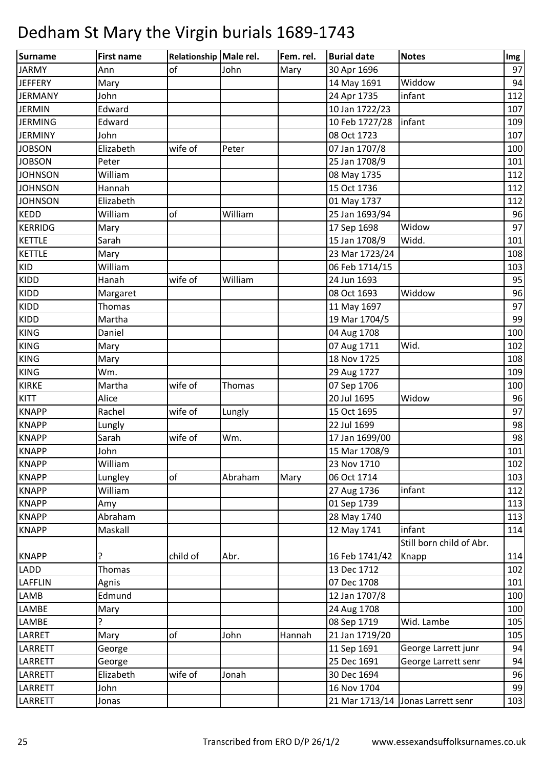| Surname        | <b>First name</b> | Relationship Male rel. |         | Fem. rel. | <b>Burial date</b> | <b>Notes</b>                      | Img |
|----------------|-------------------|------------------------|---------|-----------|--------------------|-----------------------------------|-----|
| <b>JARMY</b>   | Ann               | of                     | John    | Mary      | 30 Apr 1696        |                                   | 97  |
| <b>JEFFERY</b> | Mary              |                        |         |           | 14 May 1691        | Widdow                            | 94  |
| <b>JERMANY</b> | John              |                        |         |           | 24 Apr 1735        | infant                            | 112 |
| <b>JERMIN</b>  | Edward            |                        |         |           | 10 Jan 1722/23     |                                   | 107 |
| <b>JERMING</b> | Edward            |                        |         |           | 10 Feb 1727/28     | infant                            | 109 |
| <b>JERMINY</b> | John              |                        |         |           | 08 Oct 1723        |                                   | 107 |
| <b>JOBSON</b>  | Elizabeth         | wife of                | Peter   |           | 07 Jan 1707/8      |                                   | 100 |
| <b>JOBSON</b>  | Peter             |                        |         |           | 25 Jan 1708/9      |                                   | 101 |
| <b>JOHNSON</b> | William           |                        |         |           | 08 May 1735        |                                   | 112 |
| <b>JOHNSON</b> | Hannah            |                        |         |           | 15 Oct 1736        |                                   | 112 |
| <b>JOHNSON</b> | Elizabeth         |                        |         |           | 01 May 1737        |                                   | 112 |
| <b>KEDD</b>    | William           | of                     | William |           | 25 Jan 1693/94     |                                   | 96  |
| <b>KERRIDG</b> | Mary              |                        |         |           | 17 Sep 1698        | Widow                             | 97  |
| <b>KETTLE</b>  | Sarah             |                        |         |           | 15 Jan 1708/9      | Widd.                             | 101 |
| <b>KETTLE</b>  | Mary              |                        |         |           | 23 Mar 1723/24     |                                   | 108 |
| KID            | William           |                        |         |           | 06 Feb 1714/15     |                                   | 103 |
| <b>KIDD</b>    | Hanah             | wife of                | William |           | 24 Jun 1693        |                                   | 95  |
| <b>KIDD</b>    | Margaret          |                        |         |           | 08 Oct 1693        | Widdow                            | 96  |
| KIDD           | <b>Thomas</b>     |                        |         |           | 11 May 1697        |                                   | 97  |
| <b>KIDD</b>    | Martha            |                        |         |           | 19 Mar 1704/5      |                                   | 99  |
| <b>KING</b>    | Daniel            |                        |         |           | 04 Aug 1708        |                                   | 100 |
| <b>KING</b>    | Mary              |                        |         |           | 07 Aug 1711        | Wid.                              | 102 |
| <b>KING</b>    | Mary              |                        |         |           | 18 Nov 1725        |                                   | 108 |
| <b>KING</b>    | Wm.               |                        |         |           | 29 Aug 1727        |                                   | 109 |
| <b>KIRKE</b>   | Martha            | wife of                | Thomas  |           | 07 Sep 1706        |                                   | 100 |
| KITT           | Alice             |                        |         |           | 20 Jul 1695        | Widow                             | 96  |
| <b>KNAPP</b>   | Rachel            | wife of                | Lungly  |           | 15 Oct 1695        |                                   | 97  |
| <b>KNAPP</b>   | Lungly            |                        |         |           | 22 Jul 1699        |                                   | 98  |
| <b>KNAPP</b>   | Sarah             | wife of                | Wm.     |           | 17 Jan 1699/00     |                                   | 98  |
| <b>KNAPP</b>   | John              |                        |         |           | 15 Mar 1708/9      |                                   | 101 |
| <b>KNAPP</b>   | William           |                        |         |           | 23 Nov 1710        |                                   | 102 |
| <b>KNAPP</b>   | Lungley           | of                     | Abraham | Mary      | 06 Oct 1714        |                                   | 103 |
| <b>KNAPP</b>   | William           |                        |         |           | 27 Aug 1736        | infant                            | 112 |
| <b>KNAPP</b>   | Amy               |                        |         |           | 01 Sep 1739        |                                   | 113 |
| <b>KNAPP</b>   | Abraham           |                        |         |           | 28 May 1740        |                                   | 113 |
| <b>KNAPP</b>   | Maskall           |                        |         |           | 12 May 1741        | infant                            | 114 |
|                |                   |                        |         |           |                    | Still born child of Abr.          |     |
| <b>KNAPP</b>   | ?                 | child of               | Abr.    |           | 16 Feb 1741/42     | Knapp                             | 114 |
| LADD           | Thomas            |                        |         |           | 13 Dec 1712        |                                   | 102 |
| LAFFLIN        | Agnis             |                        |         |           | 07 Dec 1708        |                                   | 101 |
| <b>LAMB</b>    | Edmund            |                        |         |           | 12 Jan 1707/8      |                                   | 100 |
| LAMBE          | Mary              |                        |         |           | 24 Aug 1708        |                                   | 100 |
| LAMBE          | ç                 |                        |         |           | 08 Sep 1719        | Wid. Lambe                        | 105 |
| LARRET         | Mary              | of                     | John    | Hannah    | 21 Jan 1719/20     |                                   | 105 |
| LARRETT        | George            |                        |         |           | 11 Sep 1691        | George Larrett junr               | 94  |
| LARRETT        | George            |                        |         |           | 25 Dec 1691        | George Larrett senr               | 94  |
| LARRETT        | Elizabeth         | wife of                | Jonah   |           | 30 Dec 1694        |                                   | 96  |
| LARRETT        | John              |                        |         |           | 16 Nov 1704        |                                   | 99  |
| LARRETT        | Jonas             |                        |         |           |                    | 21 Mar 1713/14 Jonas Larrett senr | 103 |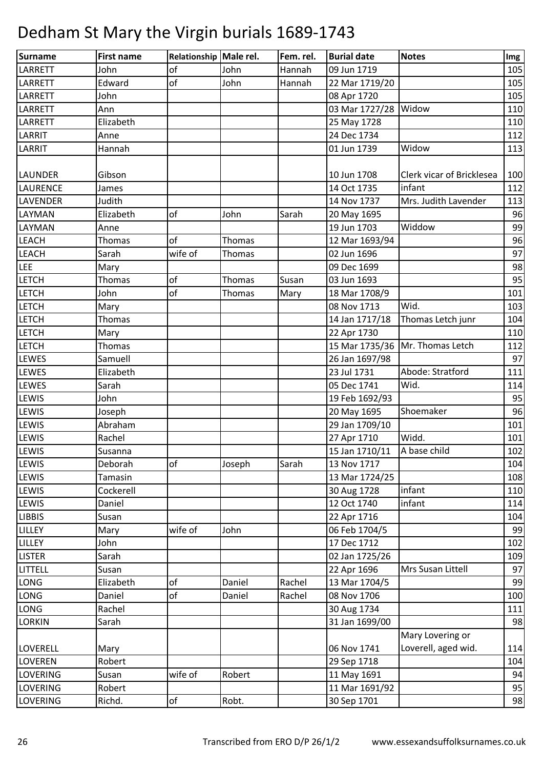| Surname         | <b>First name</b> | Relationship Male rel. |        | Fem. rel. | <b>Burial date</b> | <b>Notes</b>                      | Img |
|-----------------|-------------------|------------------------|--------|-----------|--------------------|-----------------------------------|-----|
| LARRETT         | John              | of                     | John   | Hannah    | 09 Jun 1719        |                                   | 105 |
| <b>LARRETT</b>  | Edward            | of                     | John   | Hannah    | 22 Mar 1719/20     |                                   | 105 |
| LARRETT         | John              |                        |        |           | 08 Apr 1720        |                                   | 105 |
| LARRETT         | Ann               |                        |        |           | 03 Mar 1727/28     | Widow                             | 110 |
| LARRETT         | Elizabeth         |                        |        |           | 25 May 1728        |                                   | 110 |
| LARRIT          | Anne              |                        |        |           | 24 Dec 1734        |                                   | 112 |
| LARRIT          | Hannah            |                        |        |           | 01 Jun 1739        | Widow                             | 113 |
|                 |                   |                        |        |           |                    |                                   |     |
| <b>LAUNDER</b>  | Gibson            |                        |        |           | 10 Jun 1708        | Clerk vicar of Bricklesea         | 100 |
| LAURENCE        | James             |                        |        |           | 14 Oct 1735        | infant                            | 112 |
| <b>LAVENDER</b> | Judith            |                        |        |           | 14 Nov 1737        | Mrs. Judith Lavender              | 113 |
| LAYMAN          | Elizabeth         | of                     | John   | Sarah     | 20 May 1695        |                                   | 96  |
| LAYMAN          | Anne              |                        |        |           | 19 Jun 1703        | Widdow                            | 99  |
| <b>LEACH</b>    | Thomas            | of                     | Thomas |           | 12 Mar 1693/94     |                                   | 96  |
| <b>LEACH</b>    | Sarah             | wife of                | Thomas |           | 02 Jun 1696        |                                   | 97  |
| <b>LEE</b>      | Mary              |                        |        |           | 09 Dec 1699        |                                   | 98  |
| <b>LETCH</b>    | Thomas            | of                     | Thomas | Susan     | 03 Jun 1693        |                                   | 95  |
| <b>LETCH</b>    | John              | of                     | Thomas | Mary      | 18 Mar 1708/9      |                                   | 101 |
| <b>LETCH</b>    | Mary              |                        |        |           | 08 Nov 1713        | Wid.                              | 103 |
| <b>LETCH</b>    | Thomas            |                        |        |           | 14 Jan 1717/18     | Thomas Letch junr                 | 104 |
| LETCH           | Mary              |                        |        |           | 22 Apr 1730        |                                   | 110 |
| <b>LETCH</b>    | <b>Thomas</b>     |                        |        |           |                    | 15 Mar 1735/36   Mr. Thomas Letch | 112 |
| <b>LEWES</b>    | Samuell           |                        |        |           | 26 Jan 1697/98     |                                   | 97  |
| <b>LEWES</b>    | Elizabeth         |                        |        |           | 23 Jul 1731        | Abode: Stratford                  | 111 |
| <b>LEWES</b>    | Sarah             |                        |        |           | 05 Dec 1741        | Wid.                              | 114 |
| <b>LEWIS</b>    | John              |                        |        |           | 19 Feb 1692/93     |                                   | 95  |
| <b>LEWIS</b>    | Joseph            |                        |        |           | 20 May 1695        | Shoemaker                         | 96  |
| <b>LEWIS</b>    | Abraham           |                        |        |           | 29 Jan 1709/10     |                                   | 101 |
| <b>LEWIS</b>    | Rachel            |                        |        |           | 27 Apr 1710        | Widd.                             | 101 |
| LEWIS           | Susanna           |                        |        |           | 15 Jan 1710/11     | A base child                      | 102 |
| LEWIS           | Deborah           | of                     | Joseph | Sarah     | 13 Nov 1717        |                                   | 104 |
| <b>LEWIS</b>    | Tamasin           |                        |        |           | 13 Mar 1724/25     |                                   | 108 |
| <b>LEWIS</b>    | Cockerell         |                        |        |           | 30 Aug 1728        | infant                            | 110 |
| <b>LEWIS</b>    | Daniel            |                        |        |           | 12 Oct 1740        | infant                            | 114 |
| <b>LIBBIS</b>   | Susan             |                        |        |           | 22 Apr 1716        |                                   | 104 |
| LILLEY          | Mary              | wife of                | John   |           | 06 Feb 1704/5      |                                   | 99  |
| LILLEY          | John              |                        |        |           | 17 Dec 1712        |                                   | 102 |
| <b>LISTER</b>   | Sarah             |                        |        |           | 02 Jan 1725/26     |                                   | 109 |
| LITTELL         | Susan             |                        |        |           | 22 Apr 1696        | Mrs Susan Littell                 | 97  |
| LONG            | Elizabeth         | of                     | Daniel | Rachel    | 13 Mar 1704/5      |                                   | 99  |
| <b>LONG</b>     | Daniel            | of                     | Daniel | Rachel    | 08 Nov 1706        |                                   | 100 |
| <b>LONG</b>     | Rachel            |                        |        |           | 30 Aug 1734        |                                   | 111 |
| <b>LORKIN</b>   | Sarah             |                        |        |           | 31 Jan 1699/00     |                                   | 98  |
|                 |                   |                        |        |           |                    | Mary Lovering or                  |     |
| <b>LOVERELL</b> | Mary              |                        |        |           | 06 Nov 1741        | Loverell, aged wid.               | 114 |
| <b>LOVEREN</b>  | Robert            |                        |        |           | 29 Sep 1718        |                                   | 104 |
| <b>LOVERING</b> | Susan             | wife of                | Robert |           | 11 May 1691        |                                   | 94  |
| <b>LOVERING</b> | Robert            |                        |        |           | 11 Mar 1691/92     |                                   | 95  |
| <b>LOVERING</b> | Richd.            | of                     | Robt.  |           | 30 Sep 1701        |                                   | 98  |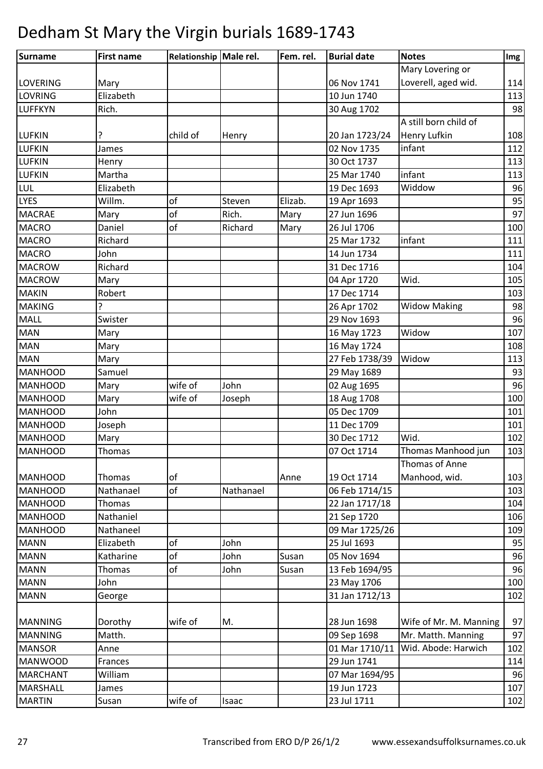| Surname         | <b>First name</b> | Relationship Male rel. |           | Fem. rel. | <b>Burial date</b> | <b>Notes</b>           | Img |
|-----------------|-------------------|------------------------|-----------|-----------|--------------------|------------------------|-----|
|                 |                   |                        |           |           |                    | Mary Lovering or       |     |
| <b>LOVERING</b> | Mary              |                        |           |           | 06 Nov 1741        | Loverell, aged wid.    | 114 |
| LOVRING         | Elizabeth         |                        |           |           | 10 Jun 1740        |                        | 113 |
| <b>LUFFKYN</b>  | Rich.             |                        |           |           | 30 Aug 1702        |                        | 98  |
|                 |                   |                        |           |           |                    | A still born child of  |     |
| <b>LUFKIN</b>   |                   | child of               | Henry     |           | 20 Jan 1723/24     | <b>Henry Lufkin</b>    | 108 |
| <b>LUFKIN</b>   | James             |                        |           |           | 02 Nov 1735        | infant                 | 112 |
| <b>LUFKIN</b>   | Henry             |                        |           |           | 30 Oct 1737        |                        | 113 |
| <b>LUFKIN</b>   | Martha            |                        |           |           | 25 Mar 1740        | infant                 | 113 |
| LUL             | Elizabeth         |                        |           |           | 19 Dec 1693        | Widdow                 | 96  |
| <b>LYES</b>     | Willm.            | of                     | Steven    | Elizab.   | 19 Apr 1693        |                        | 95  |
| <b>MACRAE</b>   | Mary              | of                     | Rich.     | Mary      | 27 Jun 1696        |                        | 97  |
| <b>MACRO</b>    | Daniel            | of                     | Richard   | Mary      | 26 Jul 1706        |                        | 100 |
| <b>MACRO</b>    | Richard           |                        |           |           | 25 Mar 1732        | infant                 | 111 |
| <b>MACRO</b>    | John              |                        |           |           | 14 Jun 1734        |                        | 111 |
| <b>MACROW</b>   | Richard           |                        |           |           | 31 Dec 1716        |                        | 104 |
| <b>MACROW</b>   | Mary              |                        |           |           | 04 Apr 1720        | Wid.                   | 105 |
| <b>MAKIN</b>    | Robert            |                        |           |           | 17 Dec 1714        |                        | 103 |
| <b>MAKING</b>   |                   |                        |           |           | 26 Apr 1702        | <b>Widow Making</b>    | 98  |
| MALL            | Swister           |                        |           |           | 29 Nov 1693        |                        | 96  |
| <b>MAN</b>      | Mary              |                        |           |           | 16 May 1723        | Widow                  | 107 |
| <b>MAN</b>      | Mary              |                        |           |           | 16 May 1724        |                        | 108 |
| <b>MAN</b>      | Mary              |                        |           |           | 27 Feb 1738/39     | Widow                  | 113 |
| <b>MANHOOD</b>  | Samuel            |                        |           |           | 29 May 1689        |                        | 93  |
| <b>MANHOOD</b>  | Mary              | wife of                | John      |           | 02 Aug 1695        |                        | 96  |
| <b>MANHOOD</b>  | Mary              | wife of                | Joseph    |           | 18 Aug 1708        |                        | 100 |
| <b>MANHOOD</b>  | John              |                        |           |           | 05 Dec 1709        |                        | 101 |
| <b>MANHOOD</b>  | Joseph            |                        |           |           | 11 Dec 1709        |                        | 101 |
| <b>MANHOOD</b>  | Mary              |                        |           |           | 30 Dec 1712        | Wid.                   | 102 |
| <b>MANHOOD</b>  | <b>Thomas</b>     |                        |           |           | 07 Oct 1714        | Thomas Manhood jun     | 103 |
|                 |                   |                        |           |           |                    | Thomas of Anne         |     |
| <b>MANHOOD</b>  | Thomas            | of                     |           | Anne      | 19 Oct 1714        | Manhood, wid.          | 103 |
| <b>MANHOOD</b>  | Nathanael         | of                     | Nathanael |           | 06 Feb 1714/15     |                        | 103 |
| <b>MANHOOD</b>  | Thomas            |                        |           |           | 22 Jan 1717/18     |                        | 104 |
| <b>MANHOOD</b>  | Nathaniel         |                        |           |           | 21 Sep 1720        |                        | 106 |
| <b>MANHOOD</b>  | Nathaneel         |                        |           |           | 09 Mar 1725/26     |                        | 109 |
| <b>MANN</b>     | Elizabeth         | of                     | John      |           | 25 Jul 1693        |                        | 95  |
| <b>MANN</b>     | Katharine         | of                     | John      | Susan     | 05 Nov 1694        |                        | 96  |
| <b>MANN</b>     | Thomas            | of                     | John      | Susan     | 13 Feb 1694/95     |                        | 96  |
| <b>MANN</b>     | John              |                        |           |           | 23 May 1706        |                        | 100 |
| <b>MANN</b>     | George            |                        |           |           | 31 Jan 1712/13     |                        | 102 |
|                 |                   |                        |           |           |                    |                        |     |
| <b>MANNING</b>  | Dorothy           | wife of                | M.        |           | 28 Jun 1698        | Wife of Mr. M. Manning | 97  |
| <b>MANNING</b>  | Matth.            |                        |           |           | 09 Sep 1698        | Mr. Matth. Manning     | 97  |
| <b>MANSOR</b>   | Anne              |                        |           |           | 01 Mar 1710/11     | Wid. Abode: Harwich    | 102 |
| <b>MANWOOD</b>  | Frances           |                        |           |           | 29 Jun 1741        |                        | 114 |
| <b>MARCHANT</b> | William           |                        |           |           | 07 Mar 1694/95     |                        | 96  |
| <b>MARSHALL</b> | James             |                        |           |           | 19 Jun 1723        |                        | 107 |
| <b>MARTIN</b>   | Susan             | wife of                | Isaac     |           | 23 Jul 1711        |                        | 102 |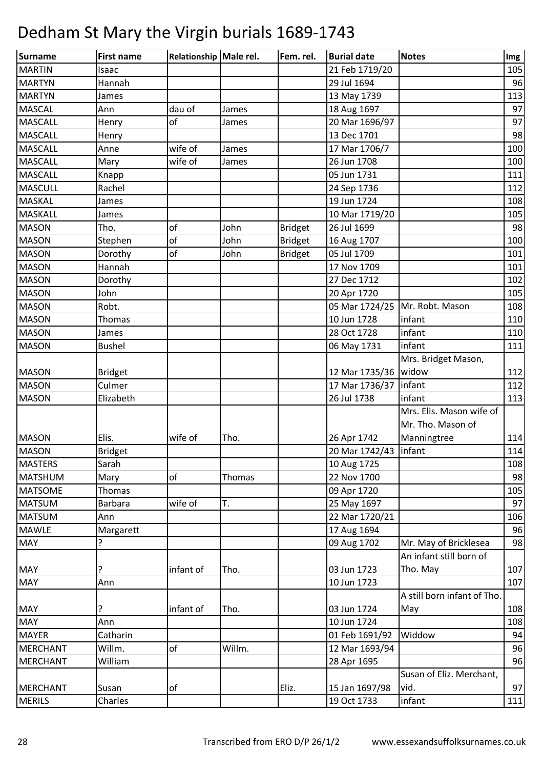| Surname         | <b>First name</b> | Relationship Male rel. |        | Fem. rel.      | <b>Burial date</b>      | <b>Notes</b>                | Img |
|-----------------|-------------------|------------------------|--------|----------------|-------------------------|-----------------------------|-----|
| <b>MARTIN</b>   | Isaac             |                        |        |                | 21 Feb 1719/20          |                             | 105 |
| <b>MARTYN</b>   | Hannah            |                        |        |                | 29 Jul 1694             |                             | 96  |
| <b>MARTYN</b>   | James             |                        |        |                | 13 May 1739             |                             | 113 |
| <b>MASCAL</b>   | Ann               | dau of                 | James  |                | 18 Aug 1697             |                             | 97  |
| <b>MASCALL</b>  | Henry             | of                     | James  |                | 20 Mar 1696/97          |                             | 97  |
| <b>MASCALL</b>  | Henry             |                        |        |                | 13 Dec 1701             |                             | 98  |
| <b>MASCALL</b>  | Anne              | wife of                | James  |                | 17 Mar 1706/7           |                             | 100 |
| <b>MASCALL</b>  | Mary              | wife of                | James  |                | 26 Jun 1708             |                             | 100 |
| <b>MASCALL</b>  | Knapp             |                        |        |                | 05 Jun 1731             |                             | 111 |
| <b>MASCULL</b>  | Rachel            |                        |        |                | 24 Sep 1736             |                             | 112 |
| <b>MASKAL</b>   | James             |                        |        |                | 19 Jun 1724             |                             | 108 |
| <b>MASKALL</b>  | James             |                        |        |                | 10 Mar 1719/20          |                             | 105 |
| <b>MASON</b>    | Tho.              | of                     | John   | <b>Bridget</b> | 26 Jul 1699             |                             | 98  |
| <b>MASON</b>    | Stephen           | of                     | John   | <b>Bridget</b> | 16 Aug 1707             |                             | 100 |
| <b>MASON</b>    | Dorothy           | of                     | John   | <b>Bridget</b> | 05 Jul 1709             |                             | 101 |
| <b>MASON</b>    | Hannah            |                        |        |                | 17 Nov 1709             |                             | 101 |
| <b>MASON</b>    | Dorothy           |                        |        |                | 27 Dec 1712             |                             | 102 |
| <b>MASON</b>    | John              |                        |        |                | 20 Apr 1720             |                             | 105 |
| <b>MASON</b>    | Robt.             |                        |        |                | 05 Mar 1724/25          | Mr. Robt. Mason             | 108 |
| <b>MASON</b>    | Thomas            |                        |        |                | 10 Jun 1728             | infant                      | 110 |
| <b>MASON</b>    | James             |                        |        |                | 28 Oct 1728             | infant                      | 110 |
| <b>MASON</b>    | <b>Bushel</b>     |                        |        |                | 06 May 1731             | infant                      | 111 |
|                 |                   |                        |        |                |                         | Mrs. Bridget Mason,         |     |
| <b>MASON</b>    | <b>Bridget</b>    |                        |        |                | 12 Mar 1735/36   widow  |                             | 112 |
| <b>MASON</b>    | Culmer            |                        |        |                | 17 Mar 1736/37   infant |                             | 112 |
| <b>MASON</b>    | Elizabeth         |                        |        |                | 26 Jul 1738             | infant                      | 113 |
|                 |                   |                        |        |                |                         | Mrs. Elis. Mason wife of    |     |
|                 |                   |                        |        |                |                         | Mr. Tho. Mason of           |     |
| <b>MASON</b>    | Elis.             | wife of                | Tho.   |                | 26 Apr 1742             | Manningtree                 | 114 |
| <b>MASON</b>    | <b>Bridget</b>    |                        |        |                | 20 Mar 1742/43   infant |                             | 114 |
| <b>MASTERS</b>  | Sarah             |                        |        |                | 10 Aug 1725             |                             | 108 |
| <b>MATSHUM</b>  | Mary              | of                     | Thomas |                | 22 Nov 1700             |                             | 98  |
| <b>MATSOME</b>  | Thomas            |                        |        |                | 09 Apr 1720             |                             | 105 |
| <b>MATSUM</b>   | <b>Barbara</b>    | wife of                | T.     |                | 25 May 1697             |                             | 97  |
| <b>MATSUM</b>   | Ann               |                        |        |                | 22 Mar 1720/21          |                             | 106 |
| <b>MAWLE</b>    | Margarett         |                        |        |                | 17 Aug 1694             |                             | 96  |
| <b>MAY</b>      |                   |                        |        |                | 09 Aug 1702             | Mr. May of Bricklesea       | 98  |
|                 |                   |                        |        |                |                         | An infant still born of     |     |
| <b>MAY</b>      | ?                 | infant of              | Tho.   |                | 03 Jun 1723             | Tho. May                    | 107 |
| <b>MAY</b>      | Ann               |                        |        |                | 10 Jun 1723             |                             | 107 |
|                 |                   |                        |        |                |                         | A still born infant of Tho. |     |
| <b>MAY</b>      | ?                 | infant of              | Tho.   |                | 03 Jun 1724             | May                         | 108 |
| <b>MAY</b>      | Ann               |                        |        |                | 10 Jun 1724             |                             | 108 |
| <b>MAYER</b>    | Catharin          |                        |        |                | 01 Feb 1691/92          | Widdow                      | 94  |
| <b>MERCHANT</b> | Willm.            | of                     | Willm. |                | 12 Mar 1693/94          |                             | 96  |
| <b>MERCHANT</b> | William           |                        |        |                | 28 Apr 1695             |                             | 96  |
|                 |                   |                        |        |                |                         | Susan of Eliz. Merchant,    |     |
| <b>MERCHANT</b> | Susan             | of                     |        | Eliz.          | 15 Jan 1697/98          | vid.                        | 97  |
| <b>MERILS</b>   | Charles           |                        |        |                | 19 Oct 1733             | infant                      | 111 |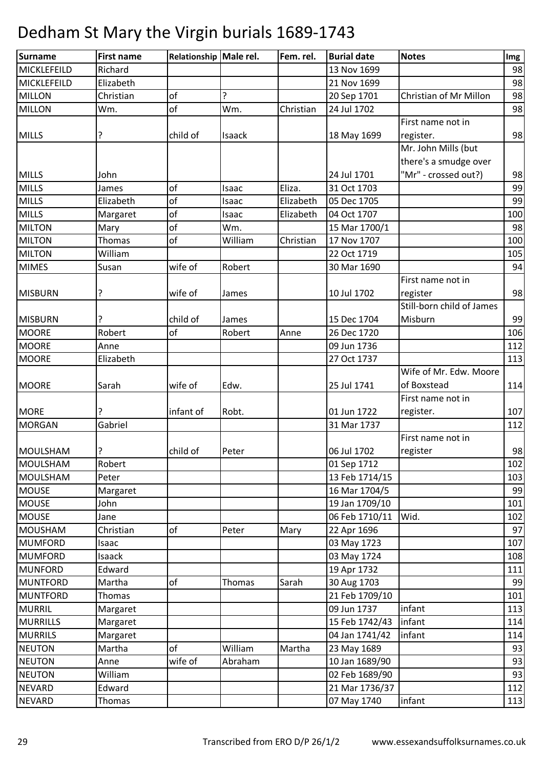| Surname         | <b>First name</b> | Relationship Male rel. |         | Fem. rel. | <b>Burial date</b> | <b>Notes</b>              | Img |
|-----------------|-------------------|------------------------|---------|-----------|--------------------|---------------------------|-----|
| MICKLEFEILD     | Richard           |                        |         |           | 13 Nov 1699        |                           | 98  |
| MICKLEFEILD     | Elizabeth         |                        |         |           | 21 Nov 1699        |                           | 98  |
| <b>MILLON</b>   | Christian         | of                     | ?       |           | 20 Sep 1701        | Christian of Mr Millon    | 98  |
| <b>MILLON</b>   | Wm.               | of                     | Wm.     | Christian | 24 Jul 1702        |                           | 98  |
|                 |                   |                        |         |           |                    | First name not in         |     |
| <b>MILLS</b>    | ?                 | child of               | Isaack  |           | 18 May 1699        | register.                 | 98  |
|                 |                   |                        |         |           |                    | Mr. John Mills (but       |     |
|                 |                   |                        |         |           |                    | there's a smudge over     |     |
| <b>MILLS</b>    | John              |                        |         |           | 24 Jul 1701        | "Mr" - crossed out?)      | 98  |
| <b>MILLS</b>    | James             | of                     | Isaac   | Eliza.    | 31 Oct 1703        |                           | 99  |
| <b>MILLS</b>    | Elizabeth         | of                     | Isaac   | Elizabeth | 05 Dec 1705        |                           | 99  |
| <b>MILLS</b>    | Margaret          | of                     | Isaac   | Elizabeth | 04 Oct 1707        |                           | 100 |
| <b>MILTON</b>   | Mary              | of                     | Wm.     |           | 15 Mar 1700/1      |                           | 98  |
| <b>MILTON</b>   | <b>Thomas</b>     | of                     | William | Christian | 17 Nov 1707        |                           | 100 |
| <b>MILTON</b>   | William           |                        |         |           | 22 Oct 1719        |                           | 105 |
| <b>MIMES</b>    | Susan             | wife of                | Robert  |           | 30 Mar 1690        |                           | 94  |
|                 |                   |                        |         |           |                    | First name not in         |     |
| <b>MISBURN</b>  | ?                 | wife of                | James   |           | 10 Jul 1702        | register                  | 98  |
|                 |                   |                        |         |           |                    | Still-born child of James |     |
| <b>MISBURN</b>  |                   | child of               | James   |           | 15 Dec 1704        | Misburn                   | 99  |
| <b>MOORE</b>    | Robert            | of                     | Robert  | Anne      | 26 Dec 1720        |                           | 106 |
| <b>MOORE</b>    | Anne              |                        |         |           | 09 Jun 1736        |                           | 112 |
| <b>MOORE</b>    | Elizabeth         |                        |         |           | 27 Oct 1737        |                           | 113 |
|                 |                   |                        |         |           |                    | Wife of Mr. Edw. Moore    |     |
| <b>MOORE</b>    | Sarah             | wife of                | Edw.    |           | 25 Jul 1741        | of Boxstead               | 114 |
|                 |                   |                        |         |           |                    | First name not in         |     |
| <b>MORE</b>     | ?                 | infant of              | Robt.   |           | 01 Jun 1722        | register.                 | 107 |
| <b>MORGAN</b>   | Gabriel           |                        |         |           | 31 Mar 1737        |                           | 112 |
|                 |                   |                        |         |           |                    | First name not in         |     |
| MOULSHAM        | ?                 | child of               | Peter   |           | 06 Jul 1702        | register                  | 98  |
| <b>MOULSHAM</b> | Robert            |                        |         |           | 01 Sep 1712        |                           | 102 |
| <b>MOULSHAM</b> | Peter             |                        |         |           | 13 Feb 1714/15     |                           | 103 |
| <b>MOUSE</b>    | Margaret          |                        |         |           | 16 Mar 1704/5      |                           | 99  |
| <b>MOUSE</b>    | John              |                        |         |           | 19 Jan 1709/10     |                           | 101 |
| <b>MOUSE</b>    | Jane              |                        |         |           | 06 Feb 1710/11     | Wid.                      | 102 |
| <b>MOUSHAM</b>  | Christian         | of                     | Peter   | Mary      | 22 Apr 1696        |                           | 97  |
| <b>MUMFORD</b>  | Isaac             |                        |         |           | 03 May 1723        |                           | 107 |
| <b>MUMFORD</b>  | Isaack            |                        |         |           | 03 May 1724        |                           | 108 |
| <b>MUNFORD</b>  | Edward            |                        |         |           | 19 Apr 1732        |                           | 111 |
| <b>MUNTFORD</b> | Martha            | оf                     | Thomas  | Sarah     | 30 Aug 1703        |                           | 99  |
| <b>MUNTFORD</b> | Thomas            |                        |         |           | 21 Feb 1709/10     |                           | 101 |
| <b>MURRIL</b>   | Margaret          |                        |         |           | 09 Jun 1737        | infant                    | 113 |
| <b>MURRILLS</b> | Margaret          |                        |         |           | 15 Feb 1742/43     | infant                    | 114 |
| <b>MURRILS</b>  | Margaret          |                        |         |           | 04 Jan 1741/42     | infant                    | 114 |
| <b>NEUTON</b>   | Martha            | of                     | William | Martha    | 23 May 1689        |                           | 93  |
| <b>NEUTON</b>   | Anne              | wife of                | Abraham |           | 10 Jan 1689/90     |                           | 93  |
| <b>NEUTON</b>   | William           |                        |         |           | 02 Feb 1689/90     |                           | 93  |
| <b>NEVARD</b>   | Edward            |                        |         |           | 21 Mar 1736/37     |                           | 112 |
| <b>NEVARD</b>   | Thomas            |                        |         |           | 07 May 1740        | infant                    | 113 |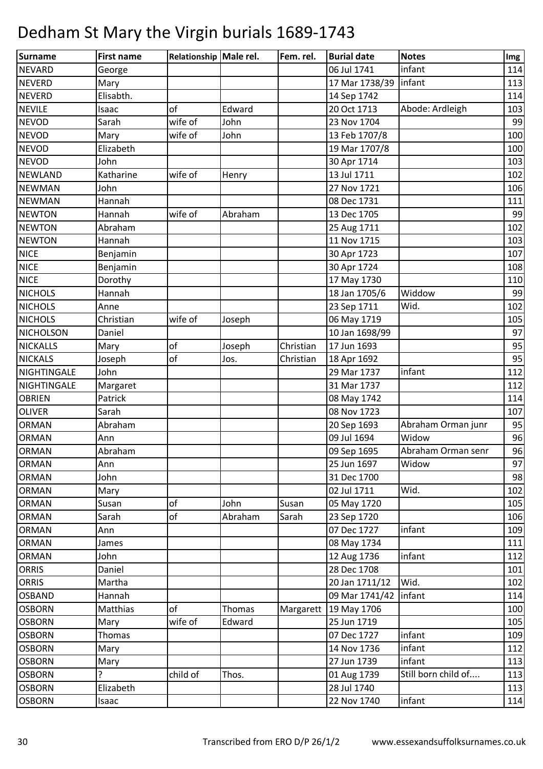| Surname          | <b>First name</b> | Relationship Male rel. |         | Fem. rel. | <b>Burial date</b>      | <b>Notes</b>        | Img |
|------------------|-------------------|------------------------|---------|-----------|-------------------------|---------------------|-----|
| <b>NEVARD</b>    | George            |                        |         |           | 06 Jul 1741             | infant              | 114 |
| <b>NEVERD</b>    | Mary              |                        |         |           | 17 Mar 1738/39          | infant              | 113 |
| <b>NEVERD</b>    | Elisabth.         |                        |         |           | 14 Sep 1742             |                     | 114 |
| <b>NEVILE</b>    | Isaac             | of                     | Edward  |           | 20 Oct 1713             | Abode: Ardleigh     | 103 |
| <b>NEVOD</b>     | Sarah             | wife of                | John    |           | 23 Nov 1704             |                     | 99  |
| <b>NEVOD</b>     | Mary              | wife of                | John    |           | 13 Feb 1707/8           |                     | 100 |
| <b>NEVOD</b>     | Elizabeth         |                        |         |           | 19 Mar 1707/8           |                     | 100 |
| <b>NEVOD</b>     | John              |                        |         |           | 30 Apr 1714             |                     | 103 |
| <b>NEWLAND</b>   | Katharine         | wife of                | Henry   |           | 13 Jul 1711             |                     | 102 |
| <b>NEWMAN</b>    | John              |                        |         |           | 27 Nov 1721             |                     | 106 |
| <b>NEWMAN</b>    | Hannah            |                        |         |           | 08 Dec 1731             |                     | 111 |
| <b>NEWTON</b>    | Hannah            | wife of                | Abraham |           | 13 Dec 1705             |                     | 99  |
| <b>NEWTON</b>    | Abraham           |                        |         |           | 25 Aug 1711             |                     | 102 |
| <b>NEWTON</b>    | Hannah            |                        |         |           | 11 Nov 1715             |                     | 103 |
| <b>NICE</b>      | Benjamin          |                        |         |           | 30 Apr 1723             |                     | 107 |
| <b>NICE</b>      | Benjamin          |                        |         |           | 30 Apr 1724             |                     | 108 |
| <b>NICE</b>      | Dorothy           |                        |         |           | 17 May 1730             |                     | 110 |
| <b>NICHOLS</b>   | Hannah            |                        |         |           | 18 Jan 1705/6           | Widdow              | 99  |
| <b>NICHOLS</b>   | Anne              |                        |         |           | 23 Sep 1711             | Wid.                | 102 |
| <b>NICHOLS</b>   | Christian         | wife of                | Joseph  |           | 06 May 1719             |                     | 105 |
| <b>NICHOLSON</b> | Daniel            |                        |         |           | 10 Jan 1698/99          |                     | 97  |
| <b>NICKALLS</b>  | Mary              | of                     | Joseph  | Christian | 17 Jun 1693             |                     | 95  |
| <b>NICKALS</b>   | Joseph            | of                     | Jos.    | Christian | 18 Apr 1692             |                     | 95  |
| NIGHTINGALE      | John              |                        |         |           | 29 Mar 1737             | infant              | 112 |
| NIGHTINGALE      | Margaret          |                        |         |           | 31 Mar 1737             |                     | 112 |
| <b>OBRIEN</b>    | Patrick           |                        |         |           | 08 May 1742             |                     | 114 |
| <b>OLIVER</b>    | Sarah             |                        |         |           | 08 Nov 1723             |                     | 107 |
| <b>ORMAN</b>     | Abraham           |                        |         |           | 20 Sep 1693             | Abraham Orman junr  | 95  |
| <b>ORMAN</b>     | Ann               |                        |         |           | 09 Jul 1694             | Widow               | 96  |
| <b>ORMAN</b>     | Abraham           |                        |         |           | 09 Sep 1695             | Abraham Orman senr  | 96  |
| <b>ORMAN</b>     | Ann               |                        |         |           | 25 Jun 1697             | Widow               | 97  |
| <b>ORMAN</b>     | John              |                        |         |           | 31 Dec 1700             |                     | 98  |
| <b>ORMAN</b>     | Mary              |                        |         |           | 02 Jul 1711             | Wid.                | 102 |
| <b>ORMAN</b>     | Susan             | of                     | John    | Susan     | 05 May 1720             |                     | 105 |
| <b>ORMAN</b>     | Sarah             | of                     | Abraham | Sarah     | 23 Sep 1720             |                     | 106 |
| <b>ORMAN</b>     | Ann               |                        |         |           | 07 Dec 1727             | infant              | 109 |
| <b>ORMAN</b>     | James             |                        |         |           | 08 May 1734             |                     | 111 |
| <b>ORMAN</b>     | John              |                        |         |           | 12 Aug 1736             | infant              | 112 |
| <b>ORRIS</b>     | Daniel            |                        |         |           | 28 Dec 1708             |                     | 101 |
| <b>ORRIS</b>     | Martha            |                        |         |           | 20 Jan 1711/12          | Wid.                | 102 |
| <b>OSBAND</b>    | Hannah            |                        |         |           | 09 Mar 1741/42   infant |                     | 114 |
| <b>OSBORN</b>    | Matthias          | of                     | Thomas  | Margarett | 19 May 1706             |                     | 100 |
| <b>OSBORN</b>    | Mary              | wife of                | Edward  |           | 25 Jun 1719             |                     | 105 |
| <b>OSBORN</b>    | Thomas            |                        |         |           | 07 Dec 1727             | infant              | 109 |
| <b>OSBORN</b>    | Mary              |                        |         |           | 14 Nov 1736             | infant              | 112 |
| <b>OSBORN</b>    | Mary              |                        |         |           | 27 Jun 1739             | infant              | 113 |
| <b>OSBORN</b>    | ?                 | child of               | Thos.   |           | 01 Aug 1739             | Still born child of | 113 |
| <b>OSBORN</b>    | Elizabeth         |                        |         |           | 28 Jul 1740             |                     | 113 |
| <b>OSBORN</b>    | Isaac             |                        |         |           | 22 Nov 1740             | infant              | 114 |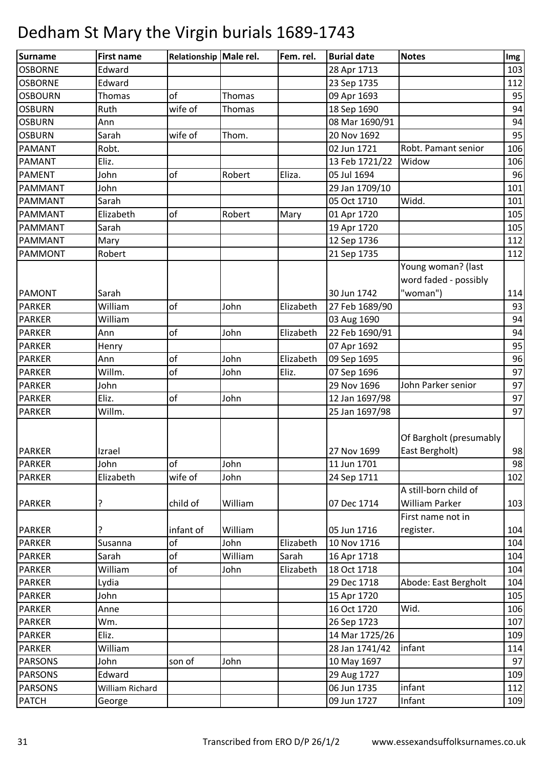| Surname        | <b>First name</b> | Relationship Male rel. |               | Fem. rel. | <b>Burial date</b> | <b>Notes</b>            | Img |
|----------------|-------------------|------------------------|---------------|-----------|--------------------|-------------------------|-----|
| <b>OSBORNE</b> | Edward            |                        |               |           | 28 Apr 1713        |                         | 103 |
| <b>OSBORNE</b> | Edward            |                        |               |           | 23 Sep 1735        |                         | 112 |
| <b>OSBOURN</b> | <b>Thomas</b>     | of                     | <b>Thomas</b> |           | 09 Apr 1693        |                         | 95  |
| <b>OSBURN</b>  | Ruth              | wife of                | Thomas        |           | 18 Sep 1690        |                         | 94  |
| <b>OSBURN</b>  | Ann               |                        |               |           | 08 Mar 1690/91     |                         | 94  |
| <b>OSBURN</b>  | Sarah             | wife of                | Thom.         |           | 20 Nov 1692        |                         | 95  |
| <b>PAMANT</b>  | Robt.             |                        |               |           | 02 Jun 1721        | Robt. Pamant senior     | 106 |
| <b>PAMANT</b>  | Eliz.             |                        |               |           | 13 Feb 1721/22     | Widow                   | 106 |
| <b>PAMENT</b>  | John              | of                     | Robert        | Eliza.    | 05 Jul 1694        |                         | 96  |
| <b>PAMMANT</b> | John              |                        |               |           | 29 Jan 1709/10     |                         | 101 |
| <b>PAMMANT</b> | Sarah             |                        |               |           | 05 Oct 1710        | Widd.                   | 101 |
| <b>PAMMANT</b> | Elizabeth         | of                     | Robert        | Mary      | 01 Apr 1720        |                         | 105 |
| <b>PAMMANT</b> | Sarah             |                        |               |           | 19 Apr 1720        |                         | 105 |
| <b>PAMMANT</b> | Mary              |                        |               |           | 12 Sep 1736        |                         | 112 |
| <b>PAMMONT</b> | Robert            |                        |               |           | 21 Sep 1735        |                         | 112 |
|                |                   |                        |               |           |                    | Young woman? (last      |     |
|                |                   |                        |               |           |                    | word faded - possibly   |     |
| <b>PAMONT</b>  | Sarah             |                        |               |           | 30 Jun 1742        | "woman")                | 114 |
| <b>PARKER</b>  | William           | of                     | John          | Elizabeth | 27 Feb 1689/90     |                         | 93  |
| <b>PARKER</b>  | William           |                        |               |           | 03 Aug 1690        |                         | 94  |
| <b>PARKER</b>  | Ann               | of                     | John          | Elizabeth | 22 Feb 1690/91     |                         | 94  |
| <b>PARKER</b>  | Henry             |                        |               |           | 07 Apr 1692        |                         | 95  |
| <b>PARKER</b>  | Ann               | of                     | John          | Elizabeth | 09 Sep 1695        |                         | 96  |
|                | Willm.            | of                     |               | Eliz.     |                    |                         | 97  |
| <b>PARKER</b>  |                   |                        | John          |           | 07 Sep 1696        |                         |     |
| <b>PARKER</b>  | John              |                        |               |           | 29 Nov 1696        | John Parker senior      | 97  |
| <b>PARKER</b>  | Eliz.             | of                     | John          |           | 12 Jan 1697/98     |                         | 97  |
| <b>PARKER</b>  | Willm.            |                        |               |           | 25 Jan 1697/98     |                         | 97  |
|                |                   |                        |               |           |                    |                         |     |
|                |                   |                        |               |           |                    | Of Bargholt (presumably |     |
| <b>PARKER</b>  | Izrael            |                        |               |           | 27 Nov 1699        | East Bergholt)          | 98  |
| <b>PARKER</b>  | John              | of                     | John          |           | 11 Jun 1701        |                         | 98  |
| <b>PARKER</b>  | Elizabeth         | wife of                | John          |           | 24 Sep 1711        |                         | 102 |
|                |                   |                        |               |           |                    | A still-born child of   |     |
| <b>PARKER</b>  | ?                 | child of               | William       |           | 07 Dec 1714        | William Parker          | 103 |
|                |                   |                        |               |           |                    | First name not in       |     |
| <b>PARKER</b>  | ?                 | infant of              | William       |           | 05 Jun 1716        | register.               | 104 |
| <b>PARKER</b>  | Susanna           | οf                     | John          | Elizabeth | 10 Nov 1716        |                         | 104 |
| <b>PARKER</b>  | Sarah             | of                     | William       | Sarah     | 16 Apr 1718        |                         | 104 |
| <b>PARKER</b>  | William           | оf                     | John          | Elizabeth | 18 Oct 1718        |                         | 104 |
| <b>PARKER</b>  | Lydia             |                        |               |           | 29 Dec 1718        | Abode: East Bergholt    | 104 |
| <b>PARKER</b>  | John              |                        |               |           | 15 Apr 1720        |                         | 105 |
| <b>PARKER</b>  | Anne              |                        |               |           | 16 Oct 1720        | Wid.                    | 106 |
| <b>PARKER</b>  | Wm.               |                        |               |           | 26 Sep 1723        |                         | 107 |
| <b>PARKER</b>  | Eliz.             |                        |               |           | 14 Mar 1725/26     |                         | 109 |
| <b>PARKER</b>  | William           |                        |               |           | 28 Jan 1741/42     | infant                  | 114 |
| <b>PARSONS</b> | John              | son of                 | John          |           | 10 May 1697        |                         | 97  |
| <b>PARSONS</b> | Edward            |                        |               |           | 29 Aug 1727        |                         | 109 |
| <b>PARSONS</b> | William Richard   |                        |               |           | 06 Jun 1735        | infant                  | 112 |
| <b>PATCH</b>   | George            |                        |               |           | 09 Jun 1727        | Infant                  | 109 |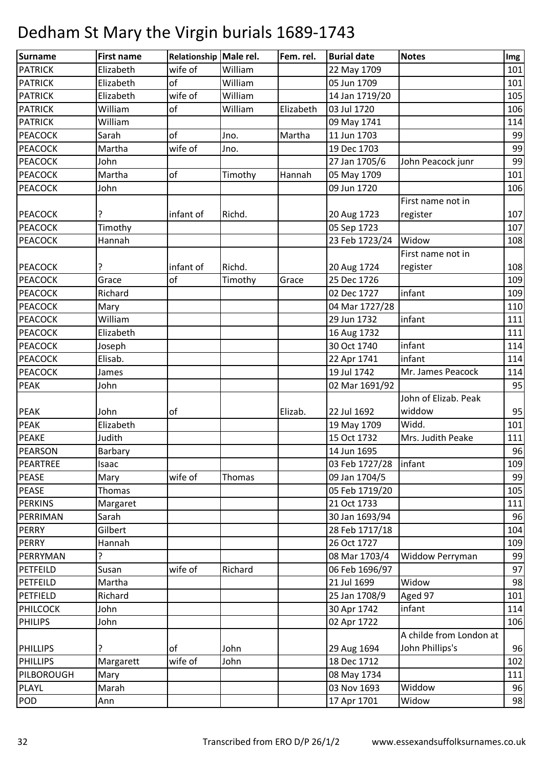| Surname         | <b>First name</b> | Relationship Male rel. |         | Fem. rel. | <b>Burial date</b>      | <b>Notes</b>            | Img |
|-----------------|-------------------|------------------------|---------|-----------|-------------------------|-------------------------|-----|
| <b>PATRICK</b>  | Elizabeth         | wife of                | William |           | 22 May 1709             |                         | 101 |
| <b>PATRICK</b>  | Elizabeth         | of                     | William |           | 05 Jun 1709             |                         | 101 |
| <b>PATRICK</b>  | Elizabeth         | wife of                | William |           | 14 Jan 1719/20          |                         | 105 |
| <b>PATRICK</b>  | William           | of                     | William | Elizabeth | 03 Jul 1720             |                         | 106 |
| <b>PATRICK</b>  | William           |                        |         |           | 09 May 1741             |                         | 114 |
| <b>PEACOCK</b>  | Sarah             | of                     | Jno.    | Martha    | 11 Jun 1703             |                         | 99  |
| <b>PEACOCK</b>  | Martha            | wife of                | Jno.    |           | 19 Dec 1703             |                         | 99  |
| <b>PEACOCK</b>  | John              |                        |         |           | 27 Jan 1705/6           | John Peacock junr       | 99  |
| <b>PEACOCK</b>  | Martha            | of                     | Timothy | Hannah    | 05 May 1709             |                         | 101 |
| <b>PEACOCK</b>  | John              |                        |         |           | 09 Jun 1720             |                         | 106 |
|                 |                   |                        |         |           |                         | First name not in       |     |
| <b>PEACOCK</b>  | ?                 | infant of              | Richd.  |           | 20 Aug 1723             | register                | 107 |
| <b>PEACOCK</b>  | Timothy           |                        |         |           | 05 Sep 1723             |                         | 107 |
| PEACOCK         | Hannah            |                        |         |           | 23 Feb 1723/24          | Widow                   | 108 |
|                 |                   |                        |         |           |                         | First name not in       |     |
| <b>PEACOCK</b>  |                   | infant of              | Richd.  |           | 20 Aug 1724             | register                | 108 |
| <b>PEACOCK</b>  | Grace             | of                     | Timothy | Grace     | 25 Dec 1726             |                         | 109 |
| <b>PEACOCK</b>  | Richard           |                        |         |           | 02 Dec 1727             | infant                  | 109 |
| <b>PEACOCK</b>  | Mary              |                        |         |           | 04 Mar 1727/28          |                         | 110 |
| <b>PEACOCK</b>  | William           |                        |         |           | 29 Jun 1732             | infant                  | 111 |
| <b>PEACOCK</b>  | Elizabeth         |                        |         |           | 16 Aug 1732             |                         | 111 |
| <b>PEACOCK</b>  | Joseph            |                        |         |           | 30 Oct 1740             | infant                  | 114 |
| <b>PEACOCK</b>  | Elisab.           |                        |         |           | 22 Apr 1741             | infant                  | 114 |
| <b>PEACOCK</b>  | James             |                        |         |           | 19 Jul 1742             | Mr. James Peacock       | 114 |
| <b>PEAK</b>     | John              |                        |         |           | 02 Mar 1691/92          |                         | 95  |
|                 |                   |                        |         |           |                         | John of Elizab. Peak    |     |
| <b>PEAK</b>     | John              | of                     |         | Elizab.   | 22 Jul 1692             | widdow                  | 95  |
| <b>PEAK</b>     | Elizabeth         |                        |         |           | 19 May 1709             | Widd.                   | 101 |
| <b>PEAKE</b>    | Judith            |                        |         |           | 15 Oct 1732             | Mrs. Judith Peake       | 111 |
| PEARSON         | Barbary           |                        |         |           | 14 Jun 1695             |                         | 96  |
| PEARTREE        | Isaac             |                        |         |           | 03 Feb 1727/28   infant |                         | 109 |
| <b>PEASE</b>    | Mary              | wife of                | Thomas  |           | 09 Jan 1704/5           |                         | 99  |
| PEASE           | Thomas            |                        |         |           | 05 Feb 1719/20          |                         | 105 |
| <b>PERKINS</b>  | Margaret          |                        |         |           | 21 Oct 1733             |                         | 111 |
| PERRIMAN        | Sarah             |                        |         |           | 30 Jan 1693/94          |                         | 96  |
| <b>PERRY</b>    | Gilbert           |                        |         |           | 28 Feb 1717/18          |                         | 104 |
| <b>PERRY</b>    | Hannah            |                        |         |           | 26 Oct 1727             |                         | 109 |
| PERRYMAN        | ?                 |                        |         |           | 08 Mar 1703/4           | <b>Widdow Perryman</b>  | 99  |
| PETFEILD        | Susan             | wife of                | Richard |           | 06 Feb 1696/97          |                         | 97  |
| PETFEILD        | Martha            |                        |         |           | 21 Jul 1699             | Widow                   | 98  |
| PETFIELD        | Richard           |                        |         |           | 25 Jan 1708/9           | Aged 97                 | 101 |
| <b>PHILCOCK</b> | John              |                        |         |           | 30 Apr 1742             | infant                  | 114 |
| <b>PHILIPS</b>  | John              |                        |         |           | 02 Apr 1722             |                         | 106 |
|                 |                   |                        |         |           |                         | A childe from London at |     |
| <b>PHILLIPS</b> | ?                 | of                     | John    |           | 29 Aug 1694             | John Phillips's         | 96  |
| <b>PHILLIPS</b> | Margarett         | wife of                | John    |           | 18 Dec 1712             |                         | 102 |
| PILBOROUGH      | Mary              |                        |         |           | 08 May 1734             |                         | 111 |
| <b>PLAYL</b>    | Marah             |                        |         |           | 03 Nov 1693             | Widdow                  | 96  |
| POD             | Ann               |                        |         |           | 17 Apr 1701             | Widow                   | 98  |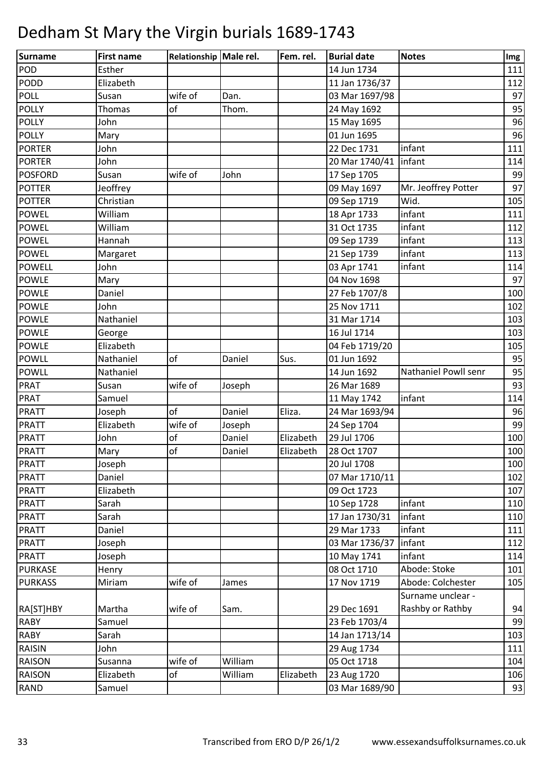| <b>Surname</b> | <b>First name</b> | Relationship Male rel. |         | Fem. rel. | <b>Burial date</b> | <b>Notes</b>         | Img |
|----------------|-------------------|------------------------|---------|-----------|--------------------|----------------------|-----|
| <b>POD</b>     | Esther            |                        |         |           | 14 Jun 1734        |                      | 111 |
| <b>PODD</b>    | Elizabeth         |                        |         |           | 11 Jan 1736/37     |                      | 112 |
| <b>POLL</b>    | Susan             | wife of                | Dan.    |           | 03 Mar 1697/98     |                      | 97  |
| <b>POLLY</b>   | Thomas            | of                     | Thom.   |           | 24 May 1692        |                      | 95  |
| <b>POLLY</b>   | John              |                        |         |           | 15 May 1695        |                      | 96  |
| <b>POLLY</b>   | Mary              |                        |         |           | 01 Jun 1695        |                      | 96  |
| <b>PORTER</b>  | John              |                        |         |           | 22 Dec 1731        | infant               | 111 |
| <b>PORTER</b>  | John              |                        |         |           | 20 Mar 1740/41     | infant               | 114 |
| <b>POSFORD</b> | Susan             | wife of                | John    |           | 17 Sep 1705        |                      | 99  |
| <b>POTTER</b>  | Jeoffrey          |                        |         |           | 09 May 1697        | Mr. Jeoffrey Potter  | 97  |
| <b>POTTER</b>  | Christian         |                        |         |           | 09 Sep 1719        | Wid.                 | 105 |
| <b>POWEL</b>   | William           |                        |         |           | 18 Apr 1733        | infant               | 111 |
| <b>POWEL</b>   | William           |                        |         |           | 31 Oct 1735        | infant               | 112 |
| <b>POWEL</b>   | Hannah            |                        |         |           | 09 Sep 1739        | infant               | 113 |
| <b>POWEL</b>   | Margaret          |                        |         |           | 21 Sep 1739        | infant               | 113 |
| <b>POWELL</b>  | John              |                        |         |           | 03 Apr 1741        | infant               | 114 |
| <b>POWLE</b>   | Mary              |                        |         |           | 04 Nov 1698        |                      | 97  |
| <b>POWLE</b>   | Daniel            |                        |         |           | 27 Feb 1707/8      |                      | 100 |
| <b>POWLE</b>   | John              |                        |         |           | 25 Nov 1711        |                      | 102 |
| <b>POWLE</b>   | Nathaniel         |                        |         |           | 31 Mar 1714        |                      | 103 |
| <b>POWLE</b>   | George            |                        |         |           | 16 Jul 1714        |                      | 103 |
| <b>POWLE</b>   | Elizabeth         |                        |         |           | 04 Feb 1719/20     |                      | 105 |
| <b>POWLL</b>   | Nathaniel         | of                     | Daniel  | Sus.      | 01 Jun 1692        |                      | 95  |
| <b>POWLL</b>   | Nathaniel         |                        |         |           | 14 Jun 1692        | Nathaniel Powll senr | 95  |
| <b>PRAT</b>    | Susan             | wife of                | Joseph  |           | 26 Mar 1689        |                      | 93  |
| <b>PRAT</b>    | Samuel            |                        |         |           | 11 May 1742        | infant               | 114 |
| <b>PRATT</b>   | Joseph            | of                     | Daniel  | Eliza.    | 24 Mar 1693/94     |                      | 96  |
| <b>PRATT</b>   | Elizabeth         | wife of                | Joseph  |           | 24 Sep 1704        |                      | 99  |
| <b>PRATT</b>   | John              | of                     | Daniel  | Elizabeth | 29 Jul 1706        |                      | 100 |
| <b>PRATT</b>   | Mary              | of                     | Daniel  | Elizabeth | 28 Oct 1707        |                      | 100 |
| <b>PRATT</b>   | Joseph            |                        |         |           | 20 Jul 1708        |                      | 100 |
| <b>PRATT</b>   | Daniel            |                        |         |           | 07 Mar 1710/11     |                      | 102 |
| <b>PRATT</b>   | Elizabeth         |                        |         |           | 09 Oct 1723        |                      | 107 |
| <b>PRATT</b>   | Sarah             |                        |         |           | 10 Sep 1728        | infant               | 110 |
| <b>PRATT</b>   | Sarah             |                        |         |           | 17 Jan 1730/31     | infant               | 110 |
| <b>PRATT</b>   | Daniel            |                        |         |           | 29 Mar 1733        | infant               | 111 |
| <b>PRATT</b>   | Joseph            |                        |         |           | 03 Mar 1736/37     | infant               | 112 |
| <b>PRATT</b>   | Joseph            |                        |         |           | 10 May 1741        | infant               | 114 |
| <b>PURKASE</b> | Henry             |                        |         |           | 08 Oct 1710        | Abode: Stoke         | 101 |
| <b>PURKASS</b> | Miriam            | wife of                | James   |           | 17 Nov 1719        | Abode: Colchester    | 105 |
|                |                   |                        |         |           |                    | Surname unclear -    |     |
| RA[ST]HBY      | Martha            | wife of                | Sam.    |           | 29 Dec 1691        | Rashby or Rathby     | 94  |
| <b>RABY</b>    | Samuel            |                        |         |           | 23 Feb 1703/4      |                      | 99  |
| <b>RABY</b>    | Sarah             |                        |         |           | 14 Jan 1713/14     |                      | 103 |
| <b>RAISIN</b>  | John              |                        |         |           | 29 Aug 1734        |                      | 111 |
| <b>RAISON</b>  | Susanna           | wife of                | William |           | 05 Oct 1718        |                      | 104 |
| RAISON         | Elizabeth         | of                     | William | Elizabeth | 23 Aug 1720        |                      | 106 |
| <b>RAND</b>    | Samuel            |                        |         |           | 03 Mar 1689/90     |                      | 93  |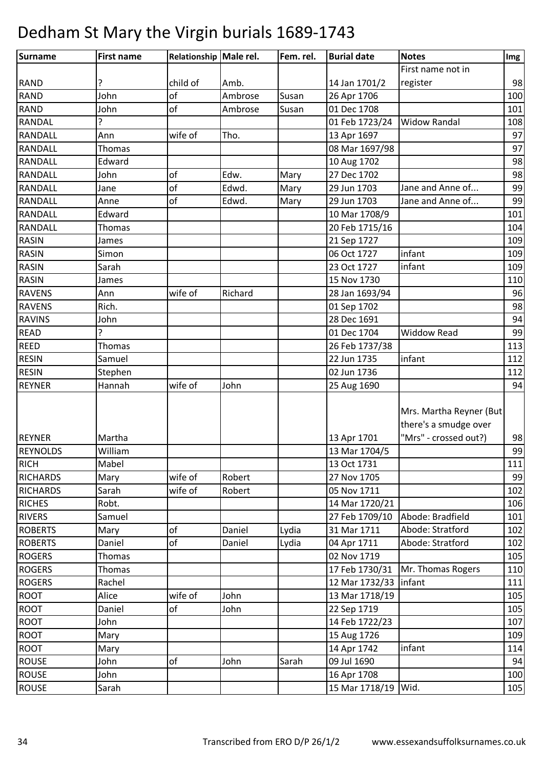| Surname         | <b>First name</b> | Relationship Male rel. |         | Fem. rel. | <b>Burial date</b>  | <b>Notes</b>                                                              | Img |
|-----------------|-------------------|------------------------|---------|-----------|---------------------|---------------------------------------------------------------------------|-----|
|                 |                   |                        |         |           |                     | First name not in                                                         |     |
| <b>RAND</b>     |                   | child of               | Amb.    |           | 14 Jan 1701/2       | register                                                                  | 98  |
| <b>RAND</b>     | John              | of                     | Ambrose | Susan     | 26 Apr 1706         |                                                                           | 100 |
| <b>RAND</b>     | John              | of                     | Ambrose | Susan     | 01 Dec 1708         |                                                                           | 101 |
| <b>RANDAL</b>   | ?                 |                        |         |           | 01 Feb 1723/24      | <b>Widow Randal</b>                                                       | 108 |
| <b>RANDALL</b>  | Ann               | wife of                | Tho.    |           | 13 Apr 1697         |                                                                           | 97  |
| <b>RANDALL</b>  | Thomas            |                        |         |           | 08 Mar 1697/98      |                                                                           | 97  |
| <b>RANDALL</b>  | Edward            |                        |         |           | 10 Aug 1702         |                                                                           | 98  |
| <b>RANDALL</b>  | John              | of                     | Edw.    | Mary      | 27 Dec 1702         |                                                                           | 98  |
| <b>RANDALL</b>  | Jane              | of                     | Edwd.   | Mary      | 29 Jun 1703         | Jane and Anne of                                                          | 99  |
| <b>RANDALL</b>  | Anne              | of                     | Edwd.   | Mary      | 29 Jun 1703         | Jane and Anne of                                                          | 99  |
| <b>RANDALL</b>  | Edward            |                        |         |           | 10 Mar 1708/9       |                                                                           | 101 |
| <b>RANDALL</b>  | <b>Thomas</b>     |                        |         |           | 20 Feb 1715/16      |                                                                           | 104 |
| <b>RASIN</b>    | James             |                        |         |           | 21 Sep 1727         |                                                                           | 109 |
| <b>RASIN</b>    | Simon             |                        |         |           | 06 Oct 1727         | infant                                                                    | 109 |
| <b>RASIN</b>    | Sarah             |                        |         |           | 23 Oct 1727         | infant                                                                    | 109 |
| <b>RASIN</b>    | James             |                        |         |           | 15 Nov 1730         |                                                                           | 110 |
| <b>RAVENS</b>   | Ann               | wife of                | Richard |           | 28 Jan 1693/94      |                                                                           | 96  |
| <b>RAVENS</b>   | Rich.             |                        |         |           | 01 Sep 1702         |                                                                           | 98  |
| <b>RAVINS</b>   | John              |                        |         |           | 28 Dec 1691         |                                                                           | 94  |
| <b>READ</b>     | ς                 |                        |         |           | 01 Dec 1704         | <b>Widdow Read</b>                                                        | 99  |
| <b>REED</b>     | Thomas            |                        |         |           | 26 Feb 1737/38      |                                                                           | 113 |
| <b>RESIN</b>    | Samuel            |                        |         |           | 22 Jun 1735         | infant                                                                    | 112 |
| <b>RESIN</b>    | Stephen           |                        |         |           | 02 Jun 1736         |                                                                           | 112 |
| <b>REYNER</b>   | Hannah            | wife of                | John    |           | 25 Aug 1690         |                                                                           | 94  |
| <b>REYNER</b>   | Martha            |                        |         |           | 13 Apr 1701         | Mrs. Martha Reyner (But<br>there's a smudge over<br>"Mrs" - crossed out?) | 98  |
| <b>REYNOLDS</b> | William           |                        |         |           | 13 Mar 1704/5       |                                                                           | 99  |
| <b>RICH</b>     | Mabel             |                        |         |           | 13 Oct 1731         |                                                                           | 111 |
| <b>RICHARDS</b> | Mary              | wife of                | Robert  |           | 27 Nov 1705         |                                                                           | 99  |
| <b>RICHARDS</b> | Sarah             | wife of                | Robert  |           | 05 Nov 1711         |                                                                           | 102 |
| <b>RICHES</b>   | Robt.             |                        |         |           | 14 Mar 1720/21      |                                                                           | 106 |
| <b>RIVERS</b>   | Samuel            |                        |         |           | 27 Feb 1709/10      | Abode: Bradfield                                                          | 101 |
| <b>ROBERTS</b>  | Mary              | of                     | Daniel  | Lydia     | 31 Mar 1711         | Abode: Stratford                                                          | 102 |
| <b>ROBERTS</b>  | Daniel            | of                     | Daniel  | Lydia     | 04 Apr 1711         | Abode: Stratford                                                          | 102 |
| <b>ROGERS</b>   | Thomas            |                        |         |           | 02 Nov 1719         |                                                                           | 105 |
| <b>ROGERS</b>   | Thomas            |                        |         |           | 17 Feb 1730/31      | Mr. Thomas Rogers                                                         | 110 |
| <b>ROGERS</b>   | Rachel            |                        |         |           | 12 Mar 1732/33      | infant                                                                    | 111 |
| <b>ROOT</b>     | Alice             | wife of                | John    |           | 13 Mar 1718/19      |                                                                           | 105 |
| <b>ROOT</b>     | Daniel            | of                     | John    |           | 22 Sep 1719         |                                                                           | 105 |
| <b>ROOT</b>     | John              |                        |         |           | 14 Feb 1722/23      |                                                                           | 107 |
| <b>ROOT</b>     | Mary              |                        |         |           | 15 Aug 1726         |                                                                           | 109 |
| <b>ROOT</b>     | Mary              |                        |         |           | 14 Apr 1742         | infant                                                                    | 114 |
| <b>ROUSE</b>    | John              | of                     | John    | Sarah     | 09 Jul 1690         |                                                                           | 94  |
| <b>ROUSE</b>    | John              |                        |         |           | 16 Apr 1708         |                                                                           | 100 |
| <b>ROUSE</b>    | Sarah             |                        |         |           | 15 Mar 1718/19 Wid. |                                                                           | 105 |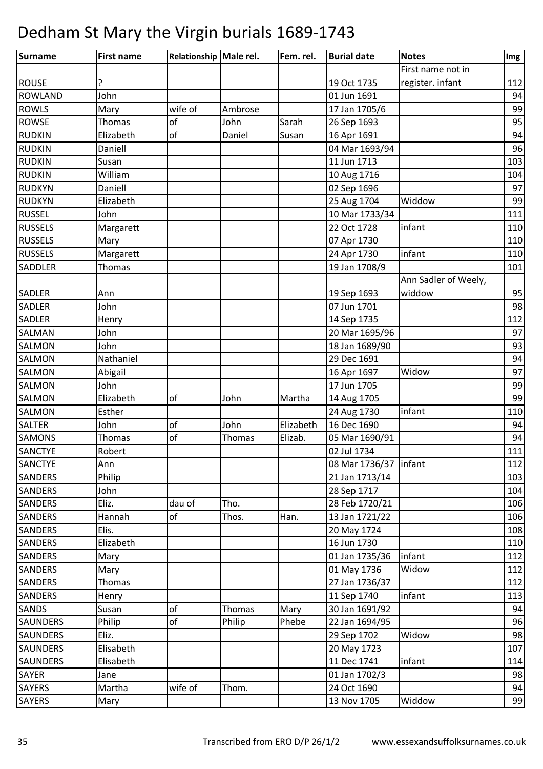| <b>Surname</b>  | <b>First name</b> | Relationship Male rel. |               | Fem. rel. | <b>Burial date</b>     | <b>Notes</b>         | Img |
|-----------------|-------------------|------------------------|---------------|-----------|------------------------|----------------------|-----|
|                 |                   |                        |               |           |                        | First name not in    |     |
| <b>ROUSE</b>    |                   |                        |               |           | 19 Oct 1735            | register. infant     | 112 |
| <b>ROWLAND</b>  | John              |                        |               |           | 01 Jun 1691            |                      | 94  |
| <b>ROWLS</b>    | Mary              | wife of                | Ambrose       |           | 17 Jan 1705/6          |                      | 99  |
| <b>ROWSE</b>    | Thomas            | of                     | John          | Sarah     | 26 Sep 1693            |                      | 95  |
| <b>RUDKIN</b>   | Elizabeth         | of                     | Daniel        | Susan     | 16 Apr 1691            |                      | 94  |
| <b>RUDKIN</b>   | Daniell           |                        |               |           | 04 Mar 1693/94         |                      | 96  |
| <b>RUDKIN</b>   | Susan             |                        |               |           | 11 Jun 1713            |                      | 103 |
| <b>RUDKIN</b>   | William           |                        |               |           | 10 Aug 1716            |                      | 104 |
| <b>RUDKYN</b>   | Daniell           |                        |               |           | 02 Sep 1696            |                      | 97  |
| <b>RUDKYN</b>   | Elizabeth         |                        |               |           | 25 Aug 1704            | Widdow               | 99  |
| <b>RUSSEL</b>   | John              |                        |               |           | 10 Mar 1733/34         |                      | 111 |
| <b>RUSSELS</b>  | Margarett         |                        |               |           | 22 Oct 1728            | infant               | 110 |
| <b>RUSSELS</b>  | Mary              |                        |               |           | 07 Apr 1730            |                      | 110 |
| <b>RUSSELS</b>  | Margarett         |                        |               |           | 24 Apr 1730            | infant               | 110 |
| <b>SADDLER</b>  | <b>Thomas</b>     |                        |               |           | 19 Jan 1708/9          |                      | 101 |
|                 |                   |                        |               |           |                        | Ann Sadler of Weely, |     |
| <b>SADLER</b>   | Ann               |                        |               |           | 19 Sep 1693            | widdow               | 95  |
| <b>SADLER</b>   | John              |                        |               |           | 07 Jun 1701            |                      | 98  |
| <b>SADLER</b>   | Henry             |                        |               |           | 14 Sep 1735            |                      | 112 |
| <b>SALMAN</b>   | John              |                        |               |           | 20 Mar 1695/96         |                      | 97  |
| <b>SALMON</b>   | John              |                        |               |           | 18 Jan 1689/90         |                      | 93  |
| <b>SALMON</b>   | Nathaniel         |                        |               |           | 29 Dec 1691            |                      | 94  |
| <b>SALMON</b>   | Abigail           |                        |               |           | 16 Apr 1697            | Widow                | 97  |
| <b>SALMON</b>   | John              |                        |               |           | 17 Jun 1705            |                      | 99  |
| <b>SALMON</b>   | Elizabeth         | of                     | John          | Martha    | 14 Aug 1705            |                      | 99  |
| <b>SALMON</b>   | Esther            |                        |               |           | 24 Aug 1730            | infant               | 110 |
| <b>SALTER</b>   | John              | of                     | John          | Elizabeth | 16 Dec 1690            |                      | 94  |
| <b>SAMONS</b>   | Thomas            | of                     | Thomas        | Elizab.   | 05 Mar 1690/91         |                      | 94  |
| <b>SANCTYE</b>  | Robert            |                        |               |           | 02 Jul 1734            |                      | 111 |
| <b>SANCTYE</b>  | Ann               |                        |               |           | 08 Mar 1736/37 linfant |                      | 112 |
| <b>SANDERS</b>  | Philip            |                        |               |           | 21 Jan 1713/14         |                      | 103 |
| <b>SANDERS</b>  | John              |                        |               |           | 28 Sep 1717            |                      | 104 |
| <b>SANDERS</b>  | Eliz.             | dau of                 | Tho.          |           | 28 Feb 1720/21         |                      | 106 |
| <b>SANDERS</b>  | Hannah            | оf                     | Thos.         | Han.      | 13 Jan 1721/22         |                      | 106 |
| <b>SANDERS</b>  | Elis.             |                        |               |           | 20 May 1724            |                      | 108 |
| <b>SANDERS</b>  | Elizabeth         |                        |               |           | 16 Jun 1730            |                      | 110 |
| <b>SANDERS</b>  | Mary              |                        |               |           | 01 Jan 1735/36         | infant               | 112 |
| <b>SANDERS</b>  | Mary              |                        |               |           | 01 May 1736            | Widow                | 112 |
| <b>SANDERS</b>  | Thomas            |                        |               |           | 27 Jan 1736/37         |                      | 112 |
| <b>SANDERS</b>  | Henry             |                        |               |           | 11 Sep 1740            | infant               | 113 |
| <b>SANDS</b>    | Susan             | of                     | <b>Thomas</b> | Mary      | 30 Jan 1691/92         |                      | 94  |
| <b>SAUNDERS</b> | Philip            | of                     | Philip        | Phebe     | 22 Jan 1694/95         |                      | 96  |
| <b>SAUNDERS</b> | Eliz.             |                        |               |           | 29 Sep 1702            | Widow                | 98  |
| <b>SAUNDERS</b> | Elisabeth         |                        |               |           | 20 May 1723            |                      | 107 |
| <b>SAUNDERS</b> | Elisabeth         |                        |               |           | 11 Dec 1741            | infant               | 114 |
| <b>SAYER</b>    | Jane              |                        |               |           | 01 Jan 1702/3          |                      | 98  |
| <b>SAYERS</b>   | Martha            | wife of                | Thom.         |           | 24 Oct 1690            |                      | 94  |
| <b>SAYERS</b>   | Mary              |                        |               |           | 13 Nov 1705            | Widdow               | 99  |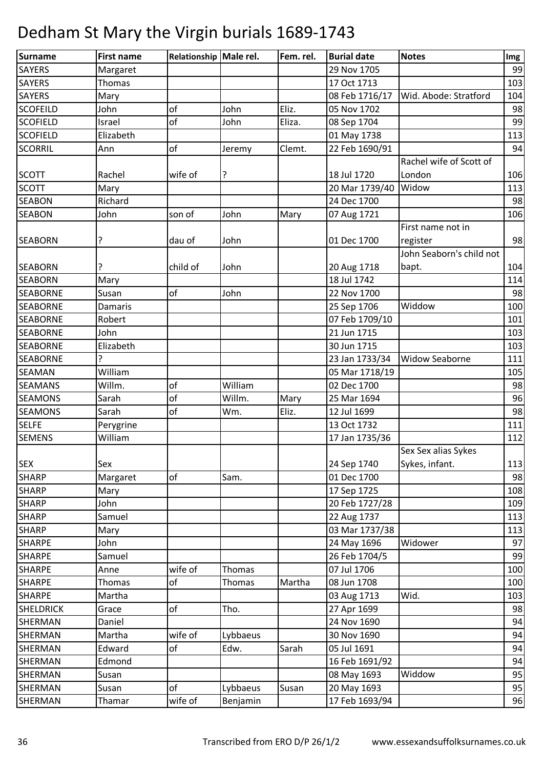| Surname          | <b>First name</b> | Relationship Male rel. |          | Fem. rel. | <b>Burial date</b> | <b>Notes</b>             | Img |
|------------------|-------------------|------------------------|----------|-----------|--------------------|--------------------------|-----|
| <b>SAYERS</b>    | Margaret          |                        |          |           | 29 Nov 1705        |                          | 99  |
| <b>SAYERS</b>    | Thomas            |                        |          |           | 17 Oct 1713        |                          | 103 |
| <b>SAYERS</b>    | Mary              |                        |          |           | 08 Feb 1716/17     | Wid. Abode: Stratford    | 104 |
| <b>SCOFEILD</b>  | John              | of                     | John     | Eliz.     | 05 Nov 1702        |                          | 98  |
| <b>SCOFIELD</b>  | Israel            | of                     | John     | Eliza.    | 08 Sep 1704        |                          | 99  |
| <b>SCOFIELD</b>  | Elizabeth         |                        |          |           | 01 May 1738        |                          | 113 |
| <b>SCORRIL</b>   | Ann               | of                     | Jeremy   | Clemt.    | 22 Feb 1690/91     |                          | 94  |
|                  |                   |                        |          |           |                    | Rachel wife of Scott of  |     |
| <b>SCOTT</b>     | Rachel            | wife of                | ?        |           | 18 Jul 1720        | London                   | 106 |
| <b>SCOTT</b>     | Mary              |                        |          |           | 20 Mar 1739/40     | Widow                    | 113 |
| <b>SEABON</b>    | Richard           |                        |          |           | 24 Dec 1700        |                          | 98  |
| <b>SEABON</b>    | John              | son of                 | John     | Mary      | 07 Aug 1721        |                          | 106 |
|                  |                   |                        |          |           |                    | First name not in        |     |
| <b>SEABORN</b>   | ?                 | dau of                 | John     |           | 01 Dec 1700        | register                 | 98  |
|                  |                   |                        |          |           |                    | John Seaborn's child not |     |
| <b>SEABORN</b>   |                   | child of               | John     |           | 20 Aug 1718        | bapt.                    | 104 |
| <b>SEABORN</b>   | Mary              |                        |          |           | 18 Jul 1742        |                          | 114 |
| <b>SEABORNE</b>  | Susan             | of                     | John     |           | 22 Nov 1700        |                          | 98  |
| <b>SEABORNE</b>  | Damaris           |                        |          |           | 25 Sep 1706        | Widdow                   | 100 |
| <b>SEABORNE</b>  | Robert            |                        |          |           | 07 Feb 1709/10     |                          | 101 |
| <b>SEABORNE</b>  | John              |                        |          |           | 21 Jun 1715        |                          | 103 |
| <b>SEABORNE</b>  | Elizabeth         |                        |          |           | 30 Jun 1715        |                          | 103 |
| <b>SEABORNE</b>  | 5.                |                        |          |           | 23 Jan 1733/34     | <b>Widow Seaborne</b>    | 111 |
| <b>SEAMAN</b>    | William           |                        |          |           | 05 Mar 1718/19     |                          | 105 |
| <b>SEAMANS</b>   | Willm.            | of                     | William  |           | 02 Dec 1700        |                          | 98  |
| <b>SEAMONS</b>   | Sarah             | of                     | Willm.   | Mary      | 25 Mar 1694        |                          | 96  |
| <b>SEAMONS</b>   | Sarah             | of                     | Wm.      | Eliz.     | 12 Jul 1699        |                          | 98  |
| <b>SELFE</b>     | Perygrine         |                        |          |           | 13 Oct 1732        |                          | 111 |
| <b>SEMENS</b>    | William           |                        |          |           | 17 Jan 1735/36     |                          | 112 |
|                  |                   |                        |          |           |                    | Sex Sex alias Sykes      |     |
| <b>SEX</b>       | Sex               |                        |          |           | 24 Sep 1740        | Sykes, infant.           | 113 |
| <b>SHARP</b>     | Margaret          | of                     | Sam.     |           | 01 Dec 1700        |                          | 98  |
| <b>SHARP</b>     | Mary              |                        |          |           | 17 Sep 1725        |                          | 108 |
| <b>SHARP</b>     | John              |                        |          |           | 20 Feb 1727/28     |                          | 109 |
| <b>SHARP</b>     | Samuel            |                        |          |           | 22 Aug 1737        |                          | 113 |
| <b>SHARP</b>     | Mary              |                        |          |           | 03 Mar 1737/38     |                          | 113 |
| <b>SHARPE</b>    | John              |                        |          |           | 24 May 1696        | Widower                  | 97  |
| <b>SHARPE</b>    | Samuel            |                        |          |           | 26 Feb 1704/5      |                          | 99  |
| <b>SHARPE</b>    | Anne              | wife of                | Thomas   |           | 07 Jul 1706        |                          | 100 |
| <b>SHARPE</b>    | Thomas            | of                     | Thomas   | Martha    | 08 Jun 1708        |                          | 100 |
| <b>SHARPE</b>    | Martha            |                        |          |           | 03 Aug 1713        | Wid.                     | 103 |
| <b>SHELDRICK</b> | Grace             | of                     | Tho.     |           | 27 Apr 1699        |                          | 98  |
| SHERMAN          | Daniel            |                        |          |           | 24 Nov 1690        |                          | 94  |
| SHERMAN          | Martha            | wife of                | Lybbaeus |           | 30 Nov 1690        |                          | 94  |
| SHERMAN          | Edward            | of                     | Edw.     | Sarah     | 05 Jul 1691        |                          | 94  |
| SHERMAN          | Edmond            |                        |          |           | 16 Feb 1691/92     |                          | 94  |
| SHERMAN          | Susan             |                        |          |           | 08 May 1693        | Widdow                   | 95  |
| SHERMAN          | Susan             | of                     | Lybbaeus | Susan     | 20 May 1693        |                          | 95  |
| SHERMAN          | Thamar            | wife of                | Benjamin |           | 17 Feb 1693/94     |                          | 96  |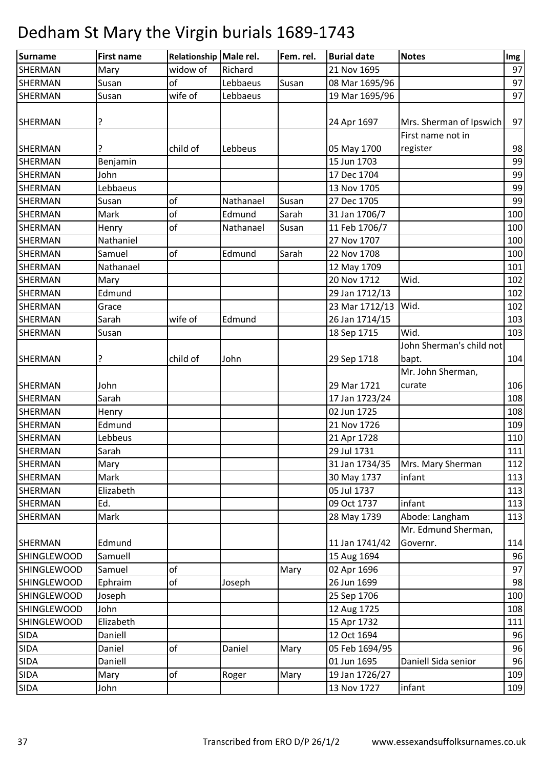| Surname            | <b>First name</b> | Relationship Male rel. |           | Fem. rel. | <b>Burial date</b> | <b>Notes</b>             | Img |
|--------------------|-------------------|------------------------|-----------|-----------|--------------------|--------------------------|-----|
| SHERMAN            | Mary              | widow of               | Richard   |           | 21 Nov 1695        |                          | 97  |
| <b>SHERMAN</b>     | Susan             | of                     | Lebbaeus  | Susan     | 08 Mar 1695/96     |                          | 97  |
| SHERMAN            | Susan             | wife of                | Lebbaeus  |           | 19 Mar 1695/96     |                          | 97  |
|                    |                   |                        |           |           |                    |                          |     |
| <b>SHERMAN</b>     | ?                 |                        |           |           | 24 Apr 1697        | Mrs. Sherman of Ipswich  | 97  |
|                    |                   |                        |           |           |                    | First name not in        |     |
| <b>SHERMAN</b>     | ?                 | child of               | Lebbeus   |           | 05 May 1700        | register                 | 98  |
| <b>SHERMAN</b>     | Benjamin          |                        |           |           | 15 Jun 1703        |                          | 99  |
| <b>SHERMAN</b>     | John              |                        |           |           | 17 Dec 1704        |                          | 99  |
| <b>SHERMAN</b>     | Lebbaeus          |                        |           |           | 13 Nov 1705        |                          | 99  |
| <b>SHERMAN</b>     | Susan             | of                     | Nathanael | Susan     | 27 Dec 1705        |                          | 99  |
| <b>SHERMAN</b>     | Mark              | of                     | Edmund    | Sarah     | 31 Jan 1706/7      |                          | 100 |
| SHERMAN            | Henry             | of                     | Nathanael | Susan     | 11 Feb 1706/7      |                          | 100 |
| <b>SHERMAN</b>     | Nathaniel         |                        |           |           | 27 Nov 1707        |                          | 100 |
| <b>SHERMAN</b>     | Samuel            | of                     | Edmund    | Sarah     | 22 Nov 1708        |                          | 100 |
| <b>SHERMAN</b>     | Nathanael         |                        |           |           | 12 May 1709        |                          | 101 |
| SHERMAN            | Mary              |                        |           |           | 20 Nov 1712        | Wid.                     | 102 |
| SHERMAN            | Edmund            |                        |           |           | 29 Jan 1712/13     |                          | 102 |
| <b>SHERMAN</b>     | Grace             |                        |           |           | 23 Mar 1712/13     | Wid.                     | 102 |
| <b>SHERMAN</b>     | Sarah             | wife of                | Edmund    |           | 26 Jan 1714/15     |                          | 103 |
| <b>SHERMAN</b>     | Susan             |                        |           |           | 18 Sep 1715        | Wid.                     | 103 |
|                    |                   |                        |           |           |                    | John Sherman's child not |     |
| <b>SHERMAN</b>     | ?                 | child of               | John      |           | 29 Sep 1718        | bapt.                    | 104 |
|                    |                   |                        |           |           |                    | Mr. John Sherman,        |     |
| <b>SHERMAN</b>     | John              |                        |           |           | 29 Mar 1721        | curate                   | 106 |
| <b>SHERMAN</b>     | Sarah             |                        |           |           | 17 Jan 1723/24     |                          | 108 |
| <b>SHERMAN</b>     | Henry             |                        |           |           | 02 Jun 1725        |                          | 108 |
| SHERMAN            | Edmund            |                        |           |           | 21 Nov 1726        |                          | 109 |
| <b>SHERMAN</b>     | Lebbeus           |                        |           |           | 21 Apr 1728        |                          | 110 |
| <b>SHERMAN</b>     | Sarah             |                        |           |           | 29 Jul 1731        |                          | 111 |
| SHERMAN            | Mary              |                        |           |           | 31 Jan 1734/35     | Mrs. Mary Sherman        | 112 |
| <b>SHERMAN</b>     | Mark              |                        |           |           | 30 May 1737        | infant                   | 113 |
| <b>SHERMAN</b>     | Elizabeth         |                        |           |           | 05 Jul 1737        |                          | 113 |
| SHERMAN            | Ed.               |                        |           |           | 09 Oct 1737        | infant                   | 113 |
| <b>SHERMAN</b>     | Mark              |                        |           |           | 28 May 1739        | Abode: Langham           | 113 |
|                    |                   |                        |           |           |                    | Mr. Edmund Sherman,      |     |
| <b>SHERMAN</b>     | Edmund            |                        |           |           | 11 Jan 1741/42     | Governr.                 | 114 |
| <b>SHINGLEWOOD</b> | Samuell           |                        |           |           | 15 Aug 1694        |                          | 96  |
| <b>SHINGLEWOOD</b> | Samuel            | of                     |           | Mary      | 02 Apr 1696        |                          | 97  |
| <b>SHINGLEWOOD</b> | Ephraim           | of                     | Joseph    |           | 26 Jun 1699        |                          | 98  |
| <b>SHINGLEWOOD</b> | Joseph            |                        |           |           | 25 Sep 1706        |                          | 100 |
| <b>SHINGLEWOOD</b> | John              |                        |           |           | 12 Aug 1725        |                          | 108 |
| <b>SHINGLEWOOD</b> | Elizabeth         |                        |           |           | 15 Apr 1732        |                          | 111 |
| <b>SIDA</b>        | Daniell           |                        |           |           | 12 Oct 1694        |                          | 96  |
| <b>SIDA</b>        | Daniel            | of                     | Daniel    | Mary      | 05 Feb 1694/95     |                          | 96  |
| <b>SIDA</b>        | Daniell           |                        |           |           | 01 Jun 1695        | Daniell Sida senior      | 96  |
| <b>SIDA</b>        | Mary              | of                     | Roger     | Mary      | 19 Jan 1726/27     |                          | 109 |
| <b>SIDA</b>        | John              |                        |           |           | 13 Nov 1727        | infant                   | 109 |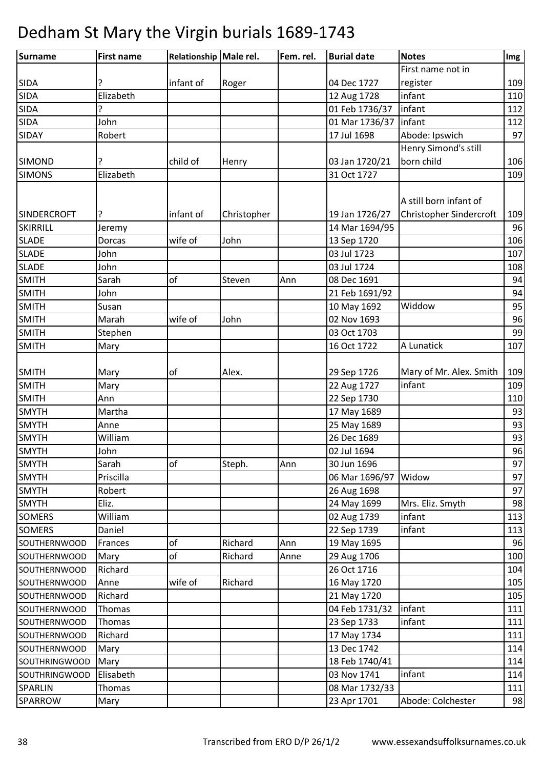| Surname              | <b>First name</b> | Relationship Male rel. |             | Fem. rel. | <b>Burial date</b>            | <b>Notes</b>            | Img |
|----------------------|-------------------|------------------------|-------------|-----------|-------------------------------|-------------------------|-----|
|                      |                   |                        |             |           |                               | First name not in       |     |
| <b>SIDA</b>          |                   | infant of              | Roger       |           | 04 Dec 1727                   | register                | 109 |
| <b>SIDA</b>          | Elizabeth         |                        |             |           | 12 Aug 1728                   | infant                  | 110 |
| <b>SIDA</b>          | ?                 |                        |             |           | 01 Feb 1736/37                | infant                  | 112 |
| <b>SIDA</b>          | John              |                        |             |           | 01 Mar 1736/37                | infant                  | 112 |
| <b>SIDAY</b>         | Robert            |                        |             |           | 17 Jul 1698                   | Abode: Ipswich          | 97  |
|                      |                   |                        |             |           |                               | Henry Simond's still    |     |
| <b>SIMOND</b>        | ?                 | child of               | Henry       |           | 03 Jan 1720/21                | born child              | 106 |
| <b>SIMONS</b>        | Elizabeth         |                        |             |           | 31 Oct 1727                   |                         | 109 |
|                      |                   |                        |             |           |                               |                         |     |
|                      |                   |                        |             |           |                               | A still born infant of  |     |
| <b>SINDERCROFT</b>   | ?                 | infant of              | Christopher |           | 19 Jan 1726/27                | Christopher Sindercroft | 109 |
| SKIRRILL             | Jeremy            |                        |             |           | 14 Mar 1694/95                |                         | 96  |
| <b>SLADE</b>         | Dorcas            | wife of                | John        |           | 13 Sep 1720                   |                         | 106 |
| <b>SLADE</b>         | John              |                        |             |           | 03 Jul 1723                   |                         | 107 |
| <b>SLADE</b>         | John              |                        |             |           | 03 Jul 1724                   |                         | 108 |
| <b>SMITH</b>         | Sarah             | of                     | Steven      | Ann       | 08 Dec 1691                   |                         | 94  |
| SMITH                | John              |                        |             |           | 21 Feb 1691/92                |                         | 94  |
| <b>SMITH</b>         | Susan             |                        |             |           | 10 May 1692                   | Widdow                  | 95  |
| <b>SMITH</b>         | Marah             | wife of                | John        |           | 02 Nov 1693                   |                         | 96  |
| <b>SMITH</b>         | Stephen           |                        |             |           | 03 Oct 1703                   |                         | 99  |
| <b>SMITH</b>         | Mary              |                        |             |           | 16 Oct 1722                   | A Lunatick              | 107 |
|                      |                   |                        |             |           |                               |                         |     |
| <b>SMITH</b>         | Mary              | оf                     | Alex.       |           | 29 Sep 1726                   | Mary of Mr. Alex. Smith | 109 |
| <b>SMITH</b>         | Mary              |                        |             |           | 22 Aug 1727                   | infant                  | 109 |
| <b>SMITH</b>         | Ann               |                        |             |           | 22 Sep 1730                   |                         | 110 |
| <b>SMYTH</b>         | Martha            |                        |             |           | 17 May 1689                   |                         | 93  |
| <b>SMYTH</b>         | Anne              |                        |             |           | 25 May 1689                   |                         | 93  |
| <b>SMYTH</b>         | William           |                        |             |           | 26 Dec 1689                   |                         | 93  |
| <b>SMYTH</b>         | John              |                        |             |           | 02 Jul 1694                   |                         | 96  |
| <b>SMYTH</b>         | Sarah             | of                     | Steph.      | Ann       | 30 Jun 1696                   |                         | 97  |
| <b>SMYTH</b>         | Priscilla         |                        |             |           | 06 Mar 1696/97                | Widow                   | 97  |
| <b>SMYTH</b>         | Robert            |                        |             |           | 26 Aug 1698                   |                         | 97  |
| <b>SMYTH</b>         | Eliz.             |                        |             |           | 24 May 1699                   | Mrs. Eliz. Smyth        | 98  |
| <b>SOMERS</b>        | William           |                        |             |           | 02 Aug 1739                   | infant                  | 113 |
| <b>SOMERS</b>        | Daniel            |                        |             |           | 22 Sep 1739                   | infant                  | 113 |
| <b>SOUTHERNWOOD</b>  | Frances           | of                     | Richard     | Ann       | 19 May 1695                   |                         | 96  |
| <b>SOUTHERNWOOD</b>  | Mary              | of                     | Richard     | Anne      | 29 Aug 1706                   |                         | 100 |
| <b>SOUTHERNWOOD</b>  | Richard           |                        |             |           | 26 Oct 1716                   |                         | 104 |
| <b>SOUTHERNWOOD</b>  | Anne              | wife of                | Richard     |           | 16 May 1720                   |                         | 105 |
| SOUTHERNWOOD         | Richard           |                        |             |           | 21 May 1720                   |                         | 105 |
| SOUTHERNWOOD         | Thomas            |                        |             |           | 04 Feb 1731/32                | infant                  | 111 |
| SOUTHERNWOOD         | Thomas            |                        |             |           | 23 Sep 1733                   | infant                  | 111 |
| SOUTHERNWOOD         | Richard           |                        |             |           | 17 May 1734                   |                         | 111 |
|                      |                   |                        |             |           | 13 Dec 1742                   |                         | 114 |
| <b>SOUTHERNWOOD</b>  | Mary              |                        |             |           |                               |                         | 114 |
| <b>SOUTHRINGWOOD</b> | Mary              |                        |             |           | 18 Feb 1740/41<br>03 Nov 1741 | infant                  |     |
| <b>SOUTHRINGWOOD</b> | Elisabeth         |                        |             |           |                               |                         | 114 |
| <b>SPARLIN</b>       | Thomas            |                        |             |           | 08 Mar 1732/33                |                         | 111 |
| SPARROW              | Mary              |                        |             |           | 23 Apr 1701                   | Abode: Colchester       | 98  |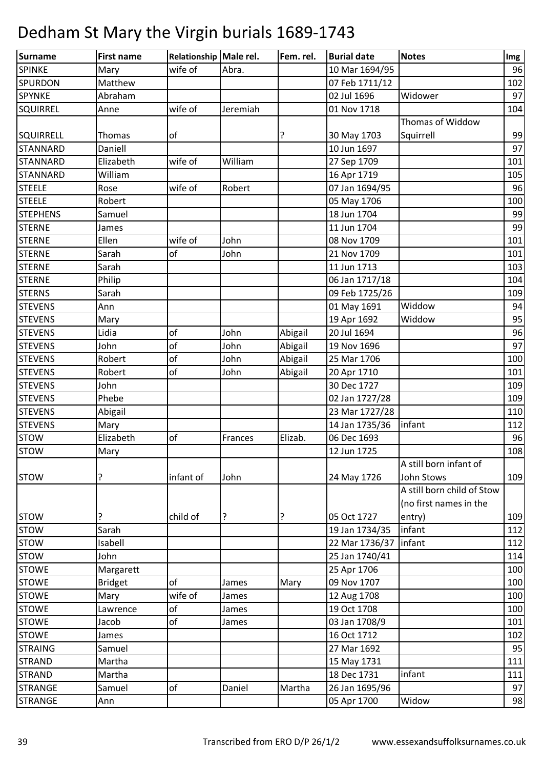| Surname          | <b>First name</b> | Relationship Male rel. |          | Fem. rel. | <b>Burial date</b>        | <b>Notes</b>               | Img |
|------------------|-------------------|------------------------|----------|-----------|---------------------------|----------------------------|-----|
| <b>SPINKE</b>    | Mary              | wife of                | Abra.    |           | 10 Mar 1694/95            |                            | 96  |
| <b>SPURDON</b>   | Matthew           |                        |          |           | 07 Feb 1711/12            |                            | 102 |
| SPYNKE           | Abraham           |                        |          |           | $\overline{0}$ 2 Jul 1696 | Widower                    | 97  |
| <b>SQUIRREL</b>  | Anne              | wife of                | Jeremiah |           | 01 Nov 1718               |                            | 104 |
|                  |                   |                        |          |           |                           | Thomas of Widdow           |     |
| <b>SQUIRRELL</b> | Thomas            | of                     |          | ?         | 30 May 1703               | Squirrell                  | 99  |
| <b>STANNARD</b>  | Daniell           |                        |          |           | 10 Jun 1697               |                            | 97  |
| <b>STANNARD</b>  | Elizabeth         | wife of                | William  |           | 27 Sep 1709               |                            | 101 |
| <b>STANNARD</b>  | William           |                        |          |           | 16 Apr 1719               |                            | 105 |
| <b>STEELE</b>    | Rose              | wife of                | Robert   |           | 07 Jan 1694/95            |                            | 96  |
| <b>STEELE</b>    | Robert            |                        |          |           | 05 May 1706               |                            | 100 |
| <b>STEPHENS</b>  | Samuel            |                        |          |           | 18 Jun 1704               |                            | 99  |
| <b>STERNE</b>    | James             |                        |          |           | 11 Jun 1704               |                            | 99  |
| <b>STERNE</b>    | Ellen             | wife of                | John     |           | 08 Nov 1709               |                            | 101 |
| <b>STERNE</b>    | Sarah             | of                     | John     |           | 21 Nov 1709               |                            | 101 |
| <b>STERNE</b>    | Sarah             |                        |          |           | 11 Jun 1713               |                            | 103 |
| <b>STERNE</b>    | Philip            |                        |          |           | 06 Jan 1717/18            |                            | 104 |
| <b>STERNS</b>    | Sarah             |                        |          |           | 09 Feb 1725/26            |                            | 109 |
| <b>STEVENS</b>   | Ann               |                        |          |           | 01 May 1691               | Widdow                     | 94  |
| <b>STEVENS</b>   | Mary              |                        |          |           | 19 Apr 1692               | Widdow                     | 95  |
| <b>STEVENS</b>   | Lidia             | of                     | John     | Abigail   | 20 Jul 1694               |                            | 96  |
| <b>STEVENS</b>   | John              | of                     | John     | Abigail   | 19 Nov 1696               |                            | 97  |
| <b>STEVENS</b>   | Robert            | of                     | John     | Abigail   | 25 Mar 1706               |                            | 100 |
| <b>STEVENS</b>   | Robert            | of                     | John     | Abigail   | 20 Apr 1710               |                            | 101 |
| <b>STEVENS</b>   | John              |                        |          |           | 30 Dec 1727               |                            | 109 |
| <b>STEVENS</b>   | Phebe             |                        |          |           | 02 Jan 1727/28            |                            | 109 |
| <b>STEVENS</b>   | Abigail           |                        |          |           | 23 Mar 1727/28            |                            | 110 |
| <b>STEVENS</b>   | Mary              |                        |          |           | 14 Jan 1735/36            | infant                     | 112 |
| <b>STOW</b>      | Elizabeth         | of                     | Frances  | Elizab.   | 06 Dec 1693               |                            | 96  |
| <b>STOW</b>      | Mary              |                        |          |           | 12 Jun 1725               |                            | 108 |
|                  |                   |                        |          |           |                           | A still born infant of     |     |
| <b>STOW</b>      | ?                 | infant of              | John     |           | 24 May 1726               | John Stows                 | 109 |
|                  |                   |                        |          |           |                           | A still born child of Stow |     |
|                  |                   |                        |          |           |                           | (no first names in the     |     |
| <b>STOW</b>      | ?                 | child of               | ?        | ?         | 05 Oct 1727               | entry)                     | 109 |
| <b>STOW</b>      | Sarah             |                        |          |           | 19 Jan 1734/35            | infant                     | 112 |
| <b>STOW</b>      | Isabell           |                        |          |           | 22 Mar 1736/37            | infant                     | 112 |
| <b>STOW</b>      | John              |                        |          |           | 25 Jan 1740/41            |                            | 114 |
| <b>STOWE</b>     | Margarett         |                        |          |           | 25 Apr 1706               |                            | 100 |
| <b>STOWE</b>     | <b>Bridget</b>    | of                     | James    | Mary      | 09 Nov 1707               |                            | 100 |
| <b>STOWE</b>     | Mary              | wife of                | James    |           | 12 Aug 1708               |                            | 100 |
| <b>STOWE</b>     | Lawrence          | of                     | James    |           | 19 Oct 1708               |                            | 100 |
| <b>STOWE</b>     | Jacob             | of                     | James    |           | 03 Jan 1708/9             |                            | 101 |
| <b>STOWE</b>     | James             |                        |          |           | 16 Oct 1712               |                            | 102 |
| <b>STRAING</b>   | Samuel            |                        |          |           | 27 Mar 1692               |                            | 95  |
| <b>STRAND</b>    | Martha            |                        |          |           | 15 May 1731               |                            | 111 |
| <b>STRAND</b>    | Martha            |                        |          |           | 18 Dec 1731               | infant                     | 111 |
| <b>STRANGE</b>   | Samuel            | of                     | Daniel   | Martha    | 26 Jan 1695/96            |                            | 97  |
| <b>STRANGE</b>   | Ann               |                        |          |           | 05 Apr 1700               | Widow                      | 98  |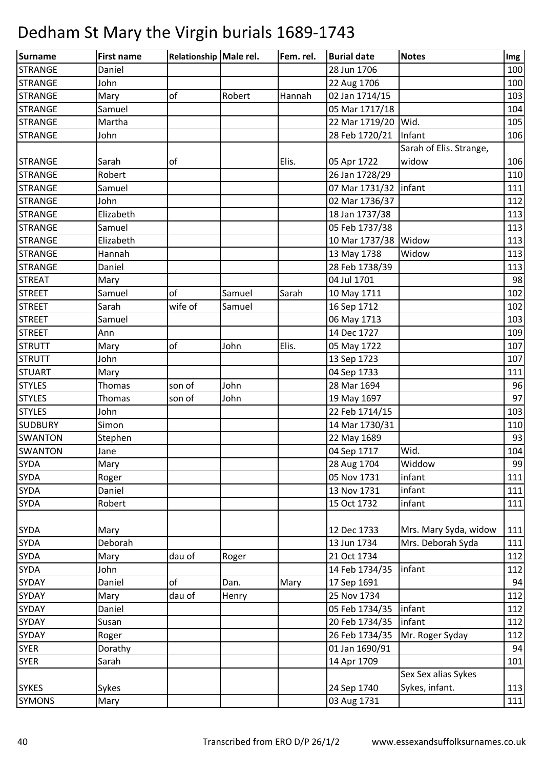| Surname        | <b>First name</b> | Relationship Male rel. |        | Fem. rel. | <b>Burial date</b>      | <b>Notes</b>            | Img |
|----------------|-------------------|------------------------|--------|-----------|-------------------------|-------------------------|-----|
| <b>STRANGE</b> | Daniel            |                        |        |           | 28 Jun 1706             |                         | 100 |
| <b>STRANGE</b> | John              |                        |        |           | 22 Aug 1706             |                         | 100 |
| <b>STRANGE</b> | Mary              | of                     | Robert | Hannah    | 02 Jan 1714/15          |                         | 103 |
| <b>STRANGE</b> | Samuel            |                        |        |           | 05 Mar 1717/18          |                         | 104 |
| <b>STRANGE</b> | Martha            |                        |        |           | 22 Mar 1719/20          | Wid.                    | 105 |
| <b>STRANGE</b> | John              |                        |        |           | 28 Feb 1720/21          | Infant                  | 106 |
|                |                   |                        |        |           |                         | Sarah of Elis. Strange, |     |
| <b>STRANGE</b> | Sarah             | of                     |        | Elis.     | 05 Apr 1722             | widow                   | 106 |
| <b>STRANGE</b> | Robert            |                        |        |           | 26 Jan 1728/29          |                         | 110 |
| <b>STRANGE</b> | Samuel            |                        |        |           | 07 Mar 1731/32   infant |                         | 111 |
| <b>STRANGE</b> | John              |                        |        |           | 02 Mar 1736/37          |                         | 112 |
| <b>STRANGE</b> | Elizabeth         |                        |        |           | 18 Jan 1737/38          |                         | 113 |
| <b>STRANGE</b> | Samuel            |                        |        |           | 05 Feb 1737/38          |                         | 113 |
| <b>STRANGE</b> | Elizabeth         |                        |        |           | 10 Mar 1737/38          | Widow                   | 113 |
| <b>STRANGE</b> | Hannah            |                        |        |           | 13 May 1738             | Widow                   | 113 |
| <b>STRANGE</b> | Daniel            |                        |        |           | 28 Feb 1738/39          |                         | 113 |
| <b>STREAT</b>  | Mary              |                        |        |           | 04 Jul 1701             |                         | 98  |
| <b>STREET</b>  | Samuel            | of                     | Samuel | Sarah     | 10 May 1711             |                         | 102 |
| <b>STREET</b>  | Sarah             | wife of                | Samuel |           | 16 Sep 1712             |                         | 102 |
| <b>STREET</b>  | Samuel            |                        |        |           | 06 May 1713             |                         | 103 |
| <b>STREET</b>  | Ann               |                        |        |           | 14 Dec 1727             |                         | 109 |
| <b>STRUTT</b>  | Mary              | of                     | John   | Elis.     | 05 May 1722             |                         | 107 |
| <b>STRUTT</b>  | John              |                        |        |           | 13 Sep 1723             |                         | 107 |
| <b>STUART</b>  | Mary              |                        |        |           | 04 Sep 1733             |                         | 111 |
| <b>STYLES</b>  | Thomas            | son of                 | John   |           | 28 Mar 1694             |                         | 96  |
| <b>STYLES</b>  | Thomas            | son of                 | John   |           | 19 May 1697             |                         | 97  |
| <b>STYLES</b>  | John              |                        |        |           | 22 Feb 1714/15          |                         | 103 |
| <b>SUDBURY</b> | Simon             |                        |        |           | 14 Mar 1730/31          |                         | 110 |
| <b>SWANTON</b> | Stephen           |                        |        |           | 22 May 1689             |                         | 93  |
| <b>SWANTON</b> | Jane              |                        |        |           | 04 Sep 1717             | Wid.                    | 104 |
| <b>SYDA</b>    | Mary              |                        |        |           | 28 Aug 1704             | Widdow                  | 99  |
| <b>SYDA</b>    | Roger             |                        |        |           | 05 Nov 1731             | infant                  | 111 |
| <b>SYDA</b>    | Daniel            |                        |        |           | 13 Nov 1731             | infant                  | 111 |
| <b>SYDA</b>    | Robert            |                        |        |           | 15 Oct 1732             | infant                  | 111 |
|                |                   |                        |        |           |                         |                         |     |
| <b>SYDA</b>    | Mary              |                        |        |           | 12 Dec 1733             | Mrs. Mary Syda, widow   | 111 |
| <b>SYDA</b>    | Deborah           |                        |        |           | 13 Jun 1734             | Mrs. Deborah Syda       | 111 |
| <b>SYDA</b>    | Mary              | dau of                 | Roger  |           | 21 Oct 1734             |                         | 112 |
| SYDA           | John              |                        |        |           | 14 Feb 1734/35          | infant                  | 112 |
| <b>SYDAY</b>   | Daniel            | of                     | Dan.   | Mary      | 17 Sep 1691             |                         | 94  |
| <b>SYDAY</b>   | Mary              | dau of                 | Henry  |           | 25 Nov 1734             |                         | 112 |
| <b>SYDAY</b>   | Daniel            |                        |        |           | 05 Feb 1734/35          | infant                  | 112 |
| <b>SYDAY</b>   | Susan             |                        |        |           | 20 Feb 1734/35          | infant                  | 112 |
| SYDAY          | Roger             |                        |        |           | 26 Feb 1734/35          | Mr. Roger Syday         | 112 |
| <b>SYER</b>    | Dorathy           |                        |        |           | 01 Jan 1690/91          |                         | 94  |
| <b>SYER</b>    | Sarah             |                        |        |           | 14 Apr 1709             |                         | 101 |
|                |                   |                        |        |           |                         | Sex Sex alias Sykes     |     |
| <b>SYKES</b>   | Sykes             |                        |        |           | 24 Sep 1740             | Sykes, infant.          | 113 |
| <b>SYMONS</b>  | Mary              |                        |        |           | 03 Aug 1731             |                         | 111 |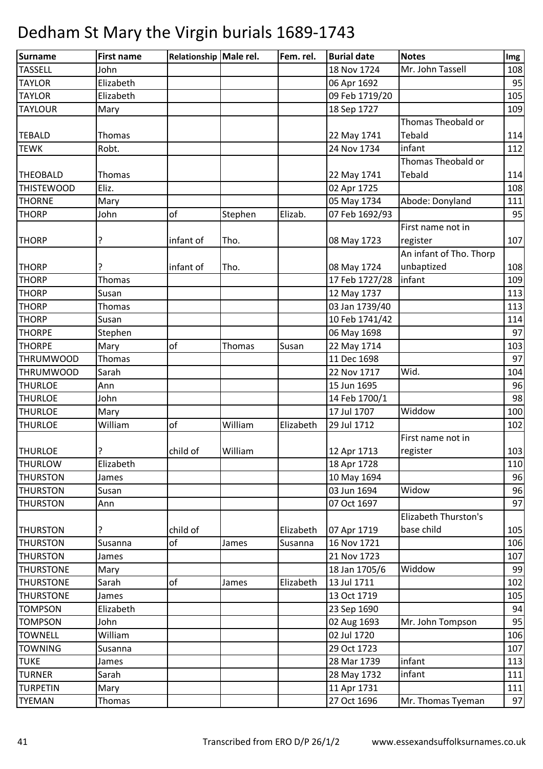| Surname           | <b>First name</b> | Relationship Male rel. |         | Fem. rel. | <b>Burial date</b>         | <b>Notes</b>            | Img        |
|-------------------|-------------------|------------------------|---------|-----------|----------------------------|-------------------------|------------|
| <b>TASSELL</b>    | John              |                        |         |           | 18 Nov 1724                | Mr. John Tassell        | 108        |
| <b>TAYLOR</b>     | Elizabeth         |                        |         |           | 06 Apr 1692                |                         | 95         |
| <b>TAYLOR</b>     | Elizabeth         |                        |         |           | 09 Feb 1719/20             |                         | 105        |
| <b>TAYLOUR</b>    | Mary              |                        |         |           | 18 Sep 1727                |                         | 109        |
|                   |                   |                        |         |           |                            | Thomas Theobald or      |            |
| <b>TEBALD</b>     | Thomas            |                        |         |           | 22 May 1741                | Tebald                  | 114        |
| <b>TEWK</b>       | Robt.             |                        |         |           | 24 Nov 1734                | infant                  | 112        |
|                   |                   |                        |         |           |                            | Thomas Theobald or      |            |
| <b>THEOBALD</b>   | Thomas            |                        |         |           | 22 May 1741                | Tebald                  | 114        |
| <b>THISTEWOOD</b> | Eliz.             |                        |         |           | 02 Apr 1725                |                         | 108        |
| <b>THORNE</b>     | Mary              |                        |         |           | 05 May 1734                | Abode: Donyland         | 111        |
| <b>THORP</b>      | John              | of                     | Stephen | Elizab.   | 07 Feb 1692/93             |                         | 95         |
|                   |                   |                        |         |           |                            | First name not in       |            |
| <b>THORP</b>      | ?                 | infant of              | Tho.    |           | 08 May 1723                | register                | 107        |
|                   |                   |                        |         |           |                            | An infant of Tho. Thorp |            |
| <b>THORP</b>      |                   | infant of              | Tho.    |           | 08 May 1724                | unbaptized              | 108        |
| <b>THORP</b>      | Thomas            |                        |         |           | 17 Feb 1727/28             | infant                  | 109        |
| <b>THORP</b>      | Susan             |                        |         |           | 12 May 1737                |                         | 113        |
| <b>THORP</b>      | Thomas            |                        |         |           | 03 Jan 1739/40             |                         | 113        |
| <b>THORP</b>      | Susan             |                        |         |           | 10 Feb 1741/42             |                         | 114        |
| <b>THORPE</b>     | Stephen           |                        |         |           | 06 May 1698                |                         | 97         |
| <b>THORPE</b>     | Mary              | of                     | Thomas  | Susan     | 22 May 1714                |                         | 103        |
| <b>THRUMWOOD</b>  | Thomas            |                        |         |           | 11 Dec 1698                |                         | 97         |
| <b>THRUMWOOD</b>  | Sarah             |                        |         |           | 22 Nov 1717                | Wid.                    | 104        |
| <b>THURLOE</b>    | Ann               |                        |         |           | 15 Jun 1695                |                         | 96         |
| <b>THURLOE</b>    | John              |                        |         |           | 14 Feb 1700/1              |                         | 98         |
| <b>THURLOE</b>    | Mary              |                        |         |           | 17 Jul 1707                | Widdow                  | 100        |
| <b>THURLOE</b>    | William           | of                     | William | Elizabeth | 29 Jul 1712                |                         | 102        |
|                   |                   |                        |         |           |                            | First name not in       |            |
| <b>THURLOE</b>    | ?                 | child of               | William |           | 12 Apr 1713                | register                | 103        |
| <b>THURLOW</b>    | Elizabeth         |                        |         |           | 18 Apr 1728                |                         | 110        |
| <b>THURSTON</b>   | James             |                        |         |           | 10 May 1694                |                         | 96         |
| <b>THURSTON</b>   | Susan             |                        |         |           | 03 Jun 1694                | Widow                   | 96         |
| <b>THURSTON</b>   |                   |                        |         |           | 07 Oct 1697                |                         | 97         |
|                   | Ann               |                        |         |           |                            | Elizabeth Thurston's    |            |
|                   | ?                 |                        |         |           |                            | base child              |            |
| <b>THURSTON</b>   |                   | child of<br>of         |         | Elizabeth | 07 Apr 1719                |                         | 105<br>106 |
| <b>THURSTON</b>   | Susanna           |                        | James   | Susanna   | 16 Nov 1721<br>21 Nov 1723 |                         | 107        |
| <b>THURSTON</b>   | James             |                        |         |           |                            | Widdow                  |            |
| <b>THURSTONE</b>  | Mary              |                        |         |           | 18 Jan 1705/6              |                         | 99         |
| <b>THURSTONE</b>  | Sarah             | of                     | James   | Elizabeth | 13 Jul 1711                |                         | 102        |
| <b>THURSTONE</b>  | James             |                        |         |           | 13 Oct 1719                |                         | 105        |
| <b>TOMPSON</b>    | Elizabeth         |                        |         |           | 23 Sep 1690                |                         | 94         |
| <b>TOMPSON</b>    | John              |                        |         |           | 02 Aug 1693                | Mr. John Tompson        | 95         |
| <b>TOWNELL</b>    | William           |                        |         |           | 02 Jul 1720                |                         | 106        |
| <b>TOWNING</b>    | Susanna           |                        |         |           | 29 Oct 1723                |                         | 107        |
| <b>TUKE</b>       | James             |                        |         |           | 28 Mar 1739                | infant                  | 113        |
| <b>TURNER</b>     | Sarah             |                        |         |           | 28 May 1732                | infant                  | 111        |
| <b>TURPETIN</b>   | Mary              |                        |         |           | 11 Apr 1731                |                         | 111        |
| <b>TYEMAN</b>     | Thomas            |                        |         |           | 27 Oct 1696                | Mr. Thomas Tyeman       | 97         |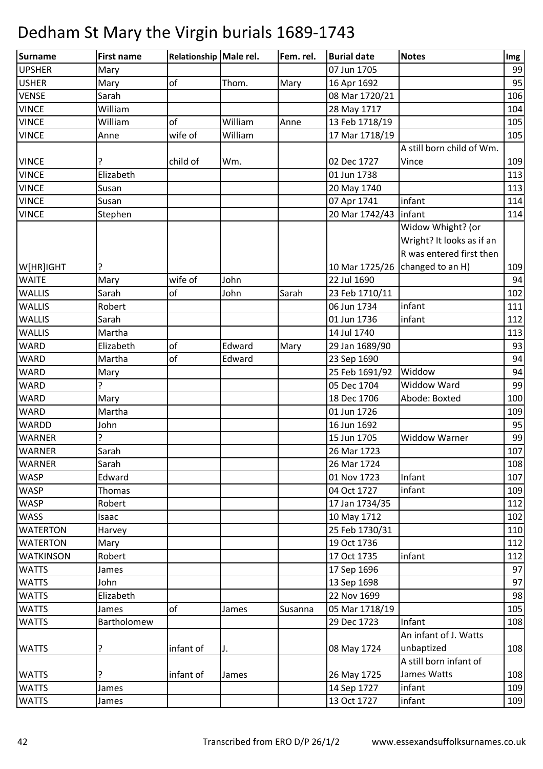| <b>Surname</b>   | <b>First name</b> | Relationship Male rel. |         | Fem. rel. | <b>Burial date</b>      | <b>Notes</b>              | Img |
|------------------|-------------------|------------------------|---------|-----------|-------------------------|---------------------------|-----|
| <b>UPSHER</b>    | Mary              |                        |         |           | 07 Jun 1705             |                           | 99  |
| <b>USHER</b>     | Mary              | of                     | Thom.   | Mary      | 16 Apr 1692             |                           | 95  |
| <b>VENSE</b>     | Sarah             |                        |         |           | 08 Mar 1720/21          |                           | 106 |
| <b>VINCE</b>     | William           |                        |         |           | 28 May 1717             |                           | 104 |
| <b>VINCE</b>     | William           | of                     | William | Anne      | 13 Feb 1718/19          |                           | 105 |
| <b>VINCE</b>     | Anne              | wife of                | William |           | 17 Mar 1718/19          |                           | 105 |
|                  |                   |                        |         |           |                         | A still born child of Wm. |     |
| <b>VINCE</b>     | ?                 | child of               | Wm.     |           | 02 Dec 1727             | Vince                     | 109 |
| <b>VINCE</b>     | Elizabeth         |                        |         |           | 01 Jun 1738             |                           | 113 |
| <b>VINCE</b>     | Susan             |                        |         |           | 20 May 1740             |                           | 113 |
| <b>VINCE</b>     | Susan             |                        |         |           | 07 Apr 1741             | infant                    | 114 |
| <b>VINCE</b>     | Stephen           |                        |         |           | 20 Mar 1742/43   infant |                           | 114 |
|                  |                   |                        |         |           |                         | Widow Whight? (or         |     |
|                  |                   |                        |         |           |                         | Wright? It looks as if an |     |
|                  |                   |                        |         |           |                         | R was entered first then  |     |
| W[HR]IGHT        |                   |                        |         |           | 10 Mar 1725/26          | changed to an H)          | 109 |
| <b>WAITE</b>     | Mary              | wife of                | John    |           | 22 Jul 1690             |                           | 94  |
| <b>WALLIS</b>    | Sarah             | of                     | John    | Sarah     | 23 Feb 1710/11          |                           | 102 |
| <b>WALLIS</b>    | Robert            |                        |         |           | 06 Jun 1734             | infant                    | 111 |
| <b>WALLIS</b>    | Sarah             |                        |         |           | 01 Jun 1736             | infant                    | 112 |
| <b>WALLIS</b>    | Martha            |                        |         |           | 14 Jul 1740             |                           | 113 |
| <b>WARD</b>      | Elizabeth         | of                     | Edward  | Mary      | 29 Jan 1689/90          |                           | 93  |
| <b>WARD</b>      | Martha            | of                     | Edward  |           | 23 Sep 1690             |                           | 94  |
| <b>WARD</b>      | Mary              |                        |         |           | 25 Feb 1691/92          | Widdow                    | 94  |
| <b>WARD</b>      | 7                 |                        |         |           | 05 Dec 1704             | <b>Widdow Ward</b>        | 99  |
| <b>WARD</b>      | Mary              |                        |         |           | 18 Dec 1706             | Abode: Boxted             | 100 |
| <b>WARD</b>      | Martha            |                        |         |           | 01 Jun 1726             |                           | 109 |
| WARDD            | John              |                        |         |           | 16 Jun 1692             |                           | 95  |
| <b>WARNER</b>    | ?                 |                        |         |           | 15 Jun 1705             | <b>Widdow Warner</b>      | 99  |
| <b>WARNER</b>    | Sarah             |                        |         |           | 26 Mar 1723             |                           | 107 |
| <b>WARNER</b>    | Sarah             |                        |         |           | 26 Mar 1724             |                           | 108 |
| <b>WASP</b>      | Edward            |                        |         |           | 01 Nov 1723             | Infant                    | 107 |
| <b>WASP</b>      | Thomas            |                        |         |           | 04 Oct 1727             | infant                    | 109 |
| <b>WASP</b>      | Robert            |                        |         |           | 17 Jan 1734/35          |                           | 112 |
| <b>WASS</b>      | Isaac             |                        |         |           | 10 May 1712             |                           | 102 |
| <b>WATERTON</b>  | Harvey            |                        |         |           | 25 Feb 1730/31          |                           | 110 |
| <b>WATERTON</b>  | Mary              |                        |         |           | 19 Oct 1736             |                           | 112 |
| <b>WATKINSON</b> | Robert            |                        |         |           | 17 Oct 1735             | infant                    | 112 |
| <b>WATTS</b>     | James             |                        |         |           | 17 Sep 1696             |                           | 97  |
| <b>WATTS</b>     | John              |                        |         |           | 13 Sep 1698             |                           | 97  |
| <b>WATTS</b>     | Elizabeth         |                        |         |           | 22 Nov 1699             |                           | 98  |
| <b>WATTS</b>     | James             | of                     | James   | Susanna   | 05 Mar 1718/19          |                           | 105 |
| <b>WATTS</b>     | Bartholomew       |                        |         |           | 29 Dec 1723             | Infant                    | 108 |
|                  |                   |                        |         |           |                         | An infant of J. Watts     |     |
| <b>WATTS</b>     | ?                 | infant of              | IJ.     |           | 08 May 1724             | unbaptized                | 108 |
|                  |                   |                        |         |           |                         | A still born infant of    |     |
| <b>WATTS</b>     |                   | infant of              | James   |           | 26 May 1725             | James Watts               | 108 |
| <b>WATTS</b>     | James             |                        |         |           | 14 Sep 1727             | infant                    | 109 |
| <b>WATTS</b>     | James             |                        |         |           | 13 Oct 1727             | infant                    | 109 |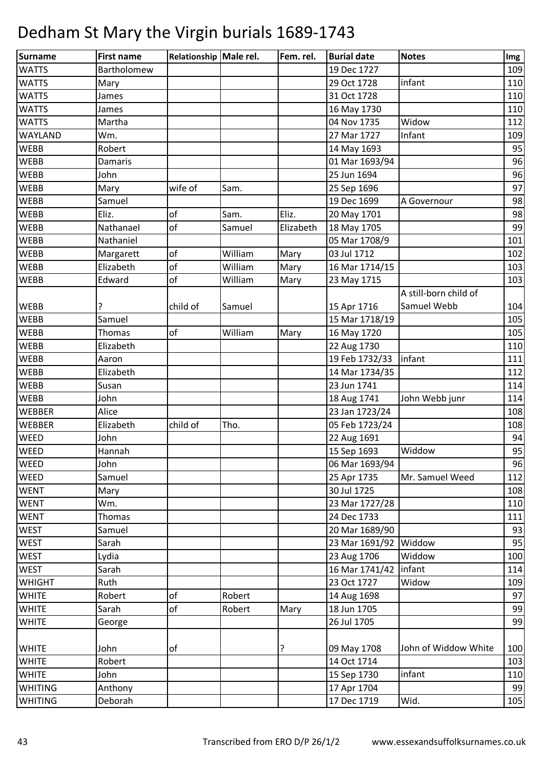| <b>Surname</b> | <b>First name</b> | Relationship Male rel. |         | Fem. rel. | <b>Burial date</b> | <b>Notes</b>          | Img |
|----------------|-------------------|------------------------|---------|-----------|--------------------|-----------------------|-----|
| <b>WATTS</b>   | Bartholomew       |                        |         |           | 19 Dec 1727        |                       | 109 |
| <b>WATTS</b>   | Mary              |                        |         |           | 29 Oct 1728        | infant                | 110 |
| <b>WATTS</b>   | James             |                        |         |           | 31 Oct 1728        |                       | 110 |
| <b>WATTS</b>   | James             |                        |         |           | 16 May 1730        |                       | 110 |
| <b>WATTS</b>   | Martha            |                        |         |           | 04 Nov 1735        | Widow                 | 112 |
| WAYLAND        | Wm.               |                        |         |           | 27 Mar 1727        | Infant                | 109 |
| WEBB           | Robert            |                        |         |           | 14 May 1693        |                       | 95  |
| <b>WEBB</b>    | Damaris           |                        |         |           | 01 Mar 1693/94     |                       | 96  |
| WEBB           | John              |                        |         |           | 25 Jun 1694        |                       | 96  |
| <b>WEBB</b>    | Mary              | wife of                | Sam.    |           | 25 Sep 1696        |                       | 97  |
| <b>WEBB</b>    | Samuel            |                        |         |           | 19 Dec 1699        | A Governour           | 98  |
| <b>WEBB</b>    | Eliz.             | of                     | Sam.    | Eliz.     | 20 May 1701        |                       | 98  |
| <b>WEBB</b>    | Nathanael         | of                     | Samuel  | Elizabeth | 18 May 1705        |                       | 99  |
| <b>WEBB</b>    | Nathaniel         |                        |         |           | 05 Mar 1708/9      |                       | 101 |
| <b>WEBB</b>    | Margarett         | of                     | William | Mary      | 03 Jul 1712        |                       | 102 |
| <b>WEBB</b>    | Elizabeth         | of                     | William | Mary      | 16 Mar 1714/15     |                       | 103 |
| <b>WEBB</b>    | Edward            | of                     | William | Mary      | 23 May 1715        |                       | 103 |
|                |                   |                        |         |           |                    | A still-born child of |     |
| <b>WEBB</b>    | ?                 | child of               | Samuel  |           | 15 Apr 1716        | Samuel Webb           | 104 |
| <b>WEBB</b>    | Samuel            |                        |         |           | 15 Mar 1718/19     |                       | 105 |
| <b>WEBB</b>    | Thomas            | of                     | William | Mary      | 16 May 1720        |                       | 105 |
| <b>WEBB</b>    | Elizabeth         |                        |         |           | 22 Aug 1730        |                       | 110 |
| <b>WEBB</b>    | Aaron             |                        |         |           | 19 Feb 1732/33     | linfant               | 111 |
| <b>WEBB</b>    | Elizabeth         |                        |         |           | 14 Mar 1734/35     |                       | 112 |
| <b>WEBB</b>    | Susan             |                        |         |           | 23 Jun 1741        |                       | 114 |
| <b>WEBB</b>    | John              |                        |         |           | 18 Aug 1741        | John Webb junr        | 114 |
| <b>WEBBER</b>  | Alice             |                        |         |           | 23 Jan 1723/24     |                       | 108 |
| <b>WEBBER</b>  | Elizabeth         | child of               | Tho.    |           | 05 Feb 1723/24     |                       | 108 |
| <b>WEED</b>    | John              |                        |         |           | 22 Aug 1691        |                       | 94  |
| <b>WEED</b>    | Hannah            |                        |         |           | 15 Sep 1693        | Widdow                | 95  |
| <b>WEED</b>    | John              |                        |         |           | 06 Mar 1693/94     |                       | 96  |
| WEED           | Samuel            |                        |         |           | 25 Apr 1735        | Mr. Samuel Weed       | 112 |
| <b>WENT</b>    | Mary              |                        |         |           | 30 Jul 1725        |                       | 108 |
| <b>WENT</b>    | Wm.               |                        |         |           | 23 Mar 1727/28     |                       | 110 |
| <b>WENT</b>    | Thomas            |                        |         |           | 24 Dec 1733        |                       | 111 |
| <b>WEST</b>    | Samuel            |                        |         |           | 20 Mar 1689/90     |                       | 93  |
| WEST           | Sarah             |                        |         |           | 23 Mar 1691/92     | Widdow                | 95  |
| <b>WEST</b>    | Lydia             |                        |         |           | 23 Aug 1706        | Widdow                | 100 |
| <b>WEST</b>    | Sarah             |                        |         |           | 16 Mar 1741/42     | infant                | 114 |
| WHIGHT         | Ruth              |                        |         |           | 23 Oct 1727        | Widow                 | 109 |
| <b>WHITE</b>   | Robert            | of                     | Robert  |           | 14 Aug 1698        |                       | 97  |
| <b>WHITE</b>   | Sarah             | of                     | Robert  | Mary      | 18 Jun 1705        |                       | 99  |
| <b>WHITE</b>   | George            |                        |         |           | 26 Jul 1705        |                       | 99  |
|                |                   |                        |         |           |                    |                       |     |
| <b>WHITE</b>   | John              | of                     |         | ?         | 09 May 1708        | John of Widdow White  | 100 |
| <b>WHITE</b>   | Robert            |                        |         |           | 14 Oct 1714        |                       | 103 |
| <b>WHITE</b>   | John              |                        |         |           | 15 Sep 1730        | infant                | 110 |
| <b>WHITING</b> | Anthony           |                        |         |           | 17 Apr 1704        |                       | 99  |
| <b>WHITING</b> | Deborah           |                        |         |           | 17 Dec 1719        | Wid.                  | 105 |
|                |                   |                        |         |           |                    |                       |     |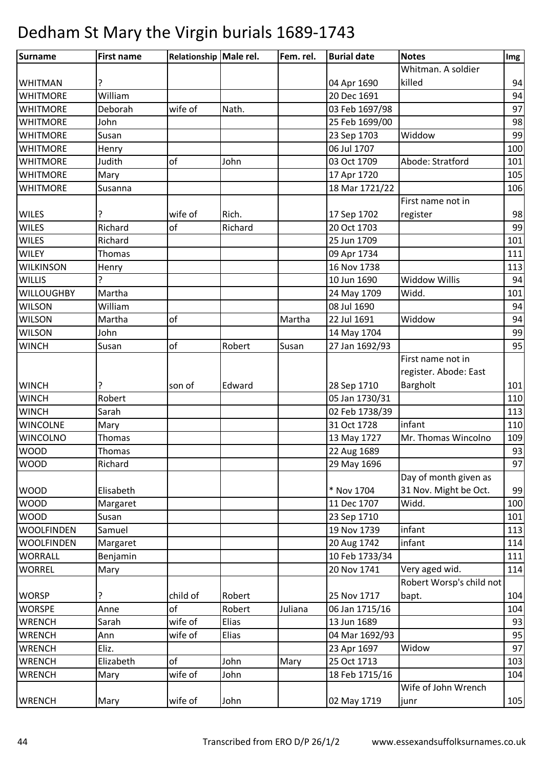| <b>Surname</b>    | <b>First name</b> | Relationship Male rel. |         | Fem. rel. | <b>Burial date</b> | <b>Notes</b>             | Img |
|-------------------|-------------------|------------------------|---------|-----------|--------------------|--------------------------|-----|
|                   |                   |                        |         |           |                    | Whitman. A soldier       |     |
| <b>WHITMAN</b>    |                   |                        |         |           | 04 Apr 1690        | killed                   | 94  |
| <b>WHITMORE</b>   | William           |                        |         |           | 20 Dec 1691        |                          | 94  |
| <b>WHITMORE</b>   | Deborah           | wife of                | Nath.   |           | 03 Feb 1697/98     |                          | 97  |
| <b>WHITMORE</b>   | John              |                        |         |           | 25 Feb 1699/00     |                          | 98  |
| <b>WHITMORE</b>   | Susan             |                        |         |           | 23 Sep 1703        | Widdow                   | 99  |
| <b>WHITMORE</b>   | Henry             |                        |         |           | 06 Jul 1707        |                          | 100 |
| <b>WHITMORE</b>   | Judith            | of                     | John    |           | 03 Oct 1709        | Abode: Stratford         | 101 |
| <b>WHITMORE</b>   | Mary              |                        |         |           | 17 Apr 1720        |                          | 105 |
| <b>WHITMORE</b>   | Susanna           |                        |         |           | 18 Mar 1721/22     |                          | 106 |
|                   |                   |                        |         |           |                    | First name not in        |     |
| <b>WILES</b>      |                   | wife of                | Rich.   |           | 17 Sep 1702        | register                 | 98  |
| <b>WILES</b>      | Richard           | of                     | Richard |           | 20 Oct 1703        |                          | 99  |
| <b>WILES</b>      | Richard           |                        |         |           | 25 Jun 1709        |                          | 101 |
| <b>WILEY</b>      | Thomas            |                        |         |           | 09 Apr 1734        |                          | 111 |
| <b>WILKINSON</b>  | Henry             |                        |         |           | 16 Nov 1738        |                          | 113 |
| <b>WILLIS</b>     |                   |                        |         |           | 10 Jun 1690        | <b>Widdow Willis</b>     | 94  |
| <b>WILLOUGHBY</b> | Martha            |                        |         |           | 24 May 1709        | Widd.                    | 101 |
| <b>WILSON</b>     | William           |                        |         |           | 08 Jul 1690        |                          | 94  |
| <b>WILSON</b>     | Martha            | of                     |         | Martha    | 22 Jul 1691        | Widdow                   | 94  |
| <b>WILSON</b>     | John              |                        |         |           | 14 May 1704        |                          | 99  |
| <b>WINCH</b>      | Susan             | of                     | Robert  | Susan     | 27 Jan 1692/93     |                          | 95  |
|                   |                   |                        |         |           |                    | First name not in        |     |
|                   |                   |                        |         |           |                    | register. Abode: East    |     |
| <b>WINCH</b>      |                   | son of                 | Edward  |           | 28 Sep 1710        | Bargholt                 | 101 |
| <b>WINCH</b>      | Robert            |                        |         |           | 05 Jan 1730/31     |                          | 110 |
| <b>WINCH</b>      | Sarah             |                        |         |           | 02 Feb 1738/39     |                          | 113 |
| <b>WINCOLNE</b>   | Mary              |                        |         |           | 31 Oct 1728        | infant                   | 110 |
| <b>WINCOLNO</b>   | <b>Thomas</b>     |                        |         |           | 13 May 1727        | Mr. Thomas Wincolno      | 109 |
| <b>WOOD</b>       | Thomas            |                        |         |           | 22 Aug 1689        |                          | 93  |
| <b>WOOD</b>       | Richard           |                        |         |           | 29 May 1696        |                          | 97  |
|                   |                   |                        |         |           |                    | Day of month given as    |     |
| <b>WOOD</b>       | Elisabeth         |                        |         |           | * Nov 1704         | 31 Nov. Might be Oct.    | 99  |
| <b>WOOD</b>       | Margaret          |                        |         |           | 11 Dec 1707        | Widd.                    | 100 |
| WOOD              | Susan             |                        |         |           | 23 Sep 1710        |                          | 101 |
| <b>WOOLFINDEN</b> | Samuel            |                        |         |           | 19 Nov 1739        | infant                   | 113 |
| <b>WOOLFINDEN</b> | Margaret          |                        |         |           | 20 Aug 1742        | infant                   | 114 |
| <b>WORRALL</b>    | Benjamin          |                        |         |           | 10 Feb 1733/34     |                          | 111 |
| <b>WORREL</b>     | Mary              |                        |         |           | 20 Nov 1741        | Very aged wid.           | 114 |
|                   |                   |                        |         |           |                    | Robert Worsp's child not |     |
| <b>WORSP</b>      | ?                 | child of               | Robert  |           | 25 Nov 1717        | bapt.                    | 104 |
| <b>WORSPE</b>     | Anne              | of                     | Robert  | Juliana   | 06 Jan 1715/16     |                          | 104 |
| <b>WRENCH</b>     | Sarah             | wife of                | Elias   |           | 13 Jun 1689        |                          | 93  |
| <b>WRENCH</b>     | Ann               | wife of                | Elias   |           | 04 Mar 1692/93     |                          | 95  |
| <b>WRENCH</b>     | Eliz.             |                        |         |           | 23 Apr 1697        | Widow                    | 97  |
| <b>WRENCH</b>     | Elizabeth         | of                     | John    | Mary      | 25 Oct 1713        |                          | 103 |
| <b>WRENCH</b>     | Mary              | wife of                | John    |           | 18 Feb 1715/16     |                          | 104 |
|                   |                   |                        |         |           |                    | Wife of John Wrench      |     |
| WRENCH            | Mary              | wife of                | John    |           | 02 May 1719        | junr                     | 105 |